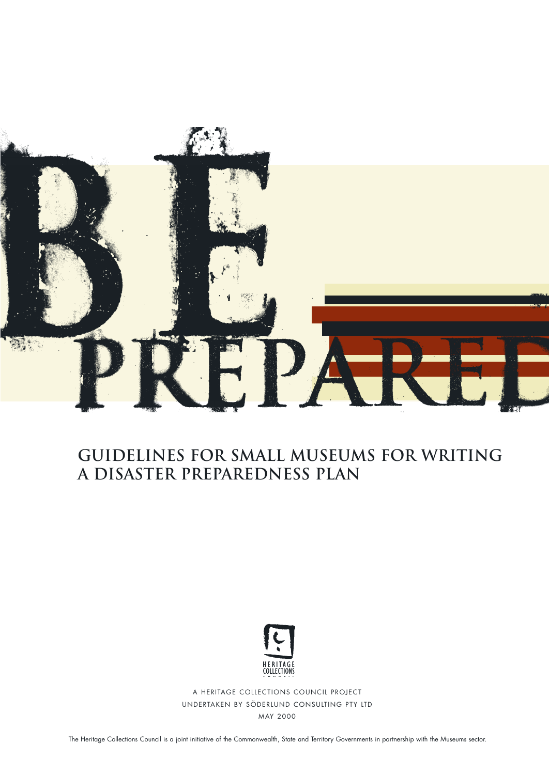



A HERITAGE COLLECTIONS COUNCIL PROJECT UNDERTAKEN BY SÖDERLUND CONSULTING PTY LTD MAY 2000

The Heritage Collections Council is a joint initiative of the Commonwealth, State and Territory Governments in partnership with the Museums sector.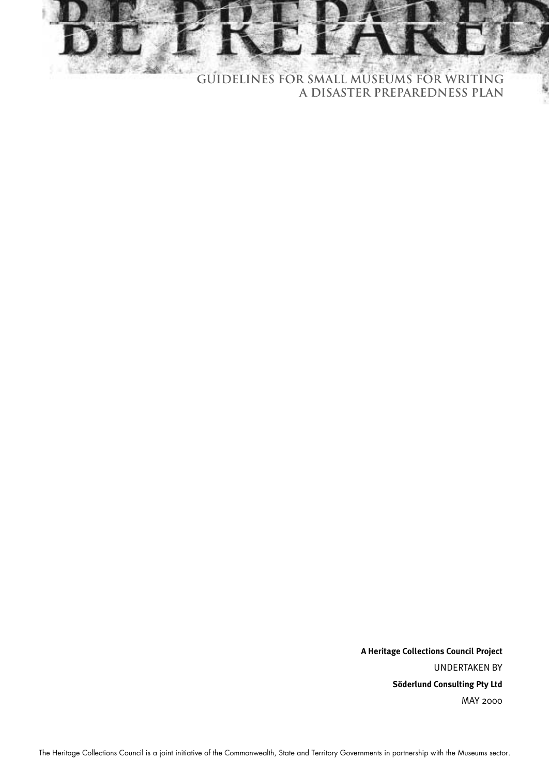

> **A Heritage Collections Council Project** UNDERTAKEN BY **Söderlund Consulting Pty Ltd** MAY 2000

The Heritage Collections Council is a joint initiative of the Commonwealth, State and Territory Governments in partnership with the Museums sector.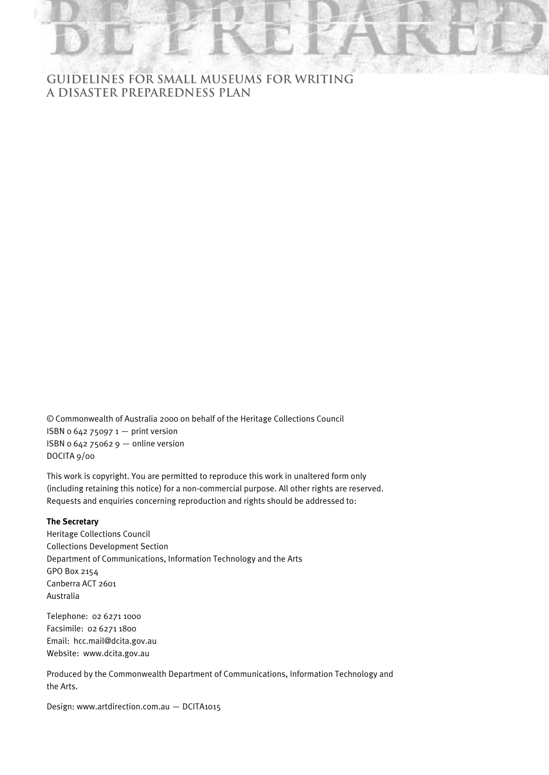© Commonwealth of Australia 2000 on behalf of the Heritage Collections Council ISBN 0 642 75097  $1 -$  print version ISBN 0 642 75062 9  $-$  online version DOCITA 9/00

This work is copyright. You are permitted to reproduce this work in unaltered form only (including retaining this notice) for a non-commercial purpose. All other rights are reserved. Requests and enquiries concerning reproduction and rights should be addressed to:

#### **The Secretary**

Heritage Collections Council Collections Development Section Department of Communications, Information Technology and the Arts GPO Box 2154 Canberra ACT 2601 Australia

Telephone: 02 6271 1000 Facsimile: 02 6271 1800 Email: hcc.mail@dcita.gov.au Website: www.dcita.gov.au

Produced by the Commonwealth Department of Communications, Information Technology and the Arts.

Design: www.artdirection.com.au — DCITA1015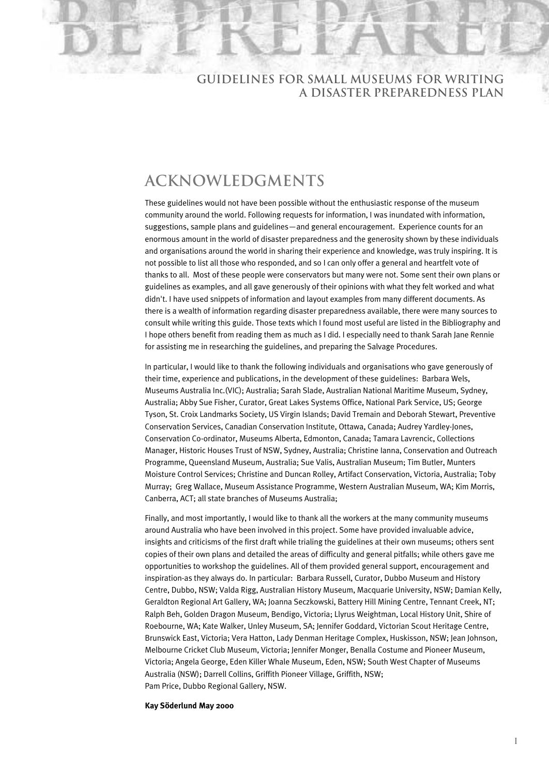## **ACKNOWLEDGMENTS**

These guidelines would not have been possible without the enthusiastic response of the museum community around the world. Following requests for information, I was inundated with information, suggestions, sample plans and guidelines—and general encouragement. Experience counts for an enormous amount in the world of disaster preparedness and the generosity shown by these individuals and organisations around the world in sharing their experience and knowledge, was truly inspiring. It is not possible to list all those who responded, and so I can only offer a general and heartfelt vote of thanks to all. Most of these people were conservators but many were not. Some sent their own plans or guidelines as examples, and all gave generously of their opinions with what they felt worked and what didn't. I have used snippets of information and layout examples from many different documents. As there is a wealth of information regarding disaster preparedness available, there were many sources to consult while writing this guide. Those texts which I found most useful are listed in the Bibliography and I hope others benefit from reading them as much as I did. I especially need to thank Sarah Jane Rennie for assisting me in researching the guidelines, and preparing the Salvage Procedures.

In particular, I would like to thank the following individuals and organisations who gave generously of their time, experience and publications, in the development of these guidelines: Barbara Wels, Museums Australia Inc.(VIC); Australia; Sarah Slade, Australian National Maritime Museum, Sydney, Australia; Abby Sue Fisher, Curator, Great Lakes Systems Office, National Park Service, US; George Tyson, St. Croix Landmarks Society, US Virgin Islands; David Tremain and Deborah Stewart, Preventive Conservation Services, Canadian Conservation Institute, Ottawa, Canada; Audrey Yardley-Jones, Conservation Co-ordinator, Museums Alberta, Edmonton, Canada; Tamara Lavrencic, Collections Manager, Historic Houses Trust of NSW, Sydney, Australia; Christine Ianna, Conservation and Outreach Programme, Queensland Museum, Australia; Sue Valis, Australian Museum; Tim Butler, Munters Moisture Control Services; Christine and Duncan Rolley, Artifact Conservation, Victoria, Australia; Toby Murray; Greg Wallace, Museum Assistance Programme, Western Australian Museum, WA; Kim Morris, Canberra, ACT; all state branches of Museums Australia;

Finally, and most importantly, I would like to thank all the workers at the many community museums around Australia who have been involved in this project. Some have provided invaluable advice, insights and criticisms of the first draft while trialing the guidelines at their own museums; others sent copies of their own plans and detailed the areas of difficulty and general pitfalls; while others gave me opportunities to workshop the guidelines. All of them provided general support, encouragement and inspiration-as they always do. In particular: Barbara Russell, Curator, Dubbo Museum and History Centre, Dubbo, NSW; Valda Rigg, Australian History Museum, Macquarie University, NSW; Damian Kelly, Geraldton Regional Art Gallery, WA; Joanna Seczkowski, Battery Hill Mining Centre, Tennant Creek, NT; Ralph Beh, Golden Dragon Museum, Bendigo, Victoria; Llyrus Weightman, Local History Unit, Shire of Roebourne, WA; Kate Walker, Unley Museum, SA; Jennifer Goddard, Victorian Scout Heritage Centre, Brunswick East, Victoria; Vera Hatton, Lady Denman Heritage Complex, Huskisson, NSW; Jean Johnson, Melbourne Cricket Club Museum, Victoria; Jennifer Monger, Benalla Costume and Pioneer Museum, Victoria; Angela George, Eden Killer Whale Museum, Eden, NSW; South West Chapter of Museums Australia (NSW); Darrell Collins, Griffith Pioneer Village, Griffith, NSW; Pam Price, Dubbo Regional Gallery, NSW.

**Kay Söderlund May 2000**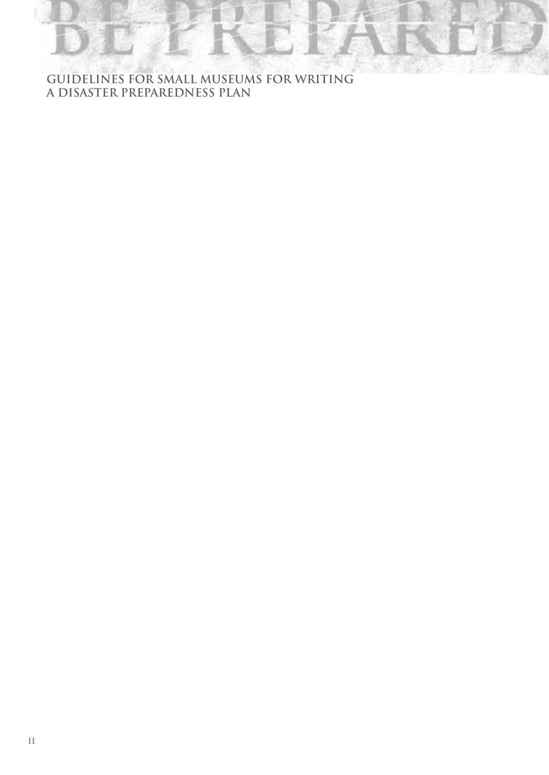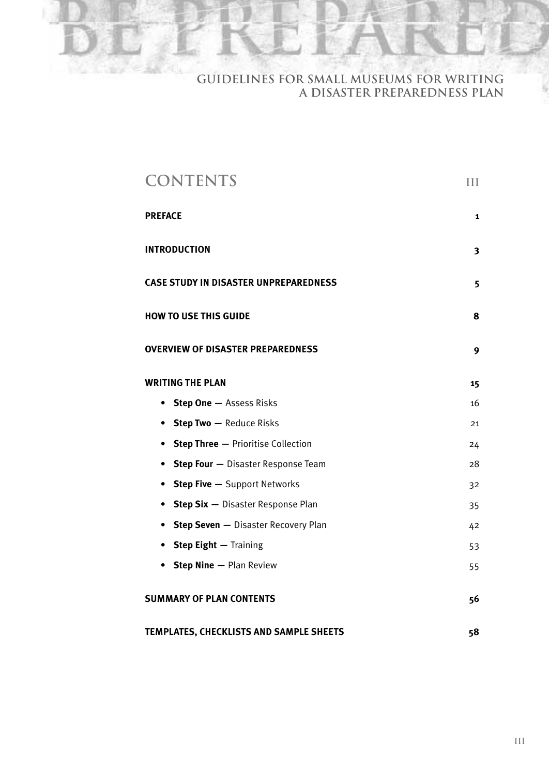| <b>CONTENTS</b>                                        | III          |  |
|--------------------------------------------------------|--------------|--|
| <b>PREFACE</b>                                         | $\mathbf{1}$ |  |
| <b>INTRODUCTION</b>                                    | 3            |  |
| <b>CASE STUDY IN DISASTER UNPREPAREDNESS</b><br>5      |              |  |
| <b>HOW TO USE THIS GUIDE</b><br>8                      |              |  |
| <b>OVERVIEW OF DISASTER PREPAREDNESS</b>               | 9            |  |
| <b>WRITING THE PLAN</b>                                | 15           |  |
| Step One - Assess Risks<br>$\bullet$                   | 16           |  |
| Step Two - Reduce Risks<br>٠                           | 21           |  |
| <b>Step Three - Prioritise Collection</b><br>$\bullet$ | 24           |  |
| Step Four - Disaster Response Team<br>٠                | 28           |  |
| <b>Step Five - Support Networks</b><br>٠               | 32           |  |
| Step Six - Disaster Response Plan<br>$\bullet$         | 35           |  |
| Step Seven - Disaster Recovery Plan<br>٠               | 42           |  |
| <b>Step Eight - Training</b>                           | 53           |  |
| Step Nine - Plan Review                                | 55           |  |
| <b>SUMMARY OF PLAN CONTENTS</b><br>56                  |              |  |
| TEMPLATES, CHECKLISTS AND SAMPLE SHEETS                | 58           |  |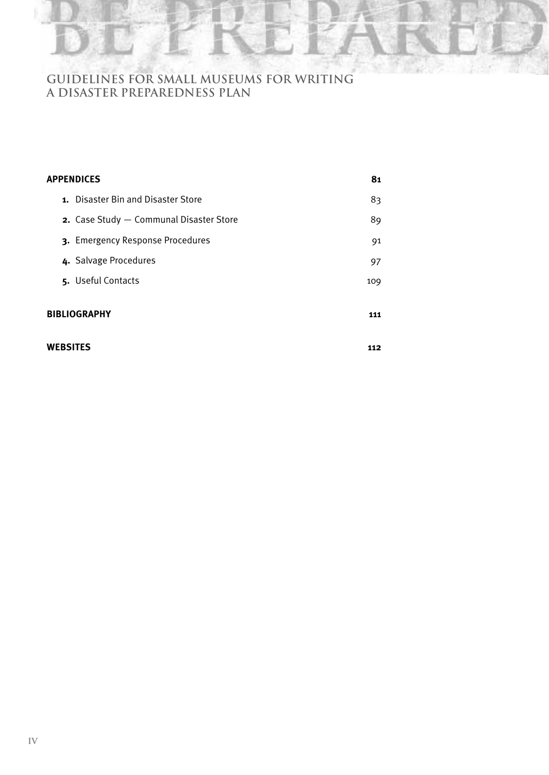| <b>APPENDICES</b>                       | 81  |
|-----------------------------------------|-----|
| 1. Disaster Bin and Disaster Store      | 83  |
| 2. Case Study - Communal Disaster Store | 89  |
| 3. Emergency Response Procedures        | 91  |
| 4. Salvage Procedures                   | 97  |
| 5. Useful Contacts                      | 109 |
| <b>BIBLIOGRAPHY</b>                     | 111 |
| <b>WEBSITES</b>                         | 112 |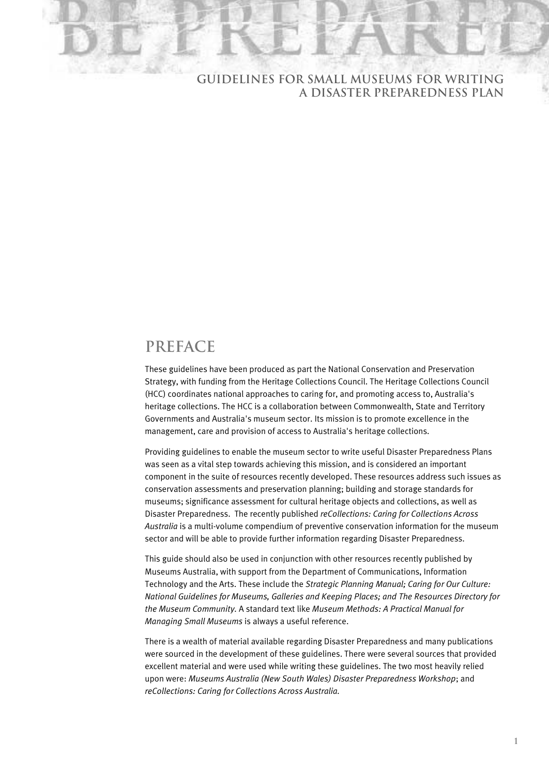## **PREFACE**

These guidelines have been produced as part the National Conservation and Preservation Strategy, with funding from the Heritage Collections Council. The Heritage Collections Council (HCC) coordinates national approaches to caring for, and promoting access to, Australia's heritage collections. The HCC is a collaboration between Commonwealth, State and Territory Governments and Australia's museum sector. Its mission is to promote excellence in the management, care and provision of access to Australia's heritage collections.

Providing guidelines to enable the museum sector to write useful Disaster Preparedness Plans was seen as a vital step towards achieving this mission, and is considered an important component in the suite of resources recently developed. These resources address such issues as conservation assessments and preservation planning; building and storage standards for museums; significance assessment for cultural heritage objects and collections, as well as Disaster Preparedness. The recently published *reCollections: Caring for Collections Across Australia* is a multi-volume compendium of preventive conservation information for the museum sector and will be able to provide further information regarding Disaster Preparedness.

This guide should also be used in conjunction with other resources recently published by Museums Australia, with support from the Department of Communications, Information Technology and the Arts. These include the *Strategic Planning Manual; Caring for Our Culture: National Guidelines for Museums, Galleries and Keeping Places; and The Resources Directory for the Museum Community.* A standard text like *Museum Methods: A Practical Manual for Managing Small Museums* is always a useful reference.

There is a wealth of material available regarding Disaster Preparedness and many publications were sourced in the development of these guidelines. There were several sources that provided excellent material and were used while writing these guidelines. The two most heavily relied upon were: *Museums Australia (New South Wales) Disaster Preparedness Workshop*; and *reCollections: Caring for Collections Across Australia.*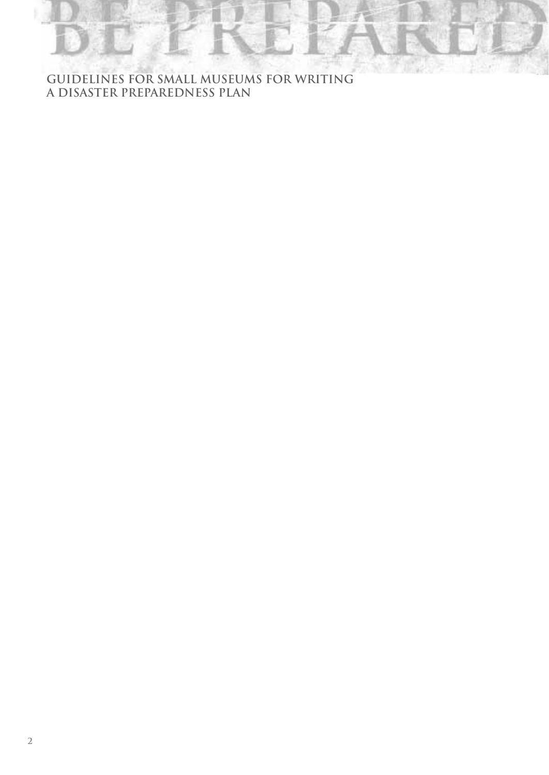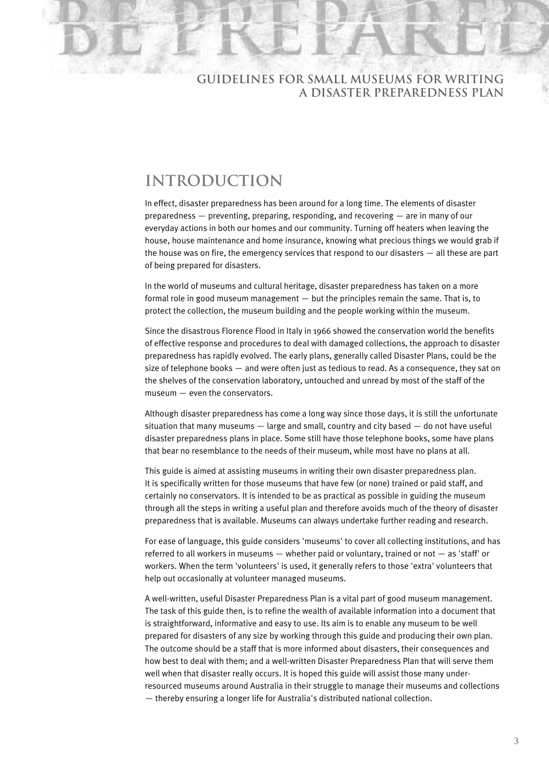## **INTRODUCTION**

In effect, disaster preparedness has been around for a long time. The elements of disaster preparedness — preventing, preparing, responding, and recovering — are in many of our everyday actions in both our homes and our community. Turning off heaters when leaving the house, house maintenance and home insurance, knowing what precious things we would grab if the house was on fire, the emergency services that respond to our disasters — all these are part of being prepared for disasters.

In the world of museums and cultural heritage, disaster preparedness has taken on a more formal role in good museum management — but the principles remain the same. That is, to protect the collection, the museum building and the people working within the museum.

Since the disastrous Florence Flood in Italy in 1966 showed the conservation world the benefits of effective response and procedures to deal with damaged collections, the approach to disaster preparedness has rapidly evolved. The early plans, generally called Disaster Plans, could be the size of telephone books — and were often just as tedious to read. As a consequence, they sat on the shelves of the conservation laboratory, untouched and unread by most of the staff of the museum — even the conservators.

Although disaster preparedness has come a long way since those days, it is still the unfortunate situation that many museums  $-$  large and small, country and city based  $-$  do not have useful disaster preparedness plans in place. Some still have those telephone books, some have plans that bear no resemblance to the needs of their museum, while most have no plans at all.

This guide is aimed at assisting museums in writing their own disaster preparedness plan. It is specifically written for those museums that have few (or none) trained or paid staff, and certainly no conservators. It is intended to be as practical as possible in guiding the museum through all the steps in writing a useful plan and therefore avoids much of the theory of disaster preparedness that is available. Museums can always undertake further reading and research.

For ease of language, this guide considers 'museums' to cover all collecting institutions, and has referred to all workers in museums — whether paid or voluntary, trained or not — as 'staff' or workers. When the term 'volunteers' is used, it generally refers to those 'extra' volunteers that help out occasionally at volunteer managed museums.

A well-written, useful Disaster Preparedness Plan is a vital part of good museum management. The task of this guide then, is to refine the wealth of available information into a document that is straightforward, informative and easy to use. Its aim is to enable any museum to be well prepared for disasters of any size by working through this guide and producing their own plan. The outcome should be a staff that is more informed about disasters, their consequences and how best to deal with them; and a well-written Disaster Preparedness Plan that will serve them well when that disaster really occurs. It is hoped this guide will assist those many underresourced museums around Australia in their struggle to manage their museums and collections — thereby ensuring a longer life for Australia's distributed national collection.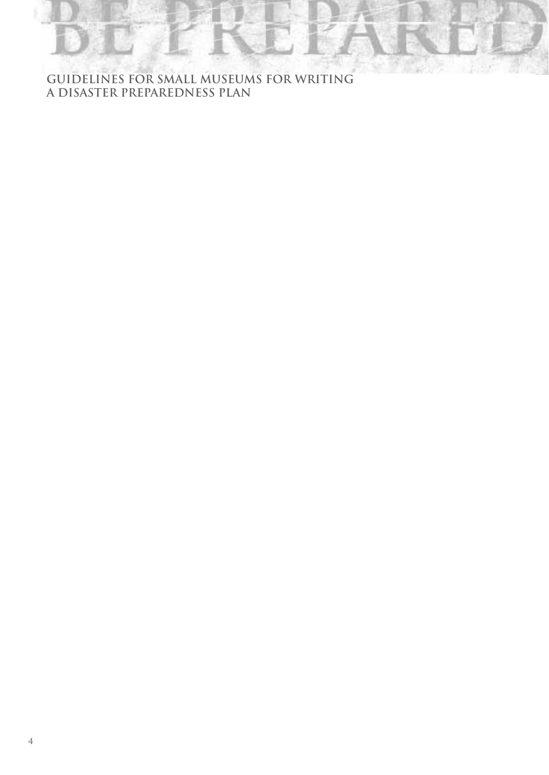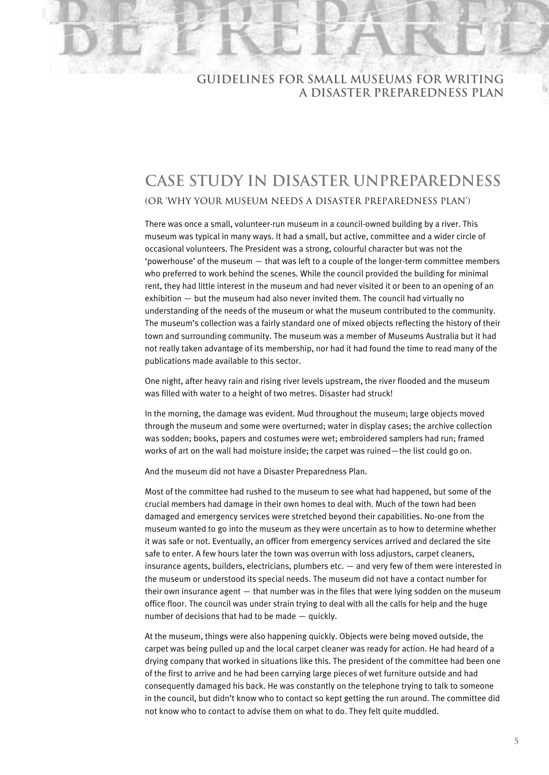## **CASE STUDY IN DISASTER UNPREPAREDNESS** (Or 'Why your museum needs a disaster preparedness plan')

There was once a small, volunteer-run museum in a council-owned building by a river. This museum was typical in many ways. It had a small, but active, committee and a wider circle of occasional volunteers. The President was a strong, colourful character but was not the 'powerhouse' of the museum — that was left to a couple of the longer-term committee members who preferred to work behind the scenes. While the council provided the building for minimal rent, they had little interest in the museum and had never visited it or been to an opening of an exhibition — but the museum had also never invited them. The council had virtually no understanding of the needs of the museum or what the museum contributed to the community. The museum's collection was a fairly standard one of mixed objects reflecting the history of their town and surrounding community. The museum was a member of Museums Australia but it had not really taken advantage of its membership, nor had it had found the time to read many of the publications made available to this sector.

One night, after heavy rain and rising river levels upstream, the river flooded and the museum was filled with water to a height of two metres. Disaster had struck!

In the morning, the damage was evident. Mud throughout the museum; large objects moved through the museum and some were overturned; water in display cases; the archive collection was sodden; books, papers and costumes were wet; embroidered samplers had run; framed works of art on the wall had moisture inside; the carpet was ruined—the list could go on.

And the museum did not have a Disaster Preparedness Plan.

Most of the committee had rushed to the museum to see what had happened, but some of the crucial members had damage in their own homes to deal with. Much of the town had been damaged and emergency services were stretched beyond their capabilities. No-one from the museum wanted to go into the museum as they were uncertain as to how to determine whether it was safe or not. Eventually, an officer from emergency services arrived and declared the site safe to enter. A few hours later the town was overrun with loss adjustors, carpet cleaners, insurance agents, builders, electricians, plumbers etc. — and very few of them were interested in the museum or understood its special needs. The museum did not have a contact number for their own insurance agent — that number was in the files that were lying sodden on the museum office floor. The council was under strain trying to deal with all the calls for help and the huge number of decisions that had to be made — quickly.

At the museum, things were also happening quickly. Objects were being moved outside, the carpet was being pulled up and the local carpet cleaner was ready for action. He had heard of a drying company that worked in situations like this. The president of the committee had been one of the first to arrive and he had been carrying large pieces of wet furniture outside and had consequently damaged his back. He was constantly on the telephone trying to talk to someone in the council, but didn't know who to contact so kept getting the run around. The committee did not know who to contact to advise them on what to do. They felt quite muddled.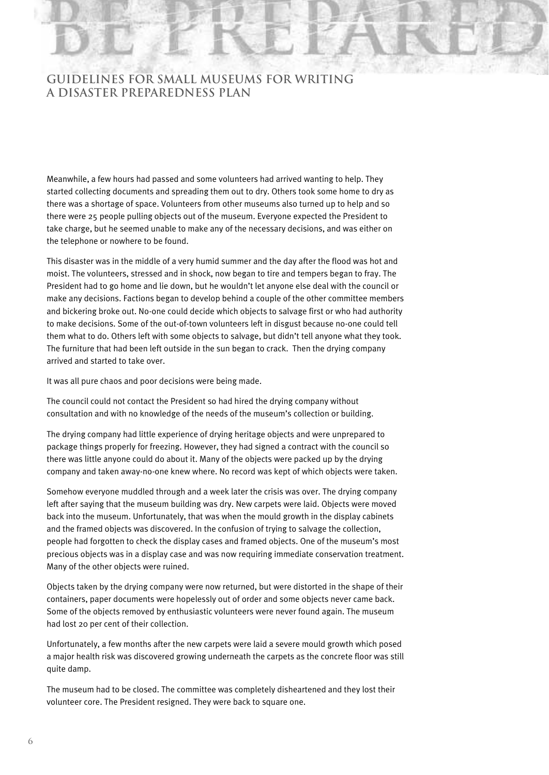Meanwhile, a few hours had passed and some volunteers had arrived wanting to help. They started collecting documents and spreading them out to dry. Others took some home to dry as there was a shortage of space. Volunteers from other museums also turned up to help and so there were 25 people pulling objects out of the museum. Everyone expected the President to take charge, but he seemed unable to make any of the necessary decisions, and was either on the telephone or nowhere to be found.

This disaster was in the middle of a very humid summer and the day after the flood was hot and moist. The volunteers, stressed and in shock, now began to tire and tempers began to fray. The President had to go home and lie down, but he wouldn't let anyone else deal with the council or make any decisions. Factions began to develop behind a couple of the other committee members and bickering broke out. No-one could decide which objects to salvage first or who had authority to make decisions. Some of the out-of-town volunteers left in disgust because no-one could tell them what to do. Others left with some objects to salvage, but didn't tell anyone what they took. The furniture that had been left outside in the sun began to crack. Then the drying company arrived and started to take over.

It was all pure chaos and poor decisions were being made.

The council could not contact the President so had hired the drying company without consultation and with no knowledge of the needs of the museum's collection or building.

The drying company had little experience of drying heritage objects and were unprepared to package things properly for freezing. However, they had signed a contract with the council so there was little anyone could do about it. Many of the objects were packed up by the drying company and taken away-no-one knew where. No record was kept of which objects were taken.

Somehow everyone muddled through and a week later the crisis was over. The drying company left after saying that the museum building was dry. New carpets were laid. Objects were moved back into the museum. Unfortunately, that was when the mould growth in the display cabinets and the framed objects was discovered. In the confusion of trying to salvage the collection, people had forgotten to check the display cases and framed objects. One of the museum's most precious objects was in a display case and was now requiring immediate conservation treatment. Many of the other objects were ruined.

Objects taken by the drying company were now returned, but were distorted in the shape of their containers, paper documents were hopelessly out of order and some objects never came back. Some of the objects removed by enthusiastic volunteers were never found again. The museum had lost 20 per cent of their collection.

Unfortunately, a few months after the new carpets were laid a severe mould growth which posed a major health risk was discovered growing underneath the carpets as the concrete floor was still quite damp.

The museum had to be closed. The committee was completely disheartened and they lost their volunteer core. The President resigned. They were back to square one.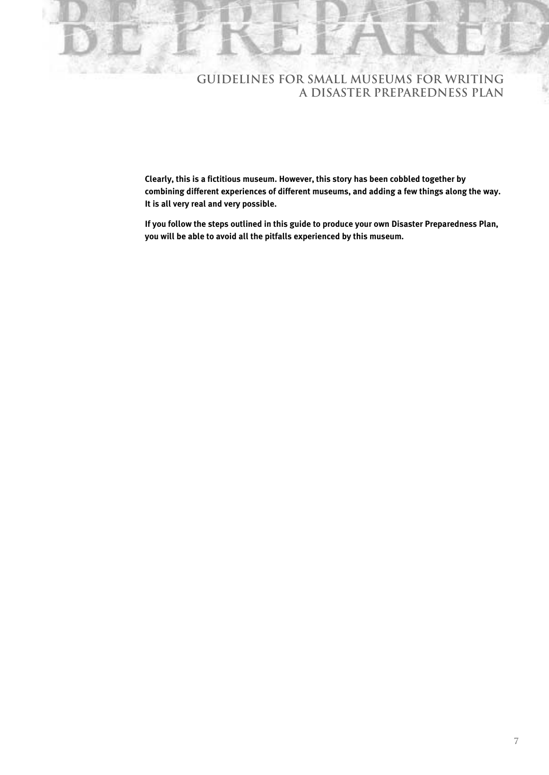**Clearly, this is a fictitious museum. However, this story has been cobbled together by combining different experiences of different museums, and adding a few things along the way. It is all very real and very possible.**

**If you follow the steps outlined in this guide to produce your own Disaster Preparedness Plan, you will be able to avoid all the pitfalls experienced by this museum.**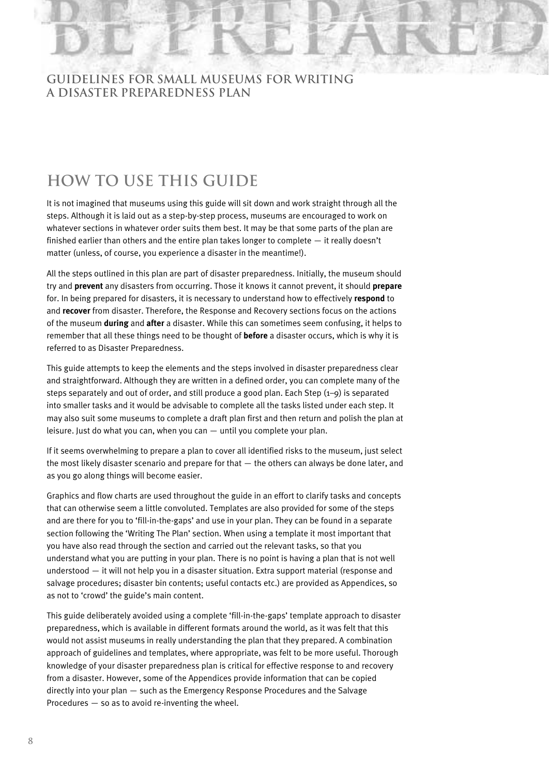## **HOW TO USE THIS GUIDE**

It is not imagined that museums using this guide will sit down and work straight through all the steps. Although it is laid out as a step-by-step process, museums are encouraged to work on whatever sections in whatever order suits them best. It may be that some parts of the plan are finished earlier than others and the entire plan takes longer to complete — it really doesn't matter (unless, of course, you experience a disaster in the meantime!).

All the steps outlined in this plan are part of disaster preparedness. Initially, the museum should try and **prevent** any disasters from occurring. Those it knows it cannot prevent, it should **prepare** for. In being prepared for disasters, it is necessary to understand how to effectively **respond** to and **recover** from disaster. Therefore, the Response and Recovery sections focus on the actions of the museum **during** and **after** a disaster. While this can sometimes seem confusing, it helps to remember that all these things need to be thought of **before** a disaster occurs, which is why it is referred to as Disaster Preparedness.

This guide attempts to keep the elements and the steps involved in disaster preparedness clear and straightforward. Although they are written in a defined order, you can complete many of the steps separately and out of order, and still produce a good plan. Each Step (1–9) is separated into smaller tasks and it would be advisable to complete all the tasks listed under each step. It may also suit some museums to complete a draft plan first and then return and polish the plan at leisure. Just do what you can, when you can — until you complete your plan.

If it seems overwhelming to prepare a plan to cover all identified risks to the museum, just select the most likely disaster scenario and prepare for that — the others can always be done later, and as you go along things will become easier.

Graphics and flow charts are used throughout the guide in an effort to clarify tasks and concepts that can otherwise seem a little convoluted. Templates are also provided for some of the steps and are there for you to 'fill-in-the-gaps' and use in your plan. They can be found in a separate section following the 'Writing The Plan' section. When using a template it most important that you have also read through the section and carried out the relevant tasks, so that you understand what you are putting in your plan. There is no point is having a plan that is not well understood — it will not help you in a disaster situation. Extra support material (response and salvage procedures; disaster bin contents; useful contacts etc.) are provided as Appendices, so as not to 'crowd' the guide's main content.

This guide deliberately avoided using a complete 'fill-in-the-gaps' template approach to disaster preparedness, which is available in different formats around the world, as it was felt that this would not assist museums in really understanding the plan that they prepared. A combination approach of guidelines and templates, where appropriate, was felt to be more useful. Thorough knowledge of your disaster preparedness plan is critical for effective response to and recovery from a disaster. However, some of the Appendices provide information that can be copied directly into your plan — such as the Emergency Response Procedures and the Salvage Procedures — so as to avoid re-inventing the wheel.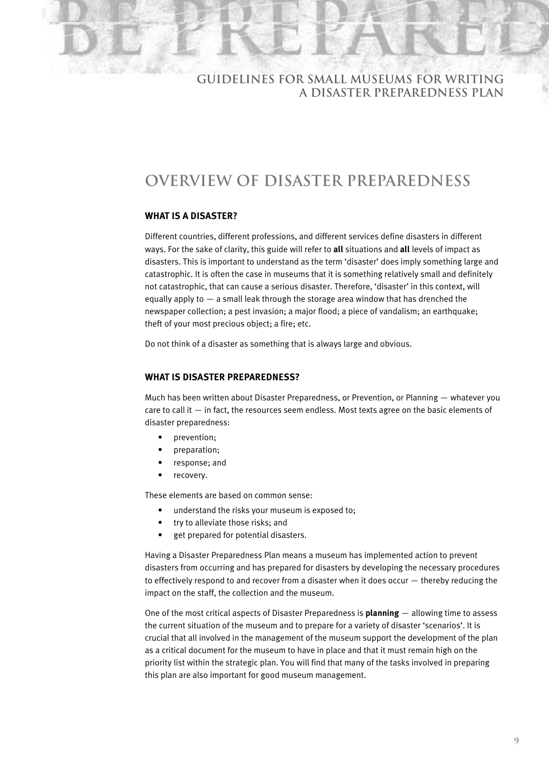## **OVERVIEW OF DISASTER PREPAREDNESS**

#### **WHAT IS A DISASTER?**

Different countries, different professions, and different services define disasters in different ways. For the sake of clarity, this guide will refer to **all** situations and **all** levels of impact as disasters. This is important to understand as the term 'disaster' does imply something large and catastrophic. It is often the case in museums that it is something relatively small and definitely not catastrophic, that can cause a serious disaster. Therefore, 'disaster' in this context, will equally apply to  $-$  a small leak through the storage area window that has drenched the newspaper collection; a pest invasion; a major flood; a piece of vandalism; an earthquake; theft of your most precious object; a fire; etc.

Do not think of a disaster as something that is always large and obvious.

#### **WHAT IS DISASTER PREPAREDNESS?**

Much has been written about Disaster Preparedness, or Prevention, or Planning — whatever you care to call it  $-$  in fact, the resources seem endless. Most texts agree on the basic elements of disaster preparedness:

- prevention;
- preparation;
- response; and
- recovery.

These elements are based on common sense:

- understand the risks your museum is exposed to;
- try to alleviate those risks; and
- get prepared for potential disasters.

Having a Disaster Preparedness Plan means a museum has implemented action to prevent disasters from occurring and has prepared for disasters by developing the necessary procedures to effectively respond to and recover from a disaster when it does occur — thereby reducing the impact on the staff, the collection and the museum.

One of the most critical aspects of Disaster Preparedness is **planning** — allowing time to assess the current situation of the museum and to prepare for a variety of disaster 'scenarios'. It is crucial that all involved in the management of the museum support the development of the plan as a critical document for the museum to have in place and that it must remain high on the priority list within the strategic plan. You will find that many of the tasks involved in preparing this plan are also important for good museum management.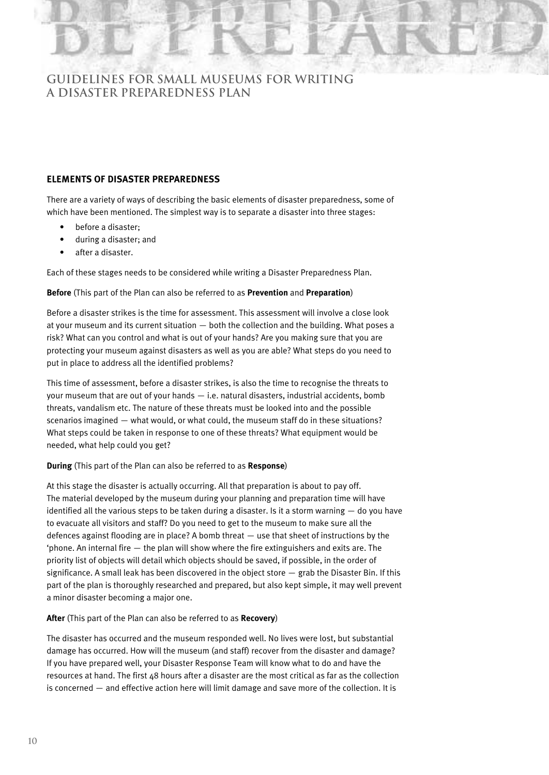#### **ELEMENTS OF DISASTER PREPAREDNESS**

There are a variety of ways of describing the basic elements of disaster preparedness, some of which have been mentioned. The simplest way is to separate a disaster into three stages:

- before a disaster;
- during a disaster; and
- after a disaster.

Each of these stages needs to be considered while writing a Disaster Preparedness Plan.

#### **Before** (This part of the Plan can also be referred to as **Prevention** and **Preparation**)

Before a disaster strikes is the time for assessment. This assessment will involve a close look at your museum and its current situation — both the collection and the building. What poses a risk? What can you control and what is out of your hands? Are you making sure that you are protecting your museum against disasters as well as you are able? What steps do you need to put in place to address all the identified problems?

This time of assessment, before a disaster strikes, is also the time to recognise the threats to your museum that are out of your hands — i.e. natural disasters, industrial accidents, bomb threats, vandalism etc. The nature of these threats must be looked into and the possible scenarios imagined — what would, or what could, the museum staff do in these situations? What steps could be taken in response to one of these threats? What equipment would be needed, what help could you get?

#### **During** (This part of the Plan can also be referred to as **Response**)

At this stage the disaster is actually occurring. All that preparation is about to pay off. The material developed by the museum during your planning and preparation time will have identified all the various steps to be taken during a disaster. Is it a storm warning  $-$  do you have to evacuate all visitors and staff? Do you need to get to the museum to make sure all the defences against flooding are in place? A bomb threat — use that sheet of instructions by the 'phone. An internal fire — the plan will show where the fire extinguishers and exits are. The priority list of objects will detail which objects should be saved, if possible, in the order of significance. A small leak has been discovered in the object store  $-$  grab the Disaster Bin. If this part of the plan is thoroughly researched and prepared, but also kept simple, it may well prevent a minor disaster becoming a major one.

#### **After** (This part of the Plan can also be referred to as **Recovery**)

The disaster has occurred and the museum responded well. No lives were lost, but substantial damage has occurred. How will the museum (and staff) recover from the disaster and damage? If you have prepared well, your Disaster Response Team will know what to do and have the resources at hand. The first 48 hours after a disaster are the most critical as far as the collection is concerned — and effective action here will limit damage and save more of the collection. It is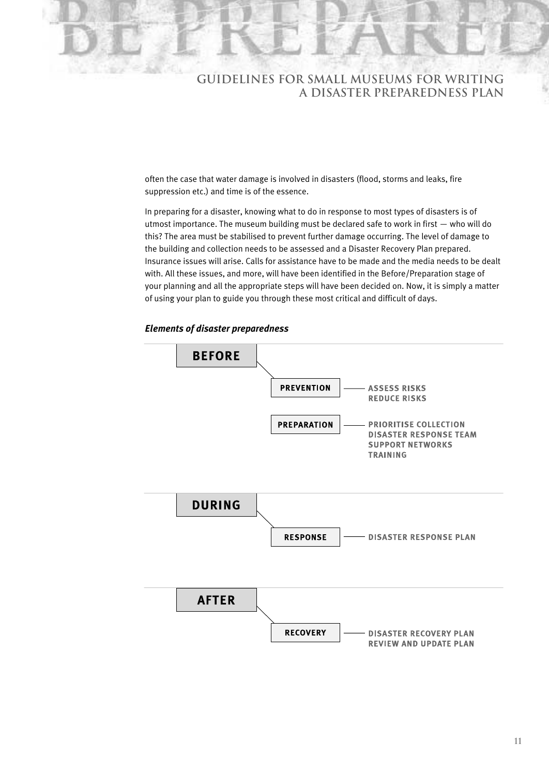often the case that water damage is involved in disasters (flood, storms and leaks, fire suppression etc.) and time is of the essence.

In preparing for a disaster, knowing what to do in response to most types of disasters is of utmost importance. The museum building must be declared safe to work in first — who will do this? The area must be stabilised to prevent further damage occurring. The level of damage to the building and collection needs to be assessed and a Disaster Recovery Plan prepared. Insurance issues will arise. Calls for assistance have to be made and the media needs to be dealt with. All these issues, and more, will have been identified in the Before/Preparation stage of your planning and all the appropriate steps will have been decided on. Now, it is simply a matter of using your plan to guide you through these most critical and difficult of days.

#### *Elements of disaster preparedness*

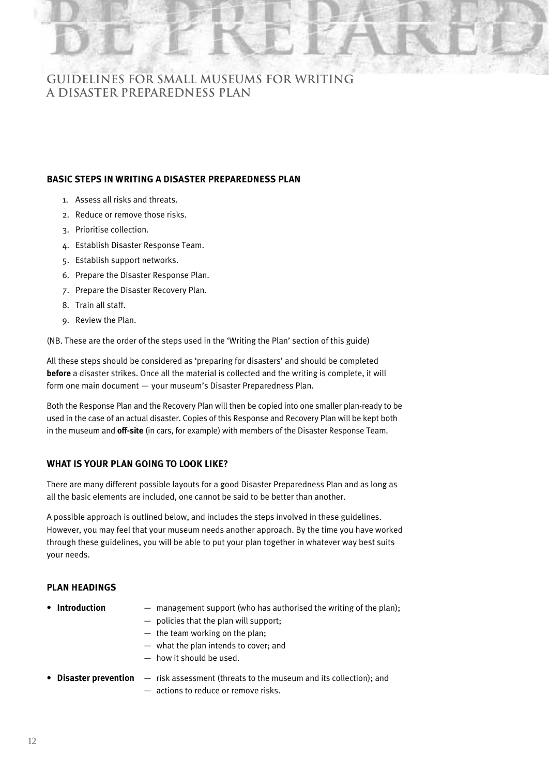#### **BASIC STEPS IN WRITING A DISASTER PREPAREDNESS PLAN**

- 1. Assess all risks and threats.
- 2. Reduce or remove those risks.
- 3. Prioritise collection.
- 4. Establish Disaster Response Team.
- 5. Establish support networks.
- 6. Prepare the Disaster Response Plan.
- 7. Prepare the Disaster Recovery Plan.
- 8. Train all staff.
- 9. Review the Plan.

(NB. These are the order of the steps used in the 'Writing the Plan' section of this guide)

All these steps should be considered as 'preparing for disasters' and should be completed **before** a disaster strikes. Once all the material is collected and the writing is complete, it will form one main document — your museum's Disaster Preparedness Plan.

Both the Response Plan and the Recovery Plan will then be copied into one smaller plan-ready to be used in the case of an actual disaster. Copies of this Response and Recovery Plan will be kept both in the museum and **off-site** (in cars, for example) with members of the Disaster Response Team.

#### **WHAT IS YOUR PLAN GOING TO LOOK LIKE?**

There are many different possible layouts for a good Disaster Preparedness Plan and as long as all the basic elements are included, one cannot be said to be better than another.

A possible approach is outlined below, and includes the steps involved in these guidelines. However, you may feel that your museum needs another approach. By the time you have worked through these guidelines, you will be able to put your plan together in whatever way best suits your needs.

#### **PLAN HEADINGS**

- 
- **Introduction**  $-$  management support (who has authorised the writing of the plan);
	- policies that the plan will support;
	- $-$  the team working on the plan;
	- what the plan intends to cover; and
	- how it should be used.
- Disaster prevention risk assessment (threats to the museum and its collection); and
	- actions to reduce or remove risks.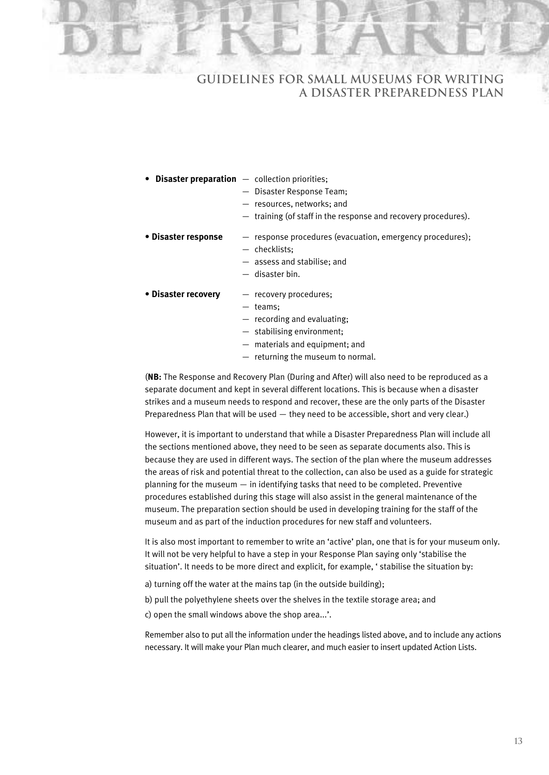| • Disaster preparation $-$ collection priorities; |                                                                |
|---------------------------------------------------|----------------------------------------------------------------|
|                                                   | - Disaster Response Team;                                      |
|                                                   | - resources, networks; and                                     |
|                                                   | - training (of staff in the response and recovery procedures). |
| • Disaster response                               | $-$ response procedures (evacuation, emergency procedures);    |
|                                                   | - checklists:                                                  |
|                                                   | - assess and stabilise; and                                    |
|                                                   | $-$ disaster bin.                                              |
| • Disaster recovery                               | - recovery procedures;                                         |
|                                                   | - teams:                                                       |
|                                                   | $-$ recording and evaluating;                                  |
|                                                   | $-$ stabilising environment;                                   |

- materials and equipment; and
- returning the museum to normal.

(**NB:** The Response and Recovery Plan (During and After) will also need to be reproduced as a separate document and kept in several different locations. This is because when a disaster strikes and a museum needs to respond and recover, these are the only parts of the Disaster Preparedness Plan that will be used  $-$  they need to be accessible, short and very clear.)

However, it is important to understand that while a Disaster Preparedness Plan will include all the sections mentioned above, they need to be seen as separate documents also. This is because they are used in different ways. The section of the plan where the museum addresses the areas of risk and potential threat to the collection, can also be used as a guide for strategic planning for the museum — in identifying tasks that need to be completed. Preventive procedures established during this stage will also assist in the general maintenance of the museum. The preparation section should be used in developing training for the staff of the museum and as part of the induction procedures for new staff and volunteers.

It is also most important to remember to write an 'active' plan, one that is for your museum only. It will not be very helpful to have a step in your Response Plan saying only 'stabilise the situation'. It needs to be more direct and explicit, for example, ' stabilise the situation by:

a) turning off the water at the mains tap (in the outside building);

b) pull the polyethylene sheets over the shelves in the textile storage area; and

c) open the small windows above the shop area...'.

Remember also to put all the information under the headings listed above, and to include any actions necessary. It will make your Plan much clearer, and much easier to insert updated Action Lists.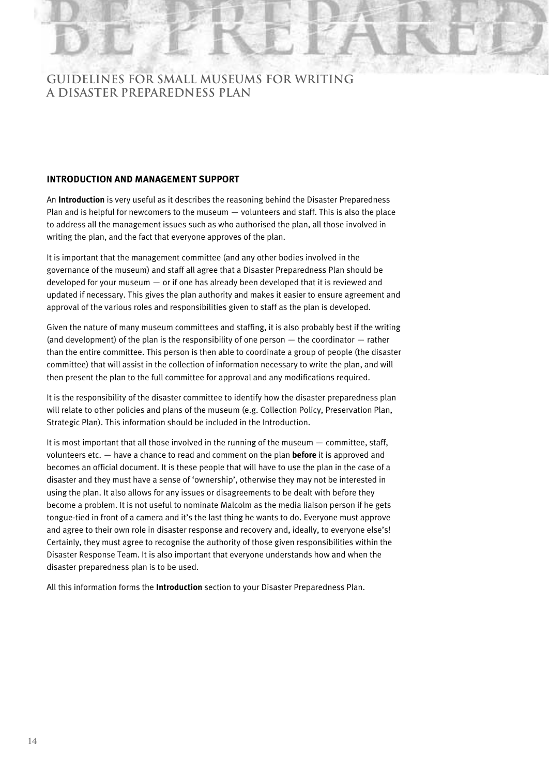#### **INTRODUCTION AND MANAGEMENT SUPPORT**

An **Introduction** is very useful as it describes the reasoning behind the Disaster Preparedness Plan and is helpful for newcomers to the museum — volunteers and staff. This is also the place to address all the management issues such as who authorised the plan, all those involved in writing the plan, and the fact that everyone approves of the plan.

It is important that the management committee (and any other bodies involved in the governance of the museum) and staff all agree that a Disaster Preparedness Plan should be developed for your museum — or if one has already been developed that it is reviewed and updated if necessary. This gives the plan authority and makes it easier to ensure agreement and approval of the various roles and responsibilities given to staff as the plan is developed.

Given the nature of many museum committees and staffing, it is also probably best if the writing (and development) of the plan is the responsibility of one person — the coordinator — rather than the entire committee. This person is then able to coordinate a group of people (the disaster committee) that will assist in the collection of information necessary to write the plan, and will then present the plan to the full committee for approval and any modifications required.

It is the responsibility of the disaster committee to identify how the disaster preparedness plan will relate to other policies and plans of the museum (e.g. Collection Policy, Preservation Plan, Strategic Plan). This information should be included in the Introduction.

It is most important that all those involved in the running of the museum — committee, staff, volunteers etc. — have a chance to read and comment on the plan **before** it is approved and becomes an official document. It is these people that will have to use the plan in the case of a disaster and they must have a sense of 'ownership', otherwise they may not be interested in using the plan. It also allows for any issues or disagreements to be dealt with before they become a problem. It is not useful to nominate Malcolm as the media liaison person if he gets tongue-tied in front of a camera and it's the last thing he wants to do. Everyone must approve and agree to their own role in disaster response and recovery and, ideally, to everyone else's! Certainly, they must agree to recognise the authority of those given responsibilities within the Disaster Response Team. It is also important that everyone understands how and when the disaster preparedness plan is to be used.

All this information forms the **Introduction** section to your Disaster Preparedness Plan.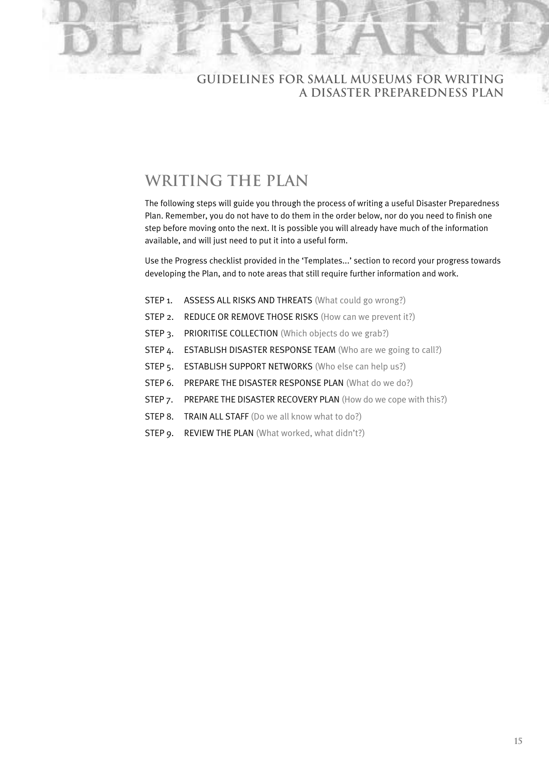## **WRITING THE PLAN**

The following steps will guide you through the process of writing a useful Disaster Preparedness Plan. Remember, you do not have to do them in the order below, nor do you need to finish one step before moving onto the next. It is possible you will already have much of the information available, and will just need to put it into a useful form.

Use the Progress checklist provided in the 'Templates...' section to record your progress towards developing the Plan, and to note areas that still require further information and work.

- STEP 1. ASSESS ALL RISKS AND THREATS (What could go wrong?)
- STEP 2. REDUCE OR REMOVE THOSE RISKS (How can we prevent it?)
- STEP 3. PRIORITISE COLLECTION (Which objects do we grab?)
- STEP 4. ESTABLISH DISASTER RESPONSE TEAM (Who are we going to call?)
- STEP 5. ESTABLISH SUPPORT NETWORKS (Who else can help us?)
- STEP 6. PREPARE THE DISASTER RESPONSE PLAN (What do we do?)
- STEP 7. PREPARE THE DISASTER RECOVERY PLAN (How do we cope with this?)
- STEP 8. TRAIN ALL STAFF (Do we all know what to do?)
- STEP 9. REVIEW THE PLAN (What worked, what didn't?)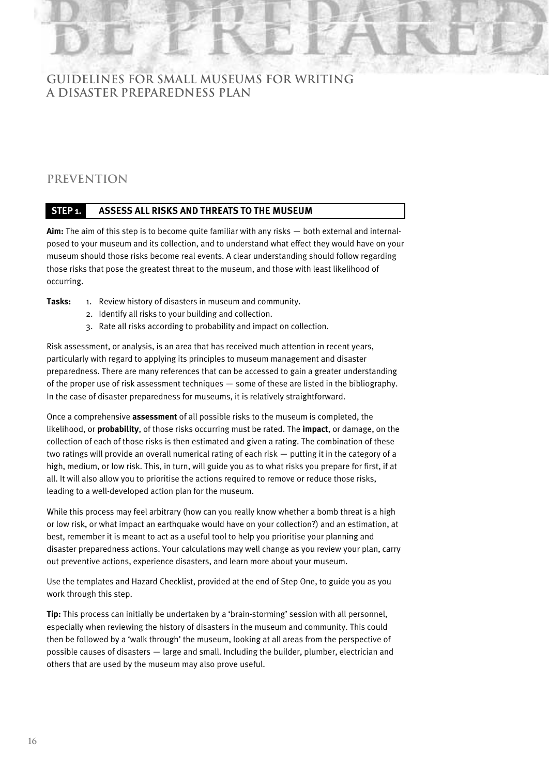### **prevention**

#### **STEP 1. ASSESS ALL RISKS AND THREATS TO THE MUSEUM**

**Aim:** The aim of this step is to become quite familiar with any risks — both external and internalposed to your museum and its collection, and to understand what effect they would have on your museum should those risks become real events. A clear understanding should follow regarding those risks that pose the greatest threat to the museum, and those with least likelihood of occurring.

- Tasks: 1. Review history of disasters in museum and community.
	- 2. Identify all risks to your building and collection.
	- 3. Rate all risks according to probability and impact on collection.

Risk assessment, or analysis, is an area that has received much attention in recent years, particularly with regard to applying its principles to museum management and disaster preparedness. There are many references that can be accessed to gain a greater understanding of the proper use of risk assessment techniques — some of these are listed in the bibliography. In the case of disaster preparedness for museums, it is relatively straightforward.

Once a comprehensive **assessment** of all possible risks to the museum is completed, the likelihood, or **probability**, of those risks occurring must be rated. The **impact**, or damage, on the collection of each of those risks is then estimated and given a rating. The combination of these two ratings will provide an overall numerical rating of each risk — putting it in the category of a high, medium, or low risk. This, in turn, will guide you as to what risks you prepare for first, if at all. It will also allow you to prioritise the actions required to remove or reduce those risks, leading to a well-developed action plan for the museum.

While this process may feel arbitrary (how can you really know whether a bomb threat is a high or low risk, or what impact an earthquake would have on your collection?) and an estimation, at best, remember it is meant to act as a useful tool to help you prioritise your planning and disaster preparedness actions. Your calculations may well change as you review your plan, carry out preventive actions, experience disasters, and learn more about your museum.

Use the templates and Hazard Checklist, provided at the end of Step One, to guide you as you work through this step.

**Tip:** This process can initially be undertaken by a 'brain-storming' session with all personnel, especially when reviewing the history of disasters in the museum and community. This could then be followed by a 'walk through' the museum, looking at all areas from the perspective of possible causes of disasters — large and small. Including the builder, plumber, electrician and others that are used by the museum may also prove useful.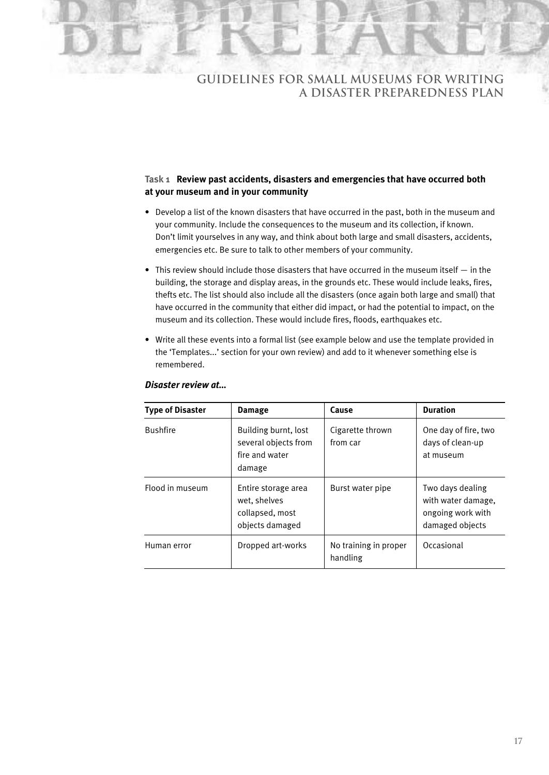#### **Task 1 Review past accidents, disasters and emergencies that have occurred both at your museum and in your community**

- Develop a list of the known disasters that have occurred in the past, both in the museum and your community. Include the consequences to the museum and its collection, if known. Don't limit yourselves in any way, and think about both large and small disasters, accidents, emergencies etc. Be sure to talk to other members of your community.
- This review should include those disasters that have occurred in the museum itself in the building, the storage and display areas, in the grounds etc. These would include leaks, fires, thefts etc. The list should also include all the disasters (once again both large and small) that have occurred in the community that either did impact, or had the potential to impact, on the museum and its collection. These would include fires, floods, earthquakes etc.
- Write all these events into a formal list (see example below and use the template provided in the 'Templates...' section for your own review) and add to it whenever something else is remembered.

| <b>Type of Disaster</b> | Damage                                                                    | Cause                             | <b>Duration</b>                                                                |
|-------------------------|---------------------------------------------------------------------------|-----------------------------------|--------------------------------------------------------------------------------|
| <b>Bushfire</b>         | Building burnt, lost<br>several objects from<br>fire and water<br>damage  | Cigarette thrown<br>from car      | One day of fire, two<br>days of clean-up<br>at museum                          |
| Flood in museum         | Entire storage area<br>wet, shelves<br>collapsed, most<br>objects damaged | Burst water pipe                  | Two days dealing<br>with water damage,<br>ongoing work with<br>damaged objects |
| Human error             | Dropped art-works                                                         | No training in proper<br>handling | Occasional                                                                     |

#### *Disaster review at…*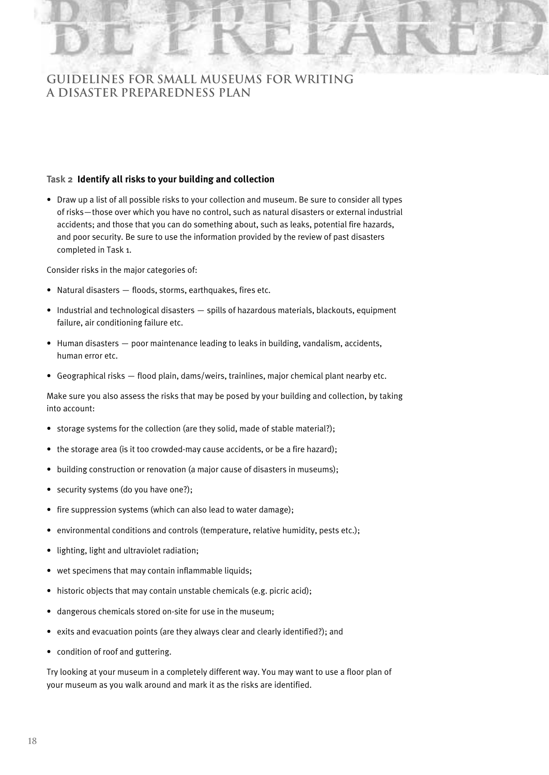#### **Task 2 Identify all risks to your building and collection**

• Draw up a list of all possible risks to your collection and museum. Be sure to consider all types of risks—those over which you have no control, such as natural disasters or external industrial accidents; and those that you can do something about, such as leaks, potential fire hazards, and poor security. Be sure to use the information provided by the review of past disasters completed in Task 1.

Consider risks in the major categories of:

- Natural disasters floods, storms, earthquakes, fires etc.
- Industrial and technological disasters spills of hazardous materials, blackouts, equipment failure, air conditioning failure etc.
- Human disasters poor maintenance leading to leaks in building, vandalism, accidents, human error etc.
- Geographical risks flood plain, dams/weirs, trainlines, major chemical plant nearby etc.

Make sure you also assess the risks that may be posed by your building and collection, by taking into account:

- storage systems for the collection (are they solid, made of stable material?);
- the storage area (is it too crowded-may cause accidents, or be a fire hazard);
- building construction or renovation (a major cause of disasters in museums);
- security systems (do you have one?);
- fire suppression systems (which can also lead to water damage);
- environmental conditions and controls (temperature, relative humidity, pests etc.);
- lighting, light and ultraviolet radiation;
- wet specimens that may contain inflammable liquids;
- historic objects that may contain unstable chemicals (e.g. picric acid);
- dangerous chemicals stored on-site for use in the museum;
- exits and evacuation points (are they always clear and clearly identified?); and
- condition of roof and guttering.

Try looking at your museum in a completely different way. You may want to use a floor plan of your museum as you walk around and mark it as the risks are identified.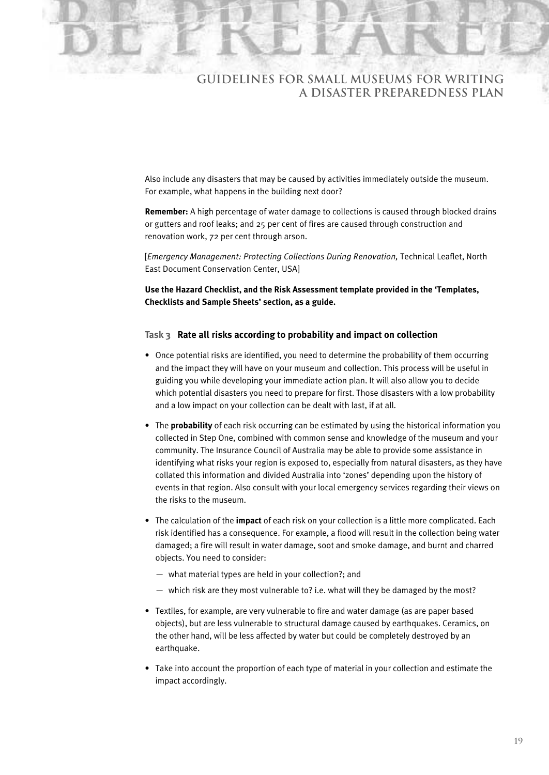Also include any disasters that may be caused by activities immediately outside the museum. For example, what happens in the building next door?

**Remember:** A high percentage of water damage to collections is caused through blocked drains or gutters and roof leaks; and 25 per cent of fires are caused through construction and renovation work, 72 per cent through arson.

[*Emergency Management: Protecting Collections During Renovation,* Technical Leaflet, North East Document Conservation Center, USA]

**Use the Hazard Checklist, and the Risk Assessment template provided in the 'Templates, Checklists and Sample Sheets' section, as a guide.**

#### **Task 3 Rate all risks according to probability and impact on collection**

- Once potential risks are identified, you need to determine the probability of them occurring and the impact they will have on your museum and collection. This process will be useful in guiding you while developing your immediate action plan. It will also allow you to decide which potential disasters you need to prepare for first. Those disasters with a low probability and a low impact on your collection can be dealt with last, if at all.
- The **probability** of each risk occurring can be estimated by using the historical information you collected in Step One, combined with common sense and knowledge of the museum and your community. The Insurance Council of Australia may be able to provide some assistance in identifying what risks your region is exposed to, especially from natural disasters, as they have collated this information and divided Australia into 'zones' depending upon the history of events in that region. Also consult with your local emergency services regarding their views on the risks to the museum.
- The calculation of the **impact** of each risk on your collection is a little more complicated. Each risk identified has a consequence. For example, a flood will result in the collection being water damaged; a fire will result in water damage, soot and smoke damage, and burnt and charred objects. You need to consider:
	- what material types are held in your collection?; and
	- which risk are they most vulnerable to? i.e. what will they be damaged by the most?
- Textiles, for example, are very vulnerable to fire and water damage (as are paper based objects), but are less vulnerable to structural damage caused by earthquakes. Ceramics, on the other hand, will be less affected by water but could be completely destroyed by an earthquake.
- Take into account the proportion of each type of material in your collection and estimate the impact accordingly.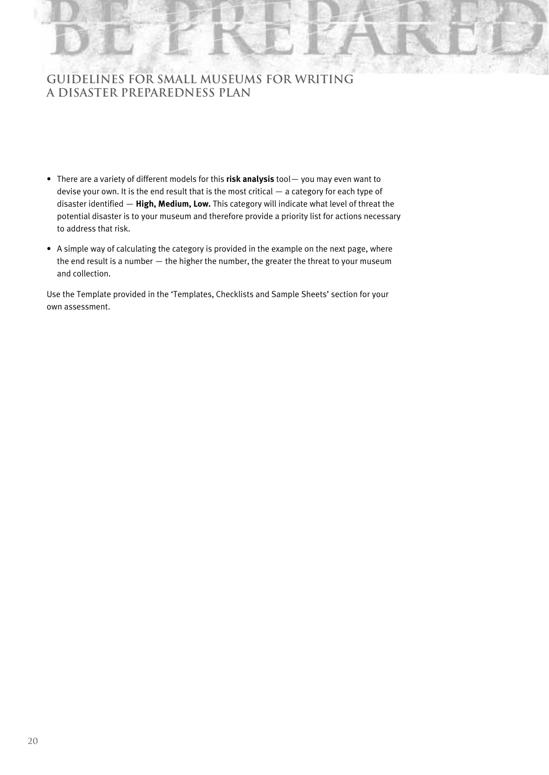- There are a variety of different models for this **risk analysis** tool— you may even want to devise your own. It is the end result that is the most critical — a category for each type of disaster identified — **High, Medium, Low.** This category will indicate what level of threat the potential disaster is to your museum and therefore provide a priority list for actions necessary to address that risk.
- A simple way of calculating the category is provided in the example on the next page, where the end result is a number — the higher the number, the greater the threat to your museum and collection.

Use the Template provided in the 'Templates, Checklists and Sample Sheets' section for your own assessment.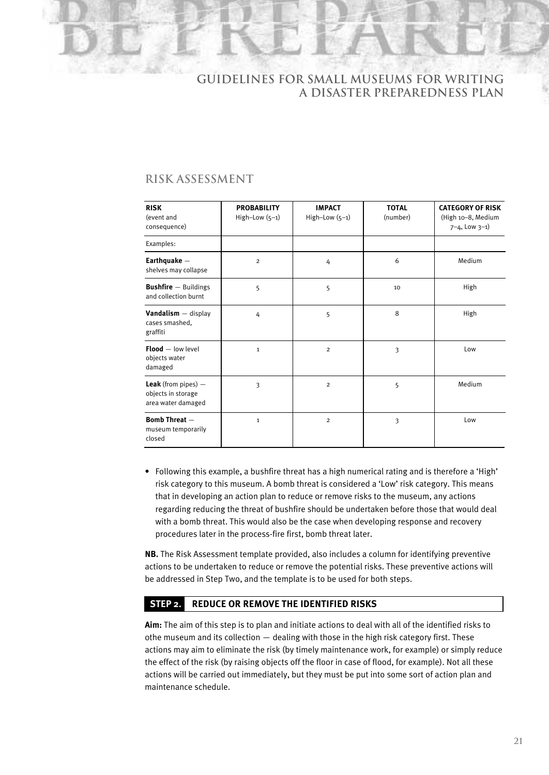#### **Risk Assessment**

| <b>RISK</b><br>(event and<br>consequence)                                | <b>PROBABILITY</b><br>$High-Low (5-1)$ | <b>IMPACT</b><br>$High-Low (5-1)$ | <b>TOTAL</b><br>(number) | <b>CATEGORY OF RISK</b><br>(High 10-8, Medium<br>$7 - 4$ , Low $3 - 1$ ) |
|--------------------------------------------------------------------------|----------------------------------------|-----------------------------------|--------------------------|--------------------------------------------------------------------------|
| Examples:                                                                |                                        |                                   |                          |                                                                          |
| Earthquake -<br>shelves may collapse                                     | $\overline{2}$                         | 4                                 | 6                        | Medium                                                                   |
| <b>Bushfire</b> - Buildings<br>and collection burnt                      | 5                                      | 5                                 | 10                       | High                                                                     |
| <b>Vandalism</b> - display<br>cases smashed,<br>graffiti                 | 4                                      | 5                                 | 8                        | High                                                                     |
| $Flood - low level$<br>objects water<br>damaged                          | $\mathbf{1}$                           | $\overline{2}$                    | 3                        | Low                                                                      |
| <b>Leak</b> (from pipes) $-$<br>objects in storage<br>area water damaged | 3                                      | $\overline{2}$                    | 5                        | Medium                                                                   |
| <b>Bomb Threat -</b><br>museum temporarily<br>closed                     | $\mathbf 1$                            | $\overline{2}$                    | 3                        | Low                                                                      |

• Following this example, a bushfire threat has a high numerical rating and is therefore a 'High' risk category to this museum. A bomb threat is considered a 'Low' risk category. This means that in developing an action plan to reduce or remove risks to the museum, any actions regarding reducing the threat of bushfire should be undertaken before those that would deal with a bomb threat. This would also be the case when developing response and recovery procedures later in the process-fire first, bomb threat later.

**NB.** The Risk Assessment template provided, also includes a column for identifying preventive actions to be undertaken to reduce or remove the potential risks. These preventive actions will be addressed in Step Two, and the template is to be used for both steps.

#### **STEP 2. REDUCE OR REMOVE THE IDENTIFIED RISKS**

**Aim:** The aim of this step is to plan and initiate actions to deal with all of the identified risks to othe museum and its collection  $-$  dealing with those in the high risk category first. These actions may aim to eliminate the risk (by timely maintenance work, for example) or simply reduce the effect of the risk (by raising objects off the floor in case of flood, for example). Not all these actions will be carried out immediately, but they must be put into some sort of action plan and maintenance schedule.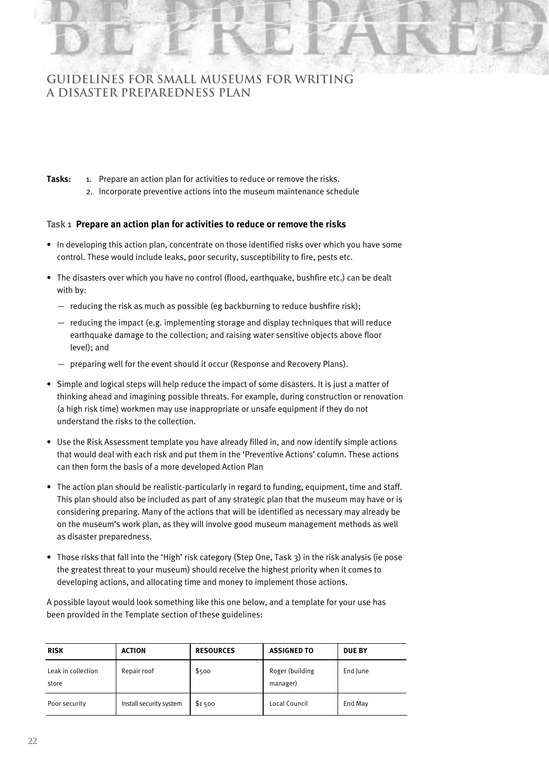- **Tasks:** 1. Prepare an action plan for activities to reduce or remove the risks.
	- 2. Incorporate preventive actions into the museum maintenance schedule

#### **Task 1 Prepare an action plan for activities to reduce or remove the risks**

- In developing this action plan, concentrate on those identified risks over which you have some control. These would include leaks, poor security, susceptibility to fire, pests etc.
- The disasters over which you have no control (flood, earthquake, bushfire etc.) can be dealt with by:
	- reducing the risk as much as possible (eg backburning to reduce bushfire risk);
	- reducing the impact (e.g. implementing storage and display techniques that will reduce earthquake damage to the collection; and raising water sensitive objects above floor level); and
	- preparing well for the event should it occur (Response and Recovery Plans).
- Simple and logical steps will help reduce the impact of some disasters. It is just a matter of thinking ahead and imagining possible threats. For example, during construction or renovation (a high risk time) workmen may use inappropriate or unsafe equipment if they do not understand the risks to the collection.
- Use the Risk Assessment template you have already filled in, and now identify simple actions that would deal with each risk and put them in the 'Preventive Actions' column. These actions can then form the basis of a more developed Action Plan
- The action plan should be realistic-particularly in regard to funding, equipment, time and staff. This plan should also be included as part of any strategic plan that the museum may have or is considering preparing. Many of the actions that will be identified as necessary may already be on the museum's work plan, as they will involve good museum management methods as well as disaster preparedness.
- Those risks that fall into the 'High' risk category (Step One, Task 3) in the risk analysis (ie pose the greatest threat to your museum) should receive the highest priority when it comes to developing actions, and allocating time and money to implement those actions.

A possible layout would look something like this one below, and a template for your use has been provided in the Template section of these guidelines:

| <b>RISK</b>                 | <b>ACTION</b>           | <b>RESOURCES</b> | <b>ASSIGNED TO</b>          | <b>DUE BY</b> |
|-----------------------------|-------------------------|------------------|-----------------------------|---------------|
| Leak in collection<br>store | Repair roof             | \$500            | Roger (building<br>manager) | End June      |
| Poor security               | Install security system | \$1500           | Local Council               | End May       |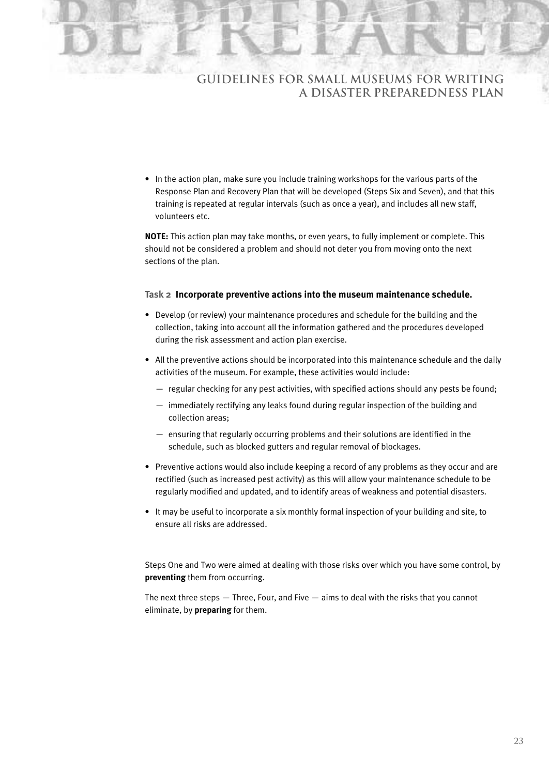• In the action plan, make sure you include training workshops for the various parts of the Response Plan and Recovery Plan that will be developed (Steps Six and Seven), and that this training is repeated at regular intervals (such as once a year), and includes all new staff, volunteers etc.

**NOTE:** This action plan may take months, or even years, to fully implement or complete. This should not be considered a problem and should not deter you from moving onto the next sections of the plan.

#### **Task 2 Incorporate preventive actions into the museum maintenance schedule.**

- Develop (or review) your maintenance procedures and schedule for the building and the collection, taking into account all the information gathered and the procedures developed during the risk assessment and action plan exercise.
- All the preventive actions should be incorporated into this maintenance schedule and the daily activities of the museum. For example, these activities would include:
	- regular checking for any pest activities, with specified actions should any pests be found;
	- immediately rectifying any leaks found during regular inspection of the building and collection areas;
	- ensuring that regularly occurring problems and their solutions are identified in the schedule, such as blocked gutters and regular removal of blockages.
- Preventive actions would also include keeping a record of any problems as they occur and are rectified (such as increased pest activity) as this will allow your maintenance schedule to be regularly modified and updated, and to identify areas of weakness and potential disasters.
- It may be useful to incorporate a six monthly formal inspection of your building and site, to ensure all risks are addressed.

Steps One and Two were aimed at dealing with those risks over which you have some control, by **preventing** them from occurring.

The next three steps  $-$  Three, Four, and Five  $-$  aims to deal with the risks that you cannot eliminate, by **preparing** for them.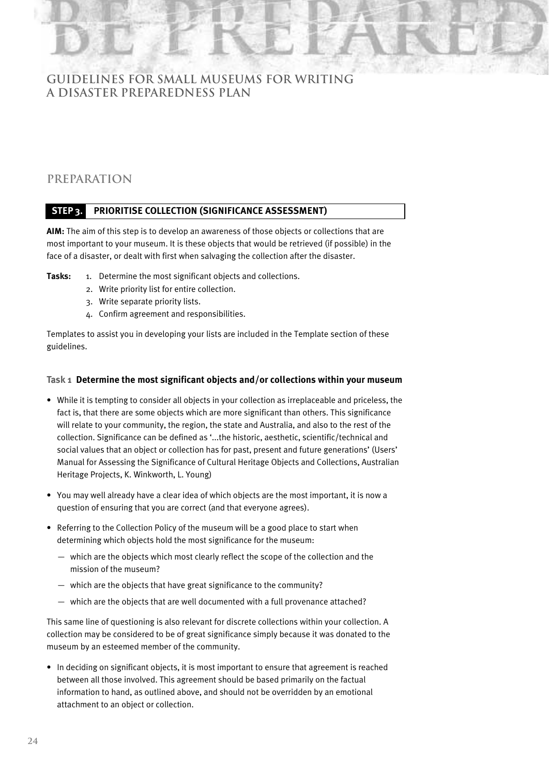### **preparation**

#### **STEP 3. PRIORITISE COLLECTION (SIGNIFICANCE ASSESSMENT)**

**AIM:** The aim of this step is to develop an awareness of those objects or collections that are most important to your museum. It is these objects that would be retrieved (if possible) in the face of a disaster, or dealt with first when salvaging the collection after the disaster.

- Tasks: 1. Determine the most significant objects and collections.
	- 2. Write priority list for entire collection.
	- 3. Write separate priority lists.
	- 4. Confirm agreement and responsibilities.

Templates to assist you in developing your lists are included in the Template section of these guidelines.

#### **Task 1 Determine the most significant objects and/or collections within your museum**

- While it is tempting to consider all objects in your collection as irreplaceable and priceless, the fact is, that there are some objects which are more significant than others. This significance will relate to your community, the region, the state and Australia, and also to the rest of the collection. Significance can be defined as '...the historic, aesthetic, scientific/technical and social values that an object or collection has for past, present and future generations' (Users' Manual for Assessing the Significance of Cultural Heritage Objects and Collections, Australian Heritage Projects, K. Winkworth, L. Young)
- You may well already have a clear idea of which objects are the most important, it is now a question of ensuring that you are correct (and that everyone agrees).
- Referring to the Collection Policy of the museum will be a good place to start when determining which objects hold the most significance for the museum:
	- which are the objects which most clearly reflect the scope of the collection and the mission of the museum?
	- which are the objects that have great significance to the community?
	- which are the objects that are well documented with a full provenance attached?

This same line of questioning is also relevant for discrete collections within your collection. A collection may be considered to be of great significance simply because it was donated to the museum by an esteemed member of the community.

• In deciding on significant objects, it is most important to ensure that agreement is reached between all those involved. This agreement should be based primarily on the factual information to hand, as outlined above, and should not be overridden by an emotional attachment to an object or collection.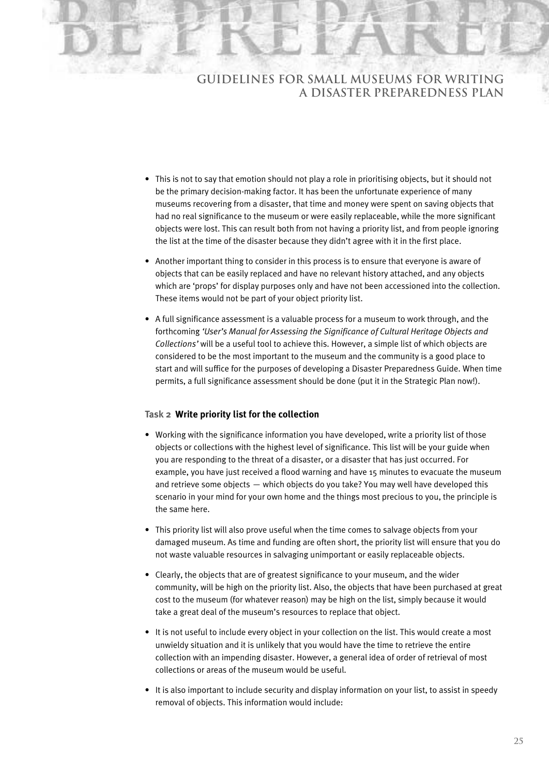- This is not to say that emotion should not play a role in prioritising objects, but it should not be the primary decision-making factor. It has been the unfortunate experience of many museums recovering from a disaster, that time and money were spent on saving objects that had no real significance to the museum or were easily replaceable, while the more significant objects were lost. This can result both from not having a priority list, and from people ignoring the list at the time of the disaster because they didn't agree with it in the first place.
- Another important thing to consider in this process is to ensure that everyone is aware of objects that can be easily replaced and have no relevant history attached, and any objects which are 'props' for display purposes only and have not been accessioned into the collection. These items would not be part of your object priority list.
- A full significance assessment is a valuable process for a museum to work through, and the forthcoming *'User's Manual for Assessing the Significance of Cultural Heritage Objects and Collections'* will be a useful tool to achieve this. However, a simple list of which objects are considered to be the most important to the museum and the community is a good place to start and will suffice for the purposes of developing a Disaster Preparedness Guide. When time permits, a full significance assessment should be done (put it in the Strategic Plan now!).

#### **Task 2 Write priority list for the collection**

- Working with the significance information you have developed, write a priority list of those objects or collections with the highest level of significance. This list will be your guide when you are responding to the threat of a disaster, or a disaster that has just occurred. For example, you have just received a flood warning and have 15 minutes to evacuate the museum and retrieve some objects — which objects do you take? You may well have developed this scenario in your mind for your own home and the things most precious to you, the principle is the same here.
- This priority list will also prove useful when the time comes to salvage objects from your damaged museum. As time and funding are often short, the priority list will ensure that you do not waste valuable resources in salvaging unimportant or easily replaceable objects.
- Clearly, the objects that are of greatest significance to your museum, and the wider community, will be high on the priority list. Also, the objects that have been purchased at great cost to the museum (for whatever reason) may be high on the list, simply because it would take a great deal of the museum's resources to replace that object.
- It is not useful to include every object in your collection on the list. This would create a most unwieldy situation and it is unlikely that you would have the time to retrieve the entire collection with an impending disaster. However, a general idea of order of retrieval of most collections or areas of the museum would be useful.
- It is also important to include security and display information on your list, to assist in speedy removal of objects. This information would include: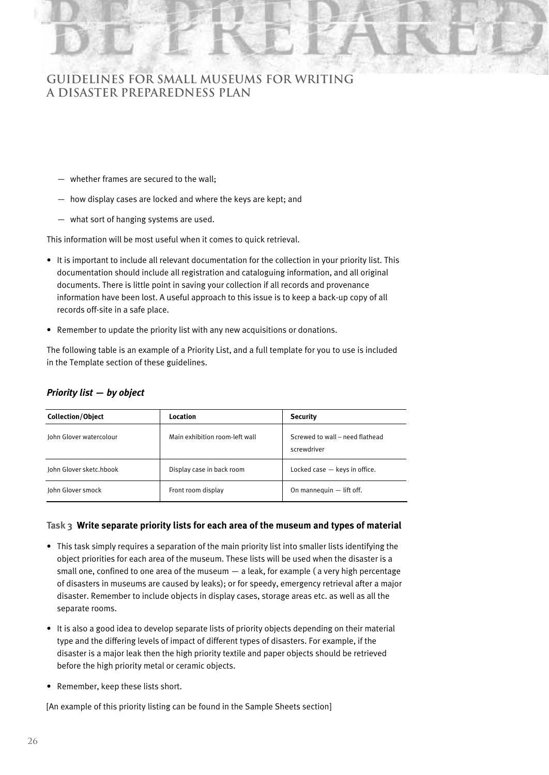- whether frames are secured to the wall;
- how display cases are locked and where the keys are kept; and
- what sort of hanging systems are used.

This information will be most useful when it comes to quick retrieval.

- It is important to include all relevant documentation for the collection in your priority list. This documentation should include all registration and cataloguing information, and all original documents. There is little point in saving your collection if all records and provenance information have been lost. A useful approach to this issue is to keep a back-up copy of all records off-site in a safe place.
- Remember to update the priority list with any new acquisitions or donations.

The following table is an example of a Priority List, and a full template for you to use is included in the Template section of these guidelines.

#### *Priority list — by object*

| <b>Collection/Object</b> | Location                       | <b>Security</b>                                |
|--------------------------|--------------------------------|------------------------------------------------|
| John Glover watercolour  | Main exhibition room-left wall | Screwed to wall – need flathead<br>screwdriver |
| John Glover sketc.hbook  | Display case in back room      | Locked case $-$ keys in office.                |
| John Glover smock        | Front room display             | On mannequin $-$ lift off.                     |

#### **Task 3 Write separate priority lists for each area of the museum and types of material**

- This task simply requires a separation of the main priority list into smaller lists identifying the object priorities for each area of the museum. These lists will be used when the disaster is a small one, confined to one area of the museum  $-$  a leak, for example (a very high percentage of disasters in museums are caused by leaks); or for speedy, emergency retrieval after a major disaster. Remember to include objects in display cases, storage areas etc. as well as all the separate rooms.
- It is also a good idea to develop separate lists of priority objects depending on their material type and the differing levels of impact of different types of disasters. For example, if the disaster is a major leak then the high priority textile and paper objects should be retrieved before the high priority metal or ceramic objects.
- Remember, keep these lists short.

[An example of this priority listing can be found in the Sample Sheets section]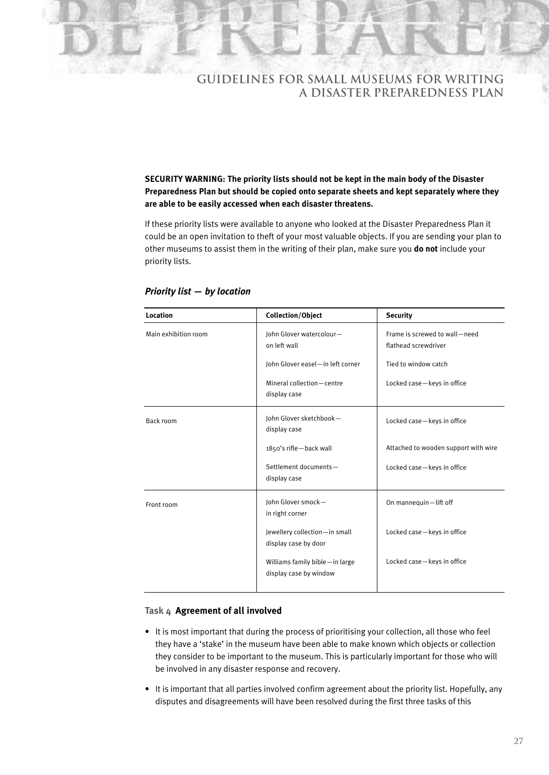**SECURITY WARNING: The priority lists should not be kept in the main body of the Disaster Preparedness Plan but should be copied onto separate sheets and kept separately where they are able to be easily accessed when each disaster threatens.**

If these priority lists were available to anyone who looked at the Disaster Preparedness Plan it could be an open invitation to theft of your most valuable objects. If you are sending your plan to other museums to assist them in the writing of their plan, make sure you **do not** include your priority lists.

| Location             | <b>Collection/Object</b>                                 | <b>Security</b>                                       |
|----------------------|----------------------------------------------------------|-------------------------------------------------------|
| Main exhibition room | Iohn Glover watercolour-<br>on left wall                 | Frame is screwed to wall-need<br>flathead screwdriver |
|                      | John Glover easel-in left corner                         | Tied to window catch                                  |
|                      | Mineral collection-centre<br>display case                | Locked case-keys in office                            |
| Back room            | John Glover sketchbook-<br>display case                  | Locked case-keys in office                            |
|                      | 1850's rifle-back wall                                   | Attached to wooden support with wire                  |
|                      | Settlement documents-<br>display case                    | Locked case-keys in office                            |
| Front room           | John Glover smock-<br>in right corner                    | On mannequin-lift off                                 |
|                      | Jewellery collection-in small<br>display case by door    | Locked case-keys in office                            |
|                      | Williams family bible-in large<br>display case by window | Locked case-keys in office                            |

#### *Priority list — by location*

#### **Task 4 Agreement of all involved**

- It is most important that during the process of prioritising your collection, all those who feel they have a 'stake' in the museum have been able to make known which objects or collection they consider to be important to the museum. This is particularly important for those who will be involved in any disaster response and recovery.
- It is important that all parties involved confirm agreement about the priority list. Hopefully, any disputes and disagreements will have been resolved during the first three tasks of this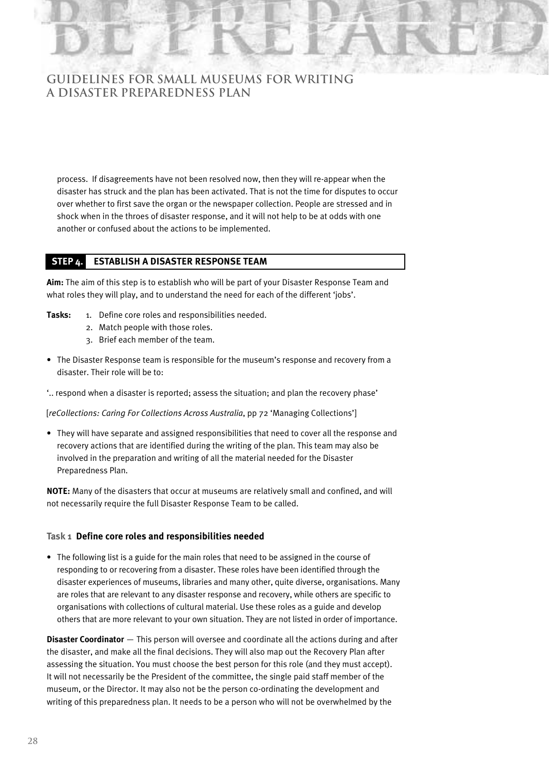process. If disagreements have not been resolved now, then they will re-appear when the disaster has struck and the plan has been activated. That is not the time for disputes to occur over whether to first save the organ or the newspaper collection. People are stressed and in shock when in the throes of disaster response, and it will not help to be at odds with one another or confused about the actions to be implemented.

#### **STEP 4. ESTABLISH A DISASTER RESPONSE TEAM**

**Aim:** The aim of this step is to establish who will be part of your Disaster Response Team and what roles they will play, and to understand the need for each of the different 'jobs'.

- **Tasks:** 1. Define core roles and responsibilities needed.
	- 2. Match people with those roles.
	- 3. Brief each member of the team.
- The Disaster Response team is responsible for the museum's response and recovery from a disaster. Their role will be to:
- '.. respond when a disaster is reported; assess the situation; and plan the recovery phase'

[*reCollections: Caring For Collections Across Australia*, pp 72 'Managing Collections']

• They will have separate and assigned responsibilities that need to cover all the response and recovery actions that are identified during the writing of the plan. This team may also be involved in the preparation and writing of all the material needed for the Disaster Preparedness Plan.

**NOTE:** Many of the disasters that occur at museums are relatively small and confined, and will not necessarily require the full Disaster Response Team to be called.

#### **Task 1 Define core roles and responsibilities needed**

• The following list is a guide for the main roles that need to be assigned in the course of responding to or recovering from a disaster. These roles have been identified through the disaster experiences of museums, libraries and many other, quite diverse, organisations. Many are roles that are relevant to any disaster response and recovery, while others are specific to organisations with collections of cultural material. Use these roles as a guide and develop others that are more relevant to your own situation. They are not listed in order of importance.

**Disaster Coordinator** — This person will oversee and coordinate all the actions during and after the disaster, and make all the final decisions. They will also map out the Recovery Plan after assessing the situation. You must choose the best person for this role (and they must accept). It will not necessarily be the President of the committee, the single paid staff member of the museum, or the Director. It may also not be the person co-ordinating the development and writing of this preparedness plan. It needs to be a person who will not be overwhelmed by the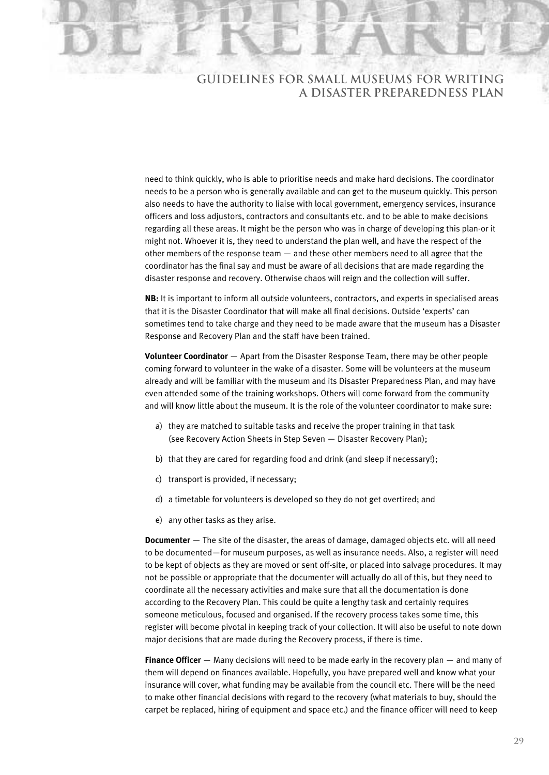need to think quickly, who is able to prioritise needs and make hard decisions. The coordinator needs to be a person who is generally available and can get to the museum quickly. This person also needs to have the authority to liaise with local government, emergency services, insurance officers and loss adjustors, contractors and consultants etc. and to be able to make decisions regarding all these areas. It might be the person who was in charge of developing this plan-or it might not. Whoever it is, they need to understand the plan well, and have the respect of the other members of the response team — and these other members need to all agree that the coordinator has the final say and must be aware of all decisions that are made regarding the disaster response and recovery. Otherwise chaos will reign and the collection will suffer.

**NB:** It is important to inform all outside volunteers, contractors, and experts in specialised areas that it is the Disaster Coordinator that will make all final decisions. Outside 'experts' can sometimes tend to take charge and they need to be made aware that the museum has a Disaster Response and Recovery Plan and the staff have been trained.

**Volunteer Coordinator** — Apart from the Disaster Response Team, there may be other people coming forward to volunteer in the wake of a disaster. Some will be volunteers at the museum already and will be familiar with the museum and its Disaster Preparedness Plan, and may have even attended some of the training workshops. Others will come forward from the community and will know little about the museum. It is the role of the volunteer coordinator to make sure:

- a) they are matched to suitable tasks and receive the proper training in that task (see Recovery Action Sheets in Step Seven — Disaster Recovery Plan);
- b) that they are cared for regarding food and drink (and sleep if necessary!);
- c) transport is provided, if necessary;
- d) a timetable for volunteers is developed so they do not get overtired; and
- e) any other tasks as they arise.

**Documenter** — The site of the disaster, the areas of damage, damaged objects etc. will all need to be documented—for museum purposes, as well as insurance needs. Also, a register will need to be kept of objects as they are moved or sent off-site, or placed into salvage procedures. It may not be possible or appropriate that the documenter will actually do all of this, but they need to coordinate all the necessary activities and make sure that all the documentation is done according to the Recovery Plan. This could be quite a lengthy task and certainly requires someone meticulous, focused and organised. If the recovery process takes some time, this register will become pivotal in keeping track of your collection. It will also be useful to note down major decisions that are made during the Recovery process, if there is time.

**Finance Officer** — Many decisions will need to be made early in the recovery plan — and many of them will depend on finances available. Hopefully, you have prepared well and know what your insurance will cover, what funding may be available from the council etc. There will be the need to make other financial decisions with regard to the recovery (what materials to buy, should the carpet be replaced, hiring of equipment and space etc.) and the finance officer will need to keep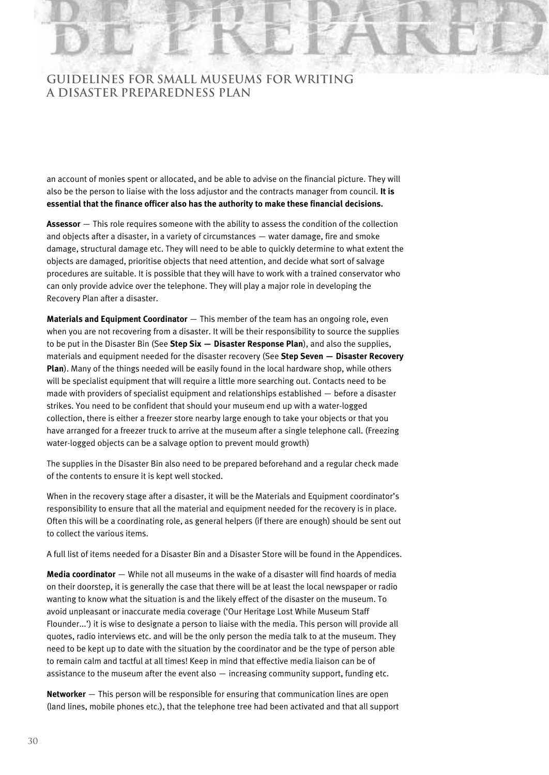an account of monies spent or allocated, and be able to advise on the financial picture. They will also be the person to liaise with the loss adjustor and the contracts manager from council. **It is essential that the finance officer also has the authority to make these financial decisions.**

**Assessor** — This role requires someone with the ability to assess the condition of the collection and objects after a disaster, in a variety of circumstances — water damage, fire and smoke damage, structural damage etc. They will need to be able to quickly determine to what extent the objects are damaged, prioritise objects that need attention, and decide what sort of salvage procedures are suitable. It is possible that they will have to work with a trained conservator who can only provide advice over the telephone. They will play a major role in developing the Recovery Plan after a disaster.

**Materials and Equipment Coordinator** — This member of the team has an ongoing role, even when you are not recovering from a disaster. It will be their responsibility to source the supplies to be put in the Disaster Bin (See **Step Six — Disaster Response Plan**), and also the supplies, materials and equipment needed for the disaster recovery (See **Step Seven — Disaster Recovery Plan**). Many of the things needed will be easily found in the local hardware shop, while others will be specialist equipment that will require a little more searching out. Contacts need to be made with providers of specialist equipment and relationships established — before a disaster strikes. You need to be confident that should your museum end up with a water-logged collection, there is either a freezer store nearby large enough to take your objects or that you have arranged for a freezer truck to arrive at the museum after a single telephone call. (Freezing water-logged objects can be a salvage option to prevent mould growth)

The supplies in the Disaster Bin also need to be prepared beforehand and a regular check made of the contents to ensure it is kept well stocked.

When in the recovery stage after a disaster, it will be the Materials and Equipment coordinator's responsibility to ensure that all the material and equipment needed for the recovery is in place. Often this will be a coordinating role, as general helpers (if there are enough) should be sent out to collect the various items.

A full list of items needed for a Disaster Bin and a Disaster Store will be found in the Appendices.

**Media coordinator** — While not all museums in the wake of a disaster will find hoards of media on their doorstep, it is generally the case that there will be at least the local newspaper or radio wanting to know what the situation is and the likely effect of the disaster on the museum. To avoid unpleasant or inaccurate media coverage ('Our Heritage Lost While Museum Staff Flounder...') it is wise to designate a person to liaise with the media. This person will provide all quotes, radio interviews etc. and will be the only person the media talk to at the museum. They need to be kept up to date with the situation by the coordinator and be the type of person able to remain calm and tactful at all times! Keep in mind that effective media liaison can be of assistance to the museum after the event also — increasing community support, funding etc.

**Networker** — This person will be responsible for ensuring that communication lines are open (land lines, mobile phones etc.), that the telephone tree had been activated and that all support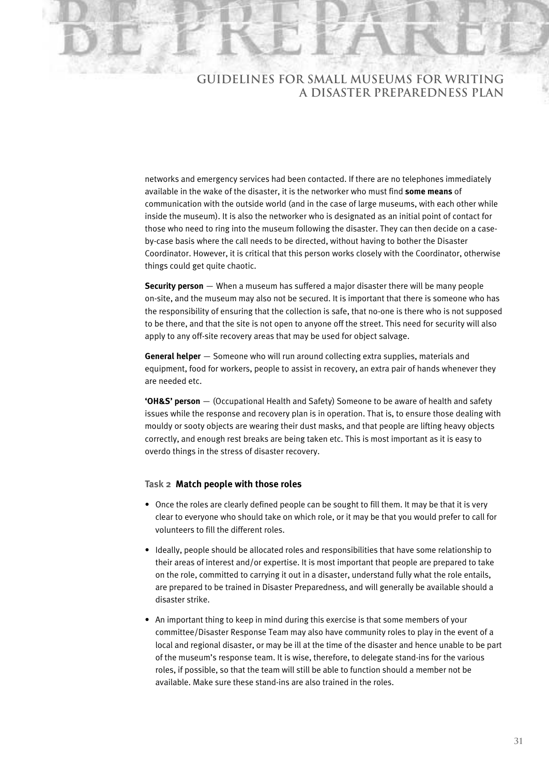networks and emergency services had been contacted. If there are no telephones immediately available in the wake of the disaster, it is the networker who must find **some means** of communication with the outside world (and in the case of large museums, with each other while inside the museum). It is also the networker who is designated as an initial point of contact for those who need to ring into the museum following the disaster. They can then decide on a caseby-case basis where the call needs to be directed, without having to bother the Disaster Coordinator. However, it is critical that this person works closely with the Coordinator, otherwise things could get quite chaotic.

**Security person** — When a museum has suffered a major disaster there will be many people on-site, and the museum may also not be secured. It is important that there is someone who has the responsibility of ensuring that the collection is safe, that no-one is there who is not supposed to be there, and that the site is not open to anyone off the street. This need for security will also apply to any off-site recovery areas that may be used for object salvage.

**General helper** — Someone who will run around collecting extra supplies, materials and equipment, food for workers, people to assist in recovery, an extra pair of hands whenever they are needed etc.

**'OH&S' person** — (Occupational Health and Safety) Someone to be aware of health and safety issues while the response and recovery plan is in operation. That is, to ensure those dealing with mouldy or sooty objects are wearing their dust masks, and that people are lifting heavy objects correctly, and enough rest breaks are being taken etc. This is most important as it is easy to overdo things in the stress of disaster recovery.

#### **Task 2 Match people with those roles**

- Once the roles are clearly defined people can be sought to fill them. It may be that it is very clear to everyone who should take on which role, or it may be that you would prefer to call for volunteers to fill the different roles.
- Ideally, people should be allocated roles and responsibilities that have some relationship to their areas of interest and/or expertise. It is most important that people are prepared to take on the role, committed to carrying it out in a disaster, understand fully what the role entails, are prepared to be trained in Disaster Preparedness, and will generally be available should a disaster strike.
- An important thing to keep in mind during this exercise is that some members of your committee/Disaster Response Team may also have community roles to play in the event of a local and regional disaster, or may be ill at the time of the disaster and hence unable to be part of the museum's response team. It is wise, therefore, to delegate stand-ins for the various roles, if possible, so that the team will still be able to function should a member not be available. Make sure these stand-ins are also trained in the roles.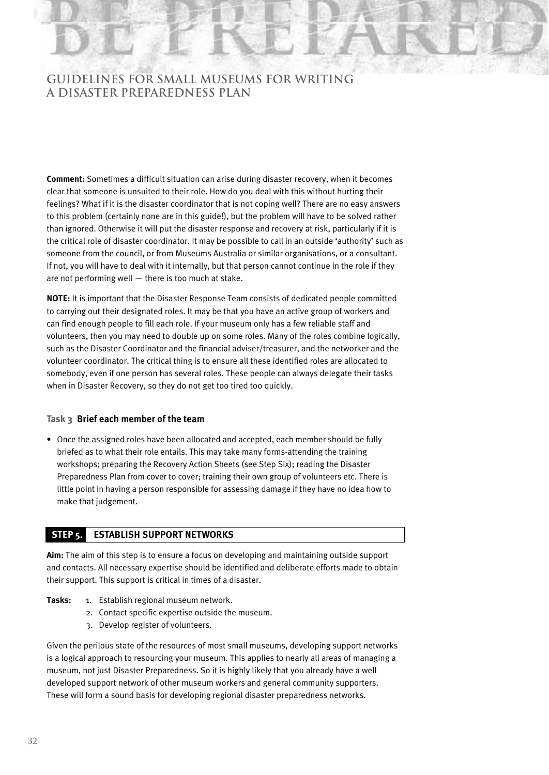**Comment:** Sometimes a difficult situation can arise during disaster recovery, when it becomes clear that someone is unsuited to their role. How do you deal with this without hurting their feelings? What if it is the disaster coordinator that is not coping well? There are no easy answers to this problem (certainly none are in this guide!), but the problem will have to be solved rather than ignored. Otherwise it will put the disaster response and recovery at risk, particularly if it is the critical role of disaster coordinator. It may be possible to call in an outside 'authority' such as someone from the council, or from Museums Australia or similar organisations, or a consultant. If not, you will have to deal with it internally, but that person cannot continue in the role if they are not performing well — there is too much at stake.

**NOTE:** It is important that the Disaster Response Team consists of dedicated people committed to carrying out their designated roles. It may be that you have an active group of workers and can find enough people to fill each role. If your museum only has a few reliable staff and volunteers, then you may need to double up on some roles. Many of the roles combine logically, such as the Disaster Coordinator and the financial adviser/treasurer, and the networker and the volunteer coordinator. The critical thing is to ensure all these identified roles are allocated to somebody, even if one person has several roles. These people can always delegate their tasks when in Disaster Recovery, so they do not get too tired too quickly.

#### **Task 3 Brief each member of the team**

• Once the assigned roles have been allocated and accepted, each member should be fully briefed as to what their role entails. This may take many forms-attending the training workshops; preparing the Recovery Action Sheets (see Step Six); reading the Disaster Preparedness Plan from cover to cover; training their own group of volunteers etc. There is little point in having a person responsible for assessing damage if they have no idea how to make that judgement.

#### **STEP 5. ESTABLISH SUPPORT NETWORKS**

**Aim:** The aim of this step is to ensure a focus on developing and maintaining outside support and contacts. All necessary expertise should be identified and deliberate efforts made to obtain their support. This support is critical in times of a disaster.

- Tasks: 1. Establish regional museum network.
	- 2. Contact specific expertise outside the museum.
	- 3. Develop register of volunteers.

Given the perilous state of the resources of most small museums, developing support networks is a logical approach to resourcing your museum. This applies to nearly all areas of managing a museum, not just Disaster Preparedness. So it is highly likely that you already have a well developed support network of other museum workers and general community supporters. These will form a sound basis for developing regional disaster preparedness networks.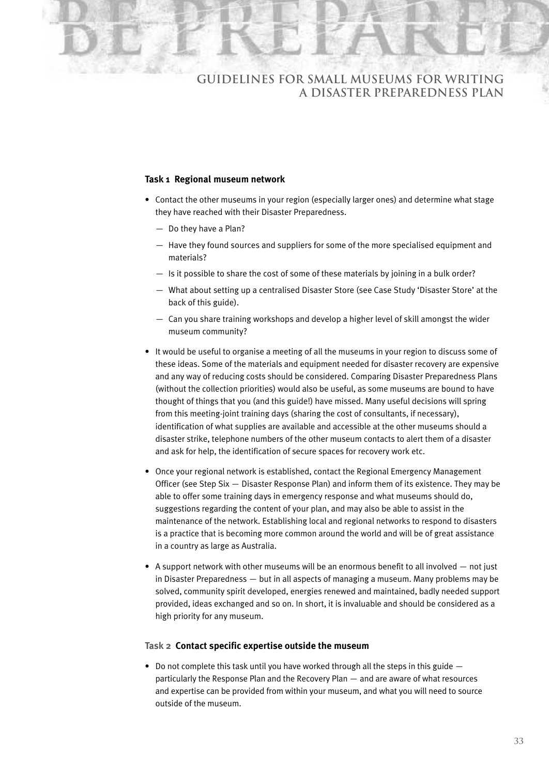#### **Task 1 Regional museum network**

- Contact the other museums in your region (especially larger ones) and determine what stage they have reached with their Disaster Preparedness.
	- Do they have a Plan?
	- Have they found sources and suppliers for some of the more specialised equipment and materials?
	- Is it possible to share the cost of some of these materials by joining in a bulk order?
	- What about setting up a centralised Disaster Store (see Case Study 'Disaster Store' at the back of this guide).
	- Can you share training workshops and develop a higher level of skill amongst the wider museum community?
- It would be useful to organise a meeting of all the museums in your region to discuss some of these ideas. Some of the materials and equipment needed for disaster recovery are expensive and any way of reducing costs should be considered. Comparing Disaster Preparedness Plans (without the collection priorities) would also be useful, as some museums are bound to have thought of things that you (and this guide!) have missed. Many useful decisions will spring from this meeting-joint training days (sharing the cost of consultants, if necessary), identification of what supplies are available and accessible at the other museums should a disaster strike, telephone numbers of the other museum contacts to alert them of a disaster and ask for help, the identification of secure spaces for recovery work etc.
- Once your regional network is established, contact the Regional Emergency Management Officer (see Step Six — Disaster Response Plan) and inform them of its existence. They may be able to offer some training days in emergency response and what museums should do, suggestions regarding the content of your plan, and may also be able to assist in the maintenance of the network. Establishing local and regional networks to respond to disasters is a practice that is becoming more common around the world and will be of great assistance in a country as large as Australia.
- $\bullet$  A support network with other museums will be an enormous benefit to all involved  $-$  not just in Disaster Preparedness — but in all aspects of managing a museum. Many problems may be solved, community spirit developed, energies renewed and maintained, badly needed support provided, ideas exchanged and so on. In short, it is invaluable and should be considered as a high priority for any museum.

#### **Task 2 Contact specific expertise outside the museum**

• Do not complete this task until you have worked through all the steps in this guide  $$ particularly the Response Plan and the Recovery Plan — and are aware of what resources and expertise can be provided from within your museum, and what you will need to source outside of the museum.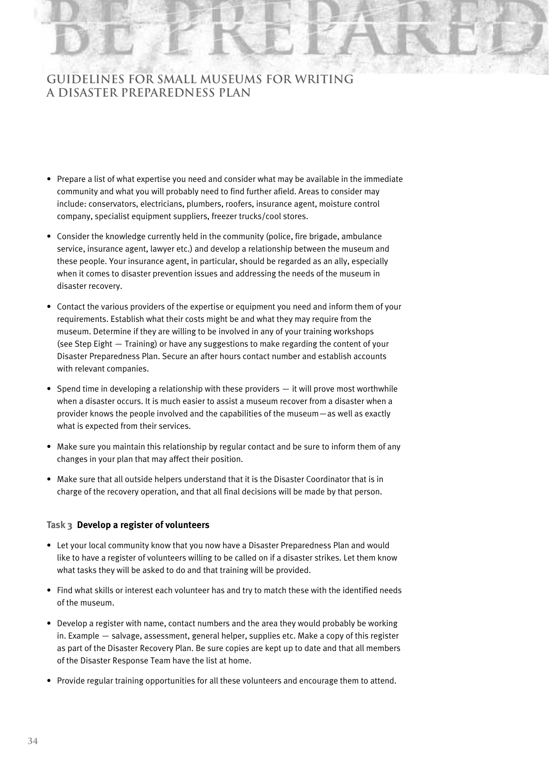- Prepare a list of what expertise you need and consider what may be available in the immediate community and what you will probably need to find further afield. Areas to consider may include: conservators, electricians, plumbers, roofers, insurance agent, moisture control company, specialist equipment suppliers, freezer trucks/cool stores.
- Consider the knowledge currently held in the community (police, fire brigade, ambulance service, insurance agent, lawyer etc.) and develop a relationship between the museum and these people. Your insurance agent, in particular, should be regarded as an ally, especially when it comes to disaster prevention issues and addressing the needs of the museum in disaster recovery.
- Contact the various providers of the expertise or equipment you need and inform them of your requirements. Establish what their costs might be and what they may require from the museum. Determine if they are willing to be involved in any of your training workshops (see Step Eight — Training) or have any suggestions to make regarding the content of your Disaster Preparedness Plan. Secure an after hours contact number and establish accounts with relevant companies.
- Spend time in developing a relationship with these providers it will prove most worthwhile when a disaster occurs. It is much easier to assist a museum recover from a disaster when a provider knows the people involved and the capabilities of the museum—as well as exactly what is expected from their services.
- Make sure you maintain this relationship by regular contact and be sure to inform them of any changes in your plan that may affect their position.
- Make sure that all outside helpers understand that it is the Disaster Coordinator that is in charge of the recovery operation, and that all final decisions will be made by that person.

#### **Task 3 Develop a register of volunteers**

- Let your local community know that you now have a Disaster Preparedness Plan and would like to have a register of volunteers willing to be called on if a disaster strikes. Let them know what tasks they will be asked to do and that training will be provided.
- Find what skills or interest each volunteer has and try to match these with the identified needs of the museum.
- Develop a register with name, contact numbers and the area they would probably be working in. Example — salvage, assessment, general helper, supplies etc. Make a copy of this register as part of the Disaster Recovery Plan. Be sure copies are kept up to date and that all members of the Disaster Response Team have the list at home.
- Provide regular training opportunities for all these volunteers and encourage them to attend.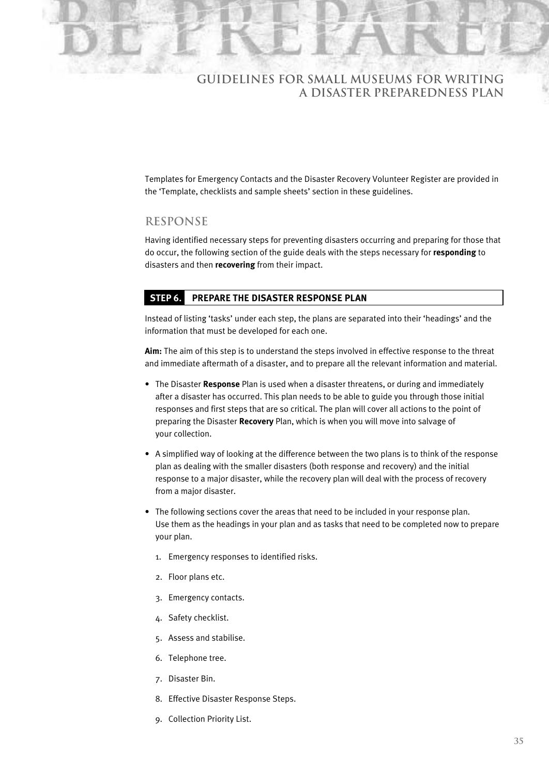Templates for Emergency Contacts and the Disaster Recovery Volunteer Register are provided in the 'Template, checklists and sample sheets' section in these guidelines.

#### **RESPONSE**

Having identified necessary steps for preventing disasters occurring and preparing for those that do occur, the following section of the guide deals with the steps necessary for **responding** to disasters and then **recovering** from their impact.

#### **STEP 6. PREPARE THE DISASTER RESPONSE PLAN**

Instead of listing 'tasks' under each step, the plans are separated into their 'headings' and the information that must be developed for each one.

**Aim:** The aim of this step is to understand the steps involved in effective response to the threat and immediate aftermath of a disaster, and to prepare all the relevant information and material.

- The Disaster **Response** Plan is used when a disaster threatens, or during and immediately after a disaster has occurred. This plan needs to be able to guide you through those initial responses and first steps that are so critical. The plan will cover all actions to the point of preparing the Disaster **Recovery** Plan, which is when you will move into salvage of your collection.
- A simplified way of looking at the difference between the two plans is to think of the response plan as dealing with the smaller disasters (both response and recovery) and the initial response to a major disaster, while the recovery plan will deal with the process of recovery from a major disaster.
- The following sections cover the areas that need to be included in your response plan. Use them as the headings in your plan and as tasks that need to be completed now to prepare your plan.
	- 1. Emergency responses to identified risks.
	- 2. Floor plans etc.
	- 3. Emergency contacts.
	- 4. Safety checklist.
	- 5. Assess and stabilise.
	- 6. Telephone tree.
	- 7. Disaster Bin.
	- 8. Effective Disaster Response Steps.
	- 9. Collection Priority List.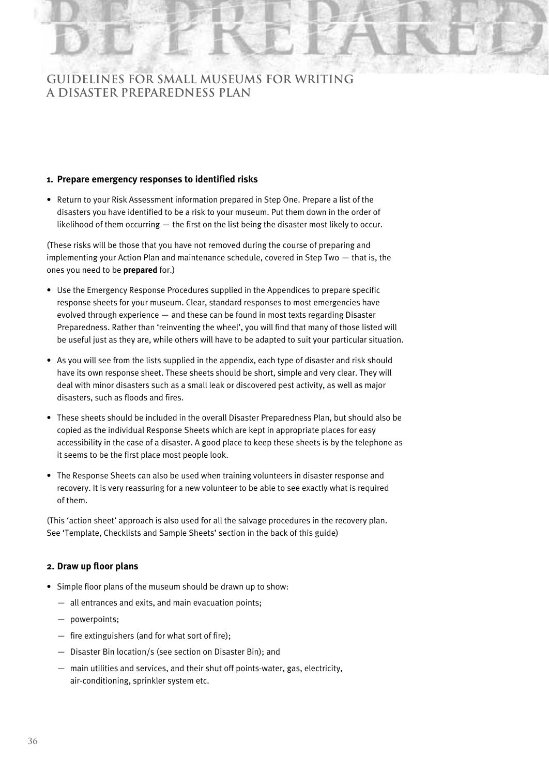#### **1. Prepare emergency responses to identified risks**

• Return to your Risk Assessment information prepared in Step One. Prepare a list of the disasters you have identified to be a risk to your museum. Put them down in the order of likelihood of them occurring — the first on the list being the disaster most likely to occur.

(These risks will be those that you have not removed during the course of preparing and implementing your Action Plan and maintenance schedule, covered in Step Two — that is, the ones you need to be **prepared** for.)

- Use the Emergency Response Procedures supplied in the Appendices to prepare specific response sheets for your museum. Clear, standard responses to most emergencies have evolved through experience — and these can be found in most texts regarding Disaster Preparedness. Rather than 'reinventing the wheel', you will find that many of those listed will be useful just as they are, while others will have to be adapted to suit your particular situation.
- As you will see from the lists supplied in the appendix, each type of disaster and risk should have its own response sheet. These sheets should be short, simple and very clear. They will deal with minor disasters such as a small leak or discovered pest activity, as well as major disasters, such as floods and fires.
- These sheets should be included in the overall Disaster Preparedness Plan, but should also be copied as the individual Response Sheets which are kept in appropriate places for easy accessibility in the case of a disaster. A good place to keep these sheets is by the telephone as it seems to be the first place most people look.
- The Response Sheets can also be used when training volunteers in disaster response and recovery. It is very reassuring for a new volunteer to be able to see exactly what is required of them.

(This 'action sheet' approach is also used for all the salvage procedures in the recovery plan. See 'Template, Checklists and Sample Sheets' section in the back of this guide)

#### **2. Draw up floor plans**

- Simple floor plans of the museum should be drawn up to show:
	- all entrances and exits, and main evacuation points;
	- powerpoints;
	- fire extinguishers (and for what sort of fire);
	- Disaster Bin location/s (see section on Disaster Bin); and
	- main utilities and services, and their shut off points-water, gas, electricity, air-conditioning, sprinkler system etc.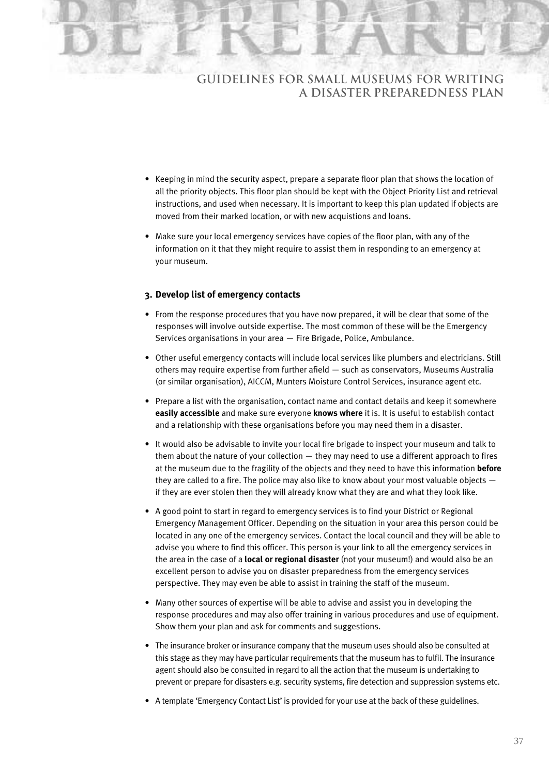- Keeping in mind the security aspect, prepare a separate floor plan that shows the location of all the priority objects. This floor plan should be kept with the Object Priority List and retrieval instructions, and used when necessary. It is important to keep this plan updated if objects are moved from their marked location, or with new acquistions and loans.
- Make sure your local emergency services have copies of the floor plan, with any of the information on it that they might require to assist them in responding to an emergency at your museum.

#### **3. Develop list of emergency contacts**

- From the response procedures that you have now prepared, it will be clear that some of the responses will involve outside expertise. The most common of these will be the Emergency Services organisations in your area — Fire Brigade, Police, Ambulance.
- Other useful emergency contacts will include local services like plumbers and electricians. Still others may require expertise from further afield — such as conservators, Museums Australia (or similar organisation), AICCM, Munters Moisture Control Services, insurance agent etc.
- Prepare a list with the organisation, contact name and contact details and keep it somewhere **easily accessible** and make sure everyone **knows where** it is. It is useful to establish contact and a relationship with these organisations before you may need them in a disaster.
- It would also be advisable to invite your local fire brigade to inspect your museum and talk to them about the nature of your collection — they may need to use a different approach to fires at the museum due to the fragility of the objects and they need to have this information **before** they are called to a fire. The police may also like to know about your most valuable objects if they are ever stolen then they will already know what they are and what they look like.
- A good point to start in regard to emergency services is to find your District or Regional Emergency Management Officer. Depending on the situation in your area this person could be located in any one of the emergency services. Contact the local council and they will be able to advise you where to find this officer. This person is your link to all the emergency services in the area in the case of a **local or regional disaster** (not your museum!) and would also be an excellent person to advise you on disaster preparedness from the emergency services perspective. They may even be able to assist in training the staff of the museum.
- Many other sources of expertise will be able to advise and assist you in developing the response procedures and may also offer training in various procedures and use of equipment. Show them your plan and ask for comments and suggestions.
- The insurance broker or insurance company that the museum uses should also be consulted at this stage as they may have particular requirements that the museum has to fulfil. The insurance agent should also be consulted in regard to all the action that the museum is undertaking to prevent or prepare for disasters e.g. security systems, fire detection and suppression systems etc.
- A template 'Emergency Contact List' is provided for your use at the back of these guidelines.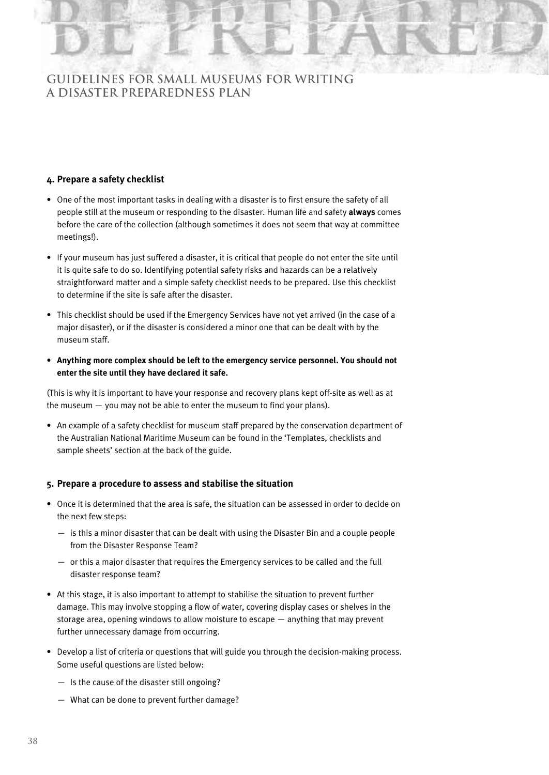#### **4. Prepare a safety checklist**

- One of the most important tasks in dealing with a disaster is to first ensure the safety of all people still at the museum or responding to the disaster. Human life and safety **always** comes before the care of the collection (although sometimes it does not seem that way at committee meetings!).
- If your museum has just suffered a disaster, it is critical that people do not enter the site until it is quite safe to do so. Identifying potential safety risks and hazards can be a relatively straightforward matter and a simple safety checklist needs to be prepared. Use this checklist to determine if the site is safe after the disaster.
- This checklist should be used if the Emergency Services have not yet arrived (in the case of a major disaster), or if the disaster is considered a minor one that can be dealt with by the museum staff.
- **Anything more complex should be left to the emergency service personnel. You should not enter the site until they have declared it safe.**

(This is why it is important to have your response and recovery plans kept off-site as well as at the museum — you may not be able to enter the museum to find your plans).

• An example of a safety checklist for museum staff prepared by the conservation department of the Australian National Maritime Museum can be found in the 'Templates, checklists and sample sheets' section at the back of the guide.

#### **5. Prepare a procedure to assess and stabilise the situation**

- Once it is determined that the area is safe, the situation can be assessed in order to decide on the next few steps:
	- is this a minor disaster that can be dealt with using the Disaster Bin and a couple people from the Disaster Response Team?
	- or this a major disaster that requires the Emergency services to be called and the full disaster response team?
- At this stage, it is also important to attempt to stabilise the situation to prevent further damage. This may involve stopping a flow of water, covering display cases or shelves in the storage area, opening windows to allow moisture to escape — anything that may prevent further unnecessary damage from occurring.
- Develop a list of criteria or questions that will guide you through the decision-making process. Some useful questions are listed below:
	- Is the cause of the disaster still ongoing?
	- What can be done to prevent further damage?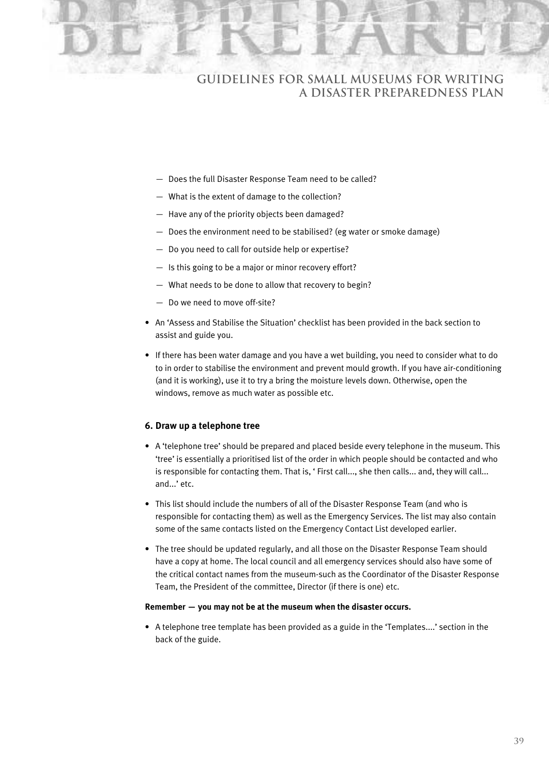- Does the full Disaster Response Team need to be called?
- What is the extent of damage to the collection?
- Have any of the priority objects been damaged?
- Does the environment need to be stabilised? (eg water or smoke damage)
- Do you need to call for outside help or expertise?
- Is this going to be a major or minor recovery effort?
- What needs to be done to allow that recovery to begin?
- Do we need to move off-site?
- An 'Assess and Stabilise the Situation' checklist has been provided in the back section to assist and guide you.
- If there has been water damage and you have a wet building, you need to consider what to do to in order to stabilise the environment and prevent mould growth. If you have air-conditioning (and it is working), use it to try a bring the moisture levels down. Otherwise, open the windows, remove as much water as possible etc.

#### **6. Draw up a telephone tree**

- A 'telephone tree' should be prepared and placed beside every telephone in the museum. This 'tree' is essentially a prioritised list of the order in which people should be contacted and who is responsible for contacting them. That is, ' First call..., she then calls... and, they will call... and...' etc.
- This list should include the numbers of all of the Disaster Response Team (and who is responsible for contacting them) as well as the Emergency Services. The list may also contain some of the same contacts listed on the Emergency Contact List developed earlier.
- The tree should be updated regularly, and all those on the Disaster Response Team should have a copy at home. The local council and all emergency services should also have some of the critical contact names from the museum-such as the Coordinator of the Disaster Response Team, the President of the committee, Director (if there is one) etc.

#### **Remember — you may not be at the museum when the disaster occurs.**

• A telephone tree template has been provided as a guide in the 'Templates....' section in the back of the guide.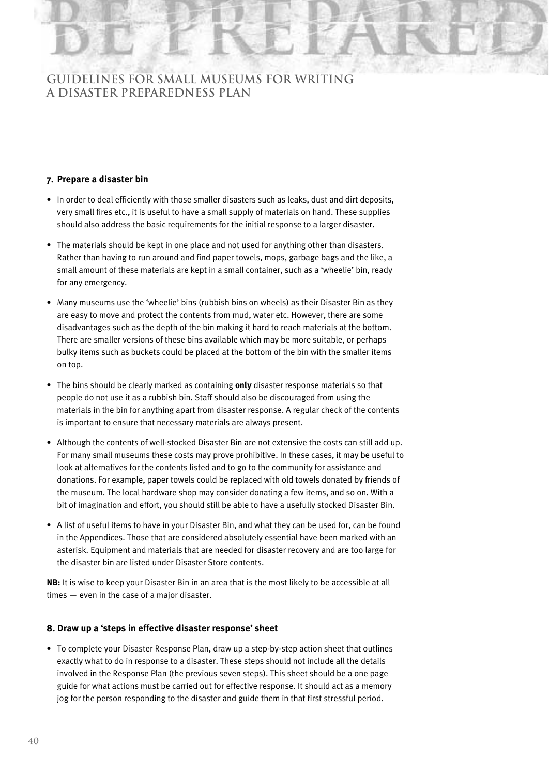#### **7. Prepare a disaster bin**

- In order to deal efficiently with those smaller disasters such as leaks, dust and dirt deposits, very small fires etc., it is useful to have a small supply of materials on hand. These supplies should also address the basic requirements for the initial response to a larger disaster.
- The materials should be kept in one place and not used for anything other than disasters. Rather than having to run around and find paper towels, mops, garbage bags and the like, a small amount of these materials are kept in a small container, such as a 'wheelie' bin, ready for any emergency.
- Many museums use the 'wheelie' bins (rubbish bins on wheels) as their Disaster Bin as they are easy to move and protect the contents from mud, water etc. However, there are some disadvantages such as the depth of the bin making it hard to reach materials at the bottom. There are smaller versions of these bins available which may be more suitable, or perhaps bulky items such as buckets could be placed at the bottom of the bin with the smaller items on top.
- The bins should be clearly marked as containing **only** disaster response materials so that people do not use it as a rubbish bin. Staff should also be discouraged from using the materials in the bin for anything apart from disaster response. A regular check of the contents is important to ensure that necessary materials are always present.
- Although the contents of well-stocked Disaster Bin are not extensive the costs can still add up. For many small museums these costs may prove prohibitive. In these cases, it may be useful to look at alternatives for the contents listed and to go to the community for assistance and donations. For example, paper towels could be replaced with old towels donated by friends of the museum. The local hardware shop may consider donating a few items, and so on. With a bit of imagination and effort, you should still be able to have a usefully stocked Disaster Bin.
- A list of useful items to have in your Disaster Bin, and what they can be used for, can be found in the Appendices. Those that are considered absolutely essential have been marked with an asterisk. Equipment and materials that are needed for disaster recovery and are too large for the disaster bin are listed under Disaster Store contents.

**NB:** It is wise to keep your Disaster Bin in an area that is the most likely to be accessible at all times — even in the case of a major disaster.

#### **8. Draw up a 'steps in effective disaster response' sheet**

• To complete your Disaster Response Plan, draw up a step-by-step action sheet that outlines exactly what to do in response to a disaster. These steps should not include all the details involved in the Response Plan (the previous seven steps). This sheet should be a one page guide for what actions must be carried out for effective response. It should act as a memory jog for the person responding to the disaster and guide them in that first stressful period.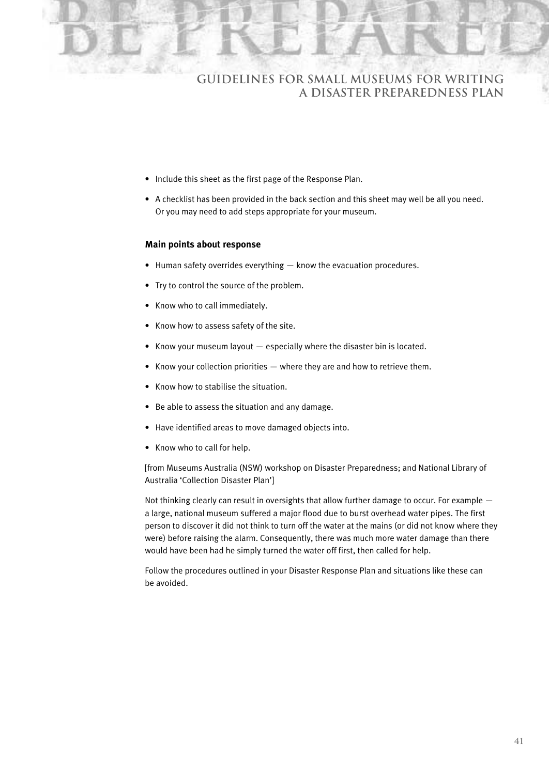- Include this sheet as the first page of the Response Plan.
- A checklist has been provided in the back section and this sheet may well be all you need. Or you may need to add steps appropriate for your museum.

#### **Main points about response**

- Human safety overrides everything know the evacuation procedures.
- Try to control the source of the problem.
- Know who to call immediately.
- Know how to assess safety of the site.
- Know your museum layout especially where the disaster bin is located.
- Know your collection priorities where they are and how to retrieve them.
- Know how to stabilise the situation.
- Be able to assess the situation and any damage.
- Have identified areas to move damaged objects into.
- Know who to call for help.

[from Museums Australia (NSW) workshop on Disaster Preparedness; and National Library of Australia 'Collection Disaster Plan']

Not thinking clearly can result in oversights that allow further damage to occur. For example a large, national museum suffered a major flood due to burst overhead water pipes. The first person to discover it did not think to turn off the water at the mains (or did not know where they were) before raising the alarm. Consequently, there was much more water damage than there would have been had he simply turned the water off first, then called for help.

Follow the procedures outlined in your Disaster Response Plan and situations like these can be avoided.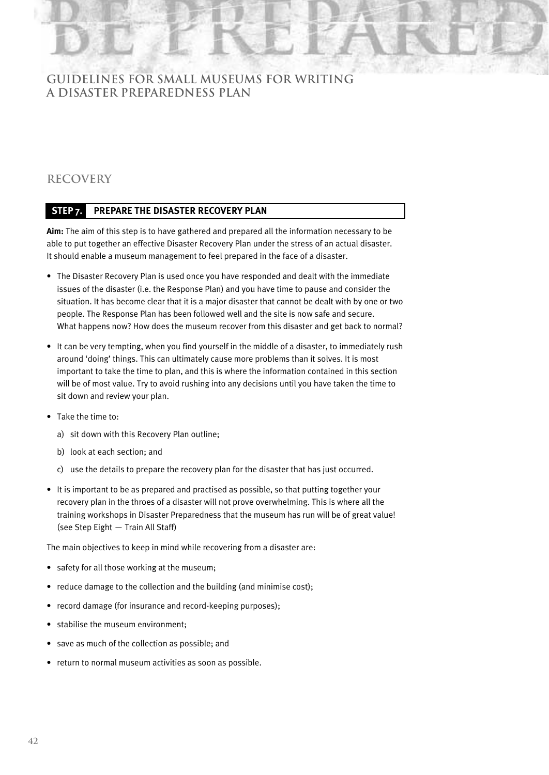#### **Recovery**

#### **STEP 7. PREPARE THE DISASTER RECOVERY PLAN**

**Aim:** The aim of this step is to have gathered and prepared all the information necessary to be able to put together an effective Disaster Recovery Plan under the stress of an actual disaster. It should enable a museum management to feel prepared in the face of a disaster.

- The Disaster Recovery Plan is used once you have responded and dealt with the immediate issues of the disaster (i.e. the Response Plan) and you have time to pause and consider the situation. It has become clear that it is a major disaster that cannot be dealt with by one or two people. The Response Plan has been followed well and the site is now safe and secure. What happens now? How does the museum recover from this disaster and get back to normal?
- It can be very tempting, when you find yourself in the middle of a disaster, to immediately rush around 'doing' things. This can ultimately cause more problems than it solves. It is most important to take the time to plan, and this is where the information contained in this section will be of most value. Try to avoid rushing into any decisions until you have taken the time to sit down and review your plan.
- Take the time to:
	- a) sit down with this Recovery Plan outline;
	- b) look at each section; and
	- c) use the details to prepare the recovery plan for the disaster that has just occurred.
- It is important to be as prepared and practised as possible, so that putting together your recovery plan in the throes of a disaster will not prove overwhelming. This is where all the training workshops in Disaster Preparedness that the museum has run will be of great value! (see Step Eight — Train All Staff)

The main objectives to keep in mind while recovering from a disaster are:

- safety for all those working at the museum;
- reduce damage to the collection and the building (and minimise cost);
- record damage (for insurance and record-keeping purposes);
- stabilise the museum environment;
- save as much of the collection as possible; and
- return to normal museum activities as soon as possible.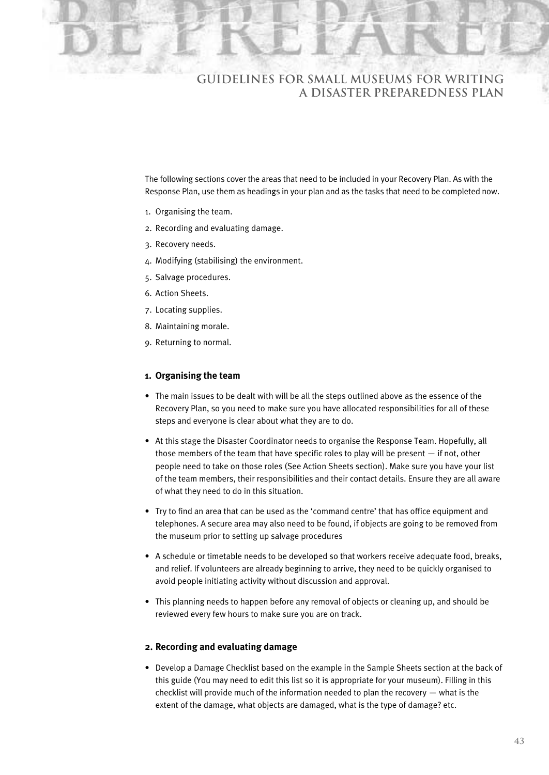The following sections cover the areas that need to be included in your Recovery Plan. As with the Response Plan, use them as headings in your plan and as the tasks that need to be completed now.

- 1. Organising the team.
- 2. Recording and evaluating damage.
- 3. Recovery needs.
- 4. Modifying (stabilising) the environment.
- 5. Salvage procedures.
- 6. Action Sheets.
- 7. Locating supplies.
- 8. Maintaining morale.
- 9. Returning to normal.

#### **1. Organising the team**

- The main issues to be dealt with will be all the steps outlined above as the essence of the Recovery Plan, so you need to make sure you have allocated responsibilities for all of these steps and everyone is clear about what they are to do.
- At this stage the Disaster Coordinator needs to organise the Response Team. Hopefully, all those members of the team that have specific roles to play will be present  $-$  if not, other people need to take on those roles (See Action Sheets section). Make sure you have your list of the team members, their responsibilities and their contact details. Ensure they are all aware of what they need to do in this situation.
- Try to find an area that can be used as the 'command centre' that has office equipment and telephones. A secure area may also need to be found, if objects are going to be removed from the museum prior to setting up salvage procedures
- A schedule or timetable needs to be developed so that workers receive adequate food, breaks, and relief. If volunteers are already beginning to arrive, they need to be quickly organised to avoid people initiating activity without discussion and approval.
- This planning needs to happen before any removal of objects or cleaning up, and should be reviewed every few hours to make sure you are on track.

#### **2. Recording and evaluating damage**

• Develop a Damage Checklist based on the example in the Sample Sheets section at the back of this guide (You may need to edit this list so it is appropriate for your museum). Filling in this checklist will provide much of the information needed to plan the recovery  $-$  what is the extent of the damage, what objects are damaged, what is the type of damage? etc.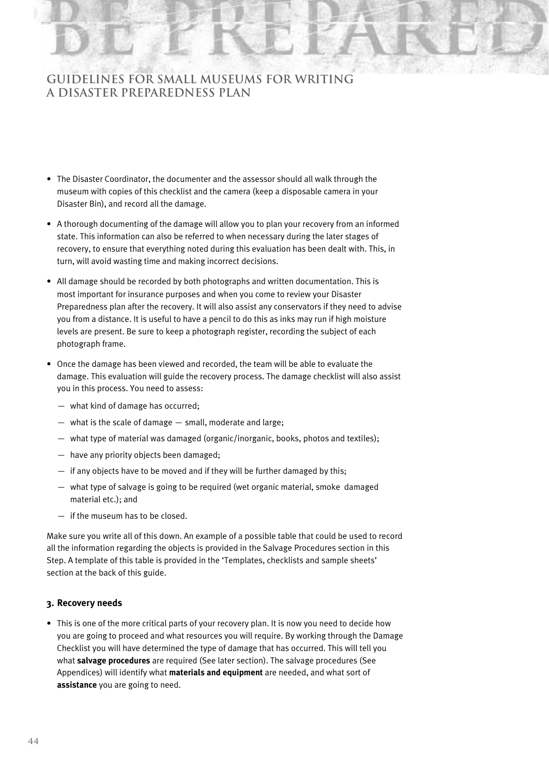- The Disaster Coordinator, the documenter and the assessor should all walk through the museum with copies of this checklist and the camera (keep a disposable camera in your Disaster Bin), and record all the damage.
- A thorough documenting of the damage will allow you to plan your recovery from an informed state. This information can also be referred to when necessary during the later stages of recovery, to ensure that everything noted during this evaluation has been dealt with. This, in turn, will avoid wasting time and making incorrect decisions.
- All damage should be recorded by both photographs and written documentation. This is most important for insurance purposes and when you come to review your Disaster Preparedness plan after the recovery. It will also assist any conservators if they need to advise you from a distance. It is useful to have a pencil to do this as inks may run if high moisture levels are present. Be sure to keep a photograph register, recording the subject of each photograph frame.
- Once the damage has been viewed and recorded, the team will be able to evaluate the damage. This evaluation will guide the recovery process. The damage checklist will also assist you in this process. You need to assess:
	- what kind of damage has occurred;
	- what is the scale of damage small, moderate and large;
	- what type of material was damaged (organic/inorganic, books, photos and textiles);
	- have any priority objects been damaged;
	- if any objects have to be moved and if they will be further damaged by this;
	- what type of salvage is going to be required (wet organic material, smoke damaged material etc.); and
	- if the museum has to be closed.

Make sure you write all of this down. An example of a possible table that could be used to record all the information regarding the objects is provided in the Salvage Procedures section in this Step. A template of this table is provided in the 'Templates, checklists and sample sheets' section at the back of this guide.

#### **3. Recovery needs**

• This is one of the more critical parts of your recovery plan. It is now you need to decide how you are going to proceed and what resources you will require. By working through the Damage Checklist you will have determined the type of damage that has occurred. This will tell you what **salvage procedures** are required (See later section). The salvage procedures (See Appendices) will identify what **materials and equipment** are needed, and what sort of **assistance** you are going to need.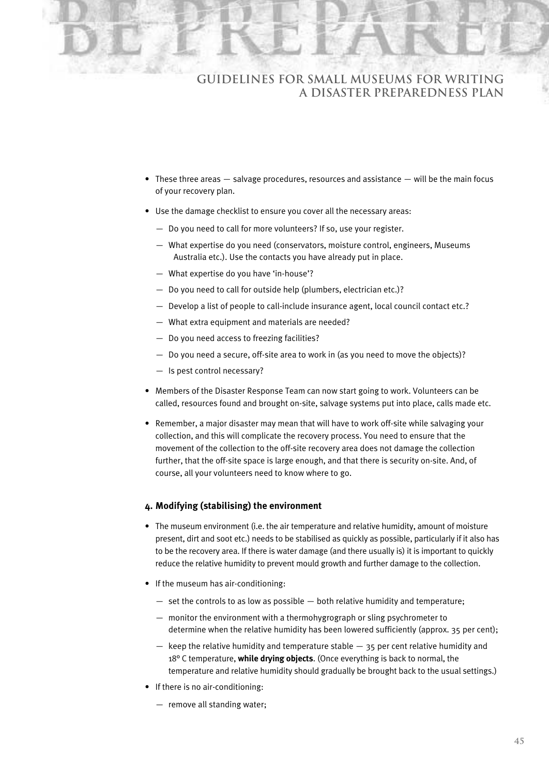- These three areas salvage procedures, resources and assistance will be the main focus of your recovery plan.
- Use the damage checklist to ensure you cover all the necessary areas:
	- Do you need to call for more volunteers? If so, use your register.
	- What expertise do you need (conservators, moisture control, engineers, Museums Australia etc.). Use the contacts you have already put in place.
	- What expertise do you have 'in-house'?
	- Do you need to call for outside help (plumbers, electrician etc.)?
	- Develop a list of people to call-include insurance agent, local council contact etc.?
	- What extra equipment and materials are needed?
	- Do you need access to freezing facilities?
	- Do you need a secure, off-site area to work in (as you need to move the objects)?
	- Is pest control necessary?
- Members of the Disaster Response Team can now start going to work. Volunteers can be called, resources found and brought on-site, salvage systems put into place, calls made etc.
- Remember, a major disaster may mean that will have to work off-site while salvaging your collection, and this will complicate the recovery process. You need to ensure that the movement of the collection to the off-site recovery area does not damage the collection further, that the off-site space is large enough, and that there is security on-site. And, of course, all your volunteers need to know where to go.

#### **4. Modifying (stabilising) the environment**

- The museum environment (i.e. the air temperature and relative humidity, amount of moisture present, dirt and soot etc.) needs to be stabilised as quickly as possible, particularly if it also has to be the recovery area. If there is water damage (and there usually is) it is important to quickly reduce the relative humidity to prevent mould growth and further damage to the collection.
- If the museum has air-conditioning:
	- $-$  set the controls to as low as possible  $-$  both relative humidity and temperature;
	- monitor the environment with a thermohygrograph or sling psychrometer to determine when the relative humidity has been lowered sufficiently (approx. 35 per cent);
	- $-$  keep the relative humidity and temperature stable  $-$  35 per cent relative humidity and 18° C temperature, **while drying objects**. (Once everything is back to normal, the temperature and relative humidity should gradually be brought back to the usual settings.)
- If there is no air-conditioning:
	- remove all standing water;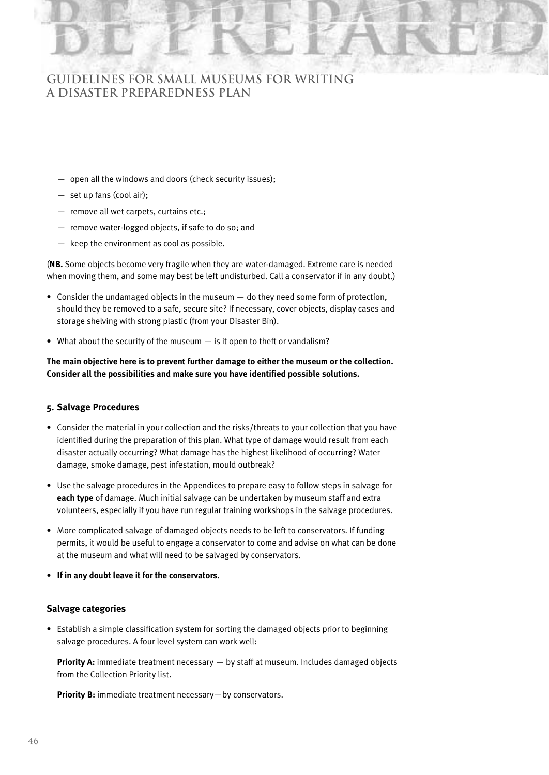- open all the windows and doors (check security issues);
- set up fans (cool air);
- remove all wet carpets, curtains etc.;
- remove water-logged objects, if safe to do so; and
- keep the environment as cool as possible.

(**NB.** Some objects become very fragile when they are water-damaged. Extreme care is needed when moving them, and some may best be left undisturbed. Call a conservator if in any doubt.)

- Consider the undamaged objects in the museum do they need some form of protection, should they be removed to a safe, secure site? If necessary, cover objects, display cases and storage shelving with strong plastic (from your Disaster Bin).
- What about the security of the museum is it open to theft or vandalism?

**The main objective here is to prevent further damage to either the museum or the collection. Consider all the possibilities and make sure you have identified possible solutions.**

#### **5. Salvage Procedures**

- Consider the material in your collection and the risks/threats to your collection that you have identified during the preparation of this plan. What type of damage would result from each disaster actually occurring? What damage has the highest likelihood of occurring? Water damage, smoke damage, pest infestation, mould outbreak?
- Use the salvage procedures in the Appendices to prepare easy to follow steps in salvage for **each type** of damage. Much initial salvage can be undertaken by museum staff and extra volunteers, especially if you have run regular training workshops in the salvage procedures.
- More complicated salvage of damaged objects needs to be left to conservators. If funding permits, it would be useful to engage a conservator to come and advise on what can be done at the museum and what will need to be salvaged by conservators.
- **If in any doubt leave it for the conservators.**

#### **Salvage categories**

• Establish a simple classification system for sorting the damaged objects prior to beginning salvage procedures. A four level system can work well:

**Priority A:** immediate treatment necessary — by staff at museum. Includes damaged objects from the Collection Priority list.

**Priority B:** immediate treatment necessary—by conservators.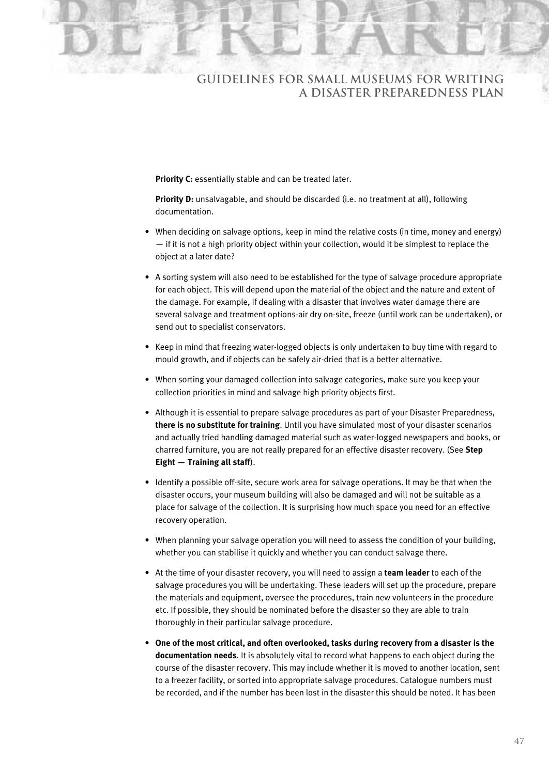**Priority C:** essentially stable and can be treated later.

**Priority D:** unsalvagable, and should be discarded (i.e. no treatment at all), following documentation.

- When deciding on salvage options, keep in mind the relative costs (in time, money and energy) — if it is not a high priority object within your collection, would it be simplest to replace the object at a later date?
- A sorting system will also need to be established for the type of salvage procedure appropriate for each object. This will depend upon the material of the object and the nature and extent of the damage. For example, if dealing with a disaster that involves water damage there are several salvage and treatment options-air dry on-site, freeze (until work can be undertaken), or send out to specialist conservators.
- Keep in mind that freezing water-logged objects is only undertaken to buy time with regard to mould growth, and if objects can be safely air-dried that is a better alternative.
- When sorting your damaged collection into salvage categories, make sure you keep your collection priorities in mind and salvage high priority objects first.
- Although it is essential to prepare salvage procedures as part of your Disaster Preparedness, **there is no substitute for training**. Until you have simulated most of your disaster scenarios and actually tried handling damaged material such as water-logged newspapers and books, or charred furniture, you are not really prepared for an effective disaster recovery. (See **Step Eight — Training all staff**).
- Identify a possible off-site, secure work area for salvage operations. It may be that when the disaster occurs, your museum building will also be damaged and will not be suitable as a place for salvage of the collection. It is surprising how much space you need for an effective recovery operation.
- When planning your salvage operation you will need to assess the condition of your building, whether you can stabilise it quickly and whether you can conduct salvage there.
- At the time of your disaster recovery, you will need to assign a **team leader** to each of the salvage procedures you will be undertaking. These leaders will set up the procedure, prepare the materials and equipment, oversee the procedures, train new volunteers in the procedure etc. If possible, they should be nominated before the disaster so they are able to train thoroughly in their particular salvage procedure.
- **One of the most critical, and often overlooked, tasks during recovery from a disaster is the documentation needs**. It is absolutely vital to record what happens to each object during the course of the disaster recovery. This may include whether it is moved to another location, sent to a freezer facility, or sorted into appropriate salvage procedures. Catalogue numbers must be recorded, and if the number has been lost in the disaster this should be noted. It has been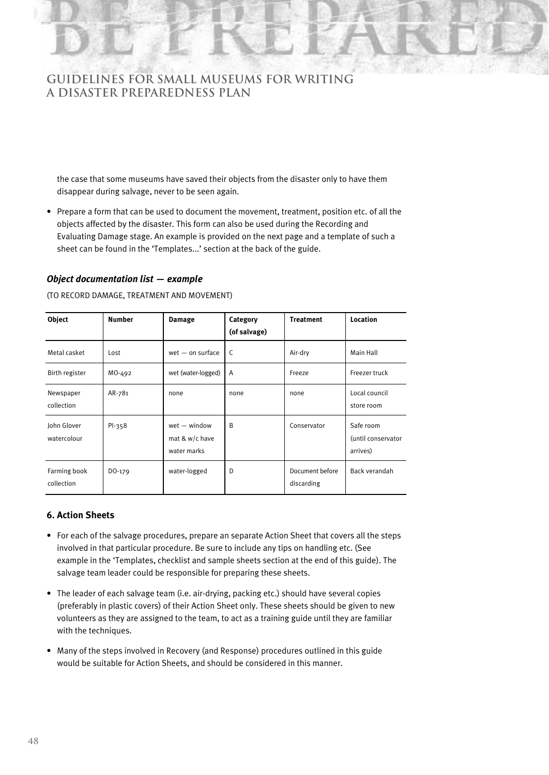the case that some museums have saved their objects from the disaster only to have them disappear during salvage, never to be seen again.

• Prepare a form that can be used to document the movement, treatment, position etc. of all the objects affected by the disaster. This form can also be used during the Recording and Evaluating Damage stage. An example is provided on the next page and a template of such a sheet can be found in the 'Templates...' section at the back of the guide.

#### *Object documentation list — example*

(TO RECORD DAMAGE, TREATMENT AND MOVEMENT)

| Object                     | <b>Number</b> | <b>Damage</b>                                   | Category<br>(of salvage) | <b>Treatment</b>              | <b>Location</b>                             |
|----------------------------|---------------|-------------------------------------------------|--------------------------|-------------------------------|---------------------------------------------|
| Metal casket               | Lost          | $wet - on surface$                              | C                        | Air-dry                       | Main Hall                                   |
| Birth register             | MO-492        | wet (water-logged)                              | A                        | Freeze                        | Freezer truck                               |
| Newspaper<br>collection    | AR-781        | none                                            | none                     | none                          | Local council<br>store room                 |
| John Glover<br>watercolour | PI-358        | $wet - window$<br>mat & w/c have<br>water marks | B                        | Conservator                   | Safe room<br>(until conservator<br>arrives) |
| Farming book<br>collection | DO-179        | water-logged                                    | D                        | Document before<br>discarding | Back verandah                               |

#### **6. Action Sheets**

- For each of the salvage procedures, prepare an separate Action Sheet that covers all the steps involved in that particular procedure. Be sure to include any tips on handling etc. (See example in the 'Templates, checklist and sample sheets section at the end of this guide). The salvage team leader could be responsible for preparing these sheets.
- The leader of each salvage team (i.e. air-drying, packing etc.) should have several copies (preferably in plastic covers) of their Action Sheet only. These sheets should be given to new volunteers as they are assigned to the team, to act as a training guide until they are familiar with the techniques.
- Many of the steps involved in Recovery (and Response) procedures outlined in this guide would be suitable for Action Sheets, and should be considered in this manner.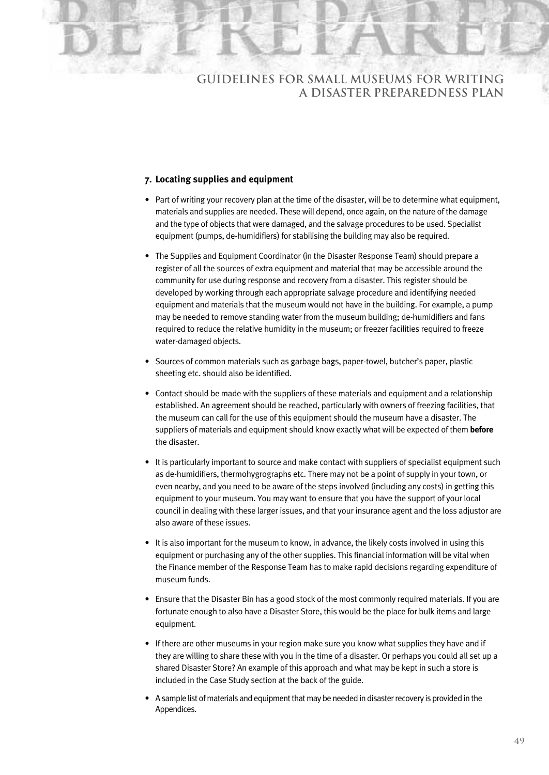#### **7. Locating supplies and equipment**

- Part of writing your recovery plan at the time of the disaster, will be to determine what equipment, materials and supplies are needed. These will depend, once again, on the nature of the damage and the type of objects that were damaged, and the salvage procedures to be used. Specialist equipment (pumps, de-humidifiers) for stabilising the building may also be required.
- The Supplies and Equipment Coordinator (in the Disaster Response Team) should prepare a register of all the sources of extra equipment and material that may be accessible around the community for use during response and recovery from a disaster. This register should be developed by working through each appropriate salvage procedure and identifying needed equipment and materials that the museum would not have in the building. For example, a pump may be needed to remove standing water from the museum building; de-humidifiers and fans required to reduce the relative humidity in the museum; or freezer facilities required to freeze water-damaged objects.
- Sources of common materials such as garbage bags, paper-towel, butcher's paper, plastic sheeting etc. should also be identified.
- Contact should be made with the suppliers of these materials and equipment and a relationship established. An agreement should be reached, particularly with owners of freezing facilities, that the museum can call for the use of this equipment should the museum have a disaster. The suppliers of materials and equipment should know exactly what will be expected of them **before** the disaster.
- It is particularly important to source and make contact with suppliers of specialist equipment such as de-humidifiers, thermohygrographs etc. There may not be a point of supply in your town, or even nearby, and you need to be aware of the steps involved (including any costs) in getting this equipment to your museum. You may want to ensure that you have the support of your local council in dealing with these larger issues, and that your insurance agent and the loss adjustor are also aware of these issues.
- It is also important for the museum to know, in advance, the likely costs involved in using this equipment or purchasing any of the other supplies. This financial information will be vital when the Finance member of the Response Team has to make rapid decisions regarding expenditure of museum funds.
- Ensure that the Disaster Bin has a good stock of the most commonly required materials. If you are fortunate enough to also have a Disaster Store, this would be the place for bulk items and large equipment.
- If there are other museums in your region make sure you know what supplies they have and if they are willing to share these with you in the time of a disaster. Or perhaps you could all set up a shared Disaster Store? An example of this approach and what may be kept in such a store is included in the Case Study section at the back of the guide.
- A sample list of materials and equipment that may be needed in disaster recovery is provided in the Appendices.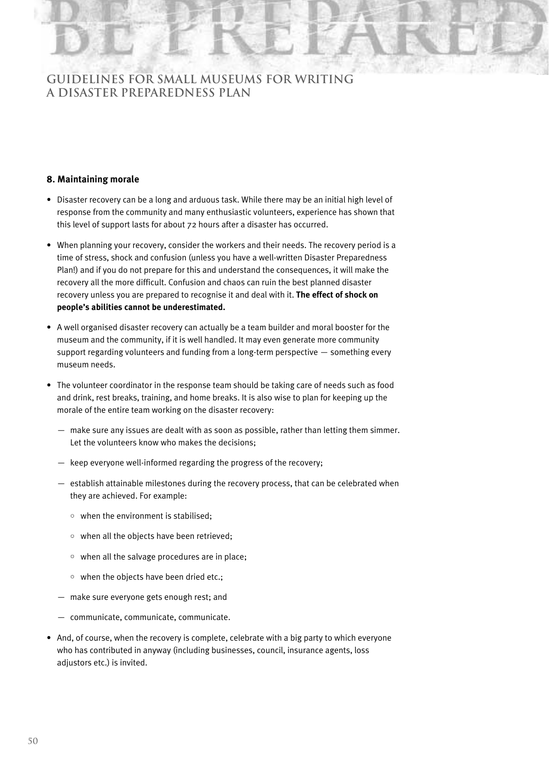#### **8. Maintaining morale**

- Disaster recovery can be a long and arduous task. While there may be an initial high level of response from the community and many enthusiastic volunteers, experience has shown that this level of support lasts for about 72 hours after a disaster has occurred.
- When planning your recovery, consider the workers and their needs. The recovery period is a time of stress, shock and confusion (unless you have a well-written Disaster Preparedness Plan!) and if you do not prepare for this and understand the consequences, it will make the recovery all the more difficult. Confusion and chaos can ruin the best planned disaster recovery unless you are prepared to recognise it and deal with it. **The effect of shock on people's abilities cannot be underestimated.**
- A well organised disaster recovery can actually be a team builder and moral booster for the museum and the community, if it is well handled. It may even generate more community support regarding volunteers and funding from a long-term perspective — something every museum needs.
- The volunteer coordinator in the response team should be taking care of needs such as food and drink, rest breaks, training, and home breaks. It is also wise to plan for keeping up the morale of the entire team working on the disaster recovery:
	- make sure any issues are dealt with as soon as possible, rather than letting them simmer. Let the volunteers know who makes the decisions;
	- keep everyone well-informed regarding the progress of the recovery;
	- establish attainable milestones during the recovery process, that can be celebrated when they are achieved. For example:
		- $\circ$  when the environment is stabilised;
		- when all the objects have been retrieved;
		- when all the salvage procedures are in place;
		- $\circ$  when the objects have been dried etc.;
	- make sure everyone gets enough rest; and
	- communicate, communicate, communicate.
- And, of course, when the recovery is complete, celebrate with a big party to which everyone who has contributed in anyway (including businesses, council, insurance agents, loss adjustors etc.) is invited.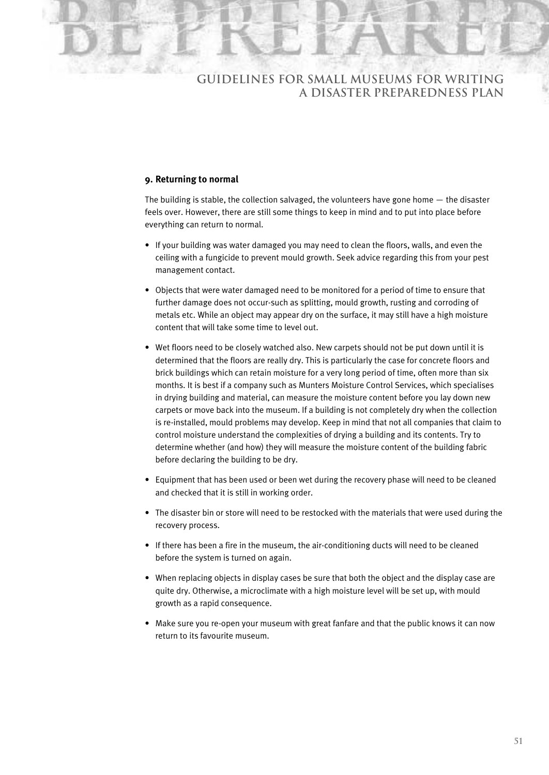#### **9. Returning to normal**

The building is stable, the collection salvaged, the volunteers have gone home — the disaster feels over. However, there are still some things to keep in mind and to put into place before everything can return to normal.

- If your building was water damaged you may need to clean the floors, walls, and even the ceiling with a fungicide to prevent mould growth. Seek advice regarding this from your pest management contact.
- Objects that were water damaged need to be monitored for a period of time to ensure that further damage does not occur-such as splitting, mould growth, rusting and corroding of metals etc. While an object may appear dry on the surface, it may still have a high moisture content that will take some time to level out.
- Wet floors need to be closely watched also. New carpets should not be put down until it is determined that the floors are really dry. This is particularly the case for concrete floors and brick buildings which can retain moisture for a very long period of time, often more than six months. It is best if a company such as Munters Moisture Control Services, which specialises in drying building and material, can measure the moisture content before you lay down new carpets or move back into the museum. If a building is not completely dry when the collection is re-installed, mould problems may develop. Keep in mind that not all companies that claim to control moisture understand the complexities of drying a building and its contents. Try to determine whether (and how) they will measure the moisture content of the building fabric before declaring the building to be dry.
- Equipment that has been used or been wet during the recovery phase will need to be cleaned and checked that it is still in working order.
- The disaster bin or store will need to be restocked with the materials that were used during the recovery process.
- If there has been a fire in the museum, the air-conditioning ducts will need to be cleaned before the system is turned on again.
- When replacing objects in display cases be sure that both the object and the display case are quite dry. Otherwise, a microclimate with a high moisture level will be set up, with mould growth as a rapid consequence.
- Make sure you re-open your museum with great fanfare and that the public knows it can now return to its favourite museum.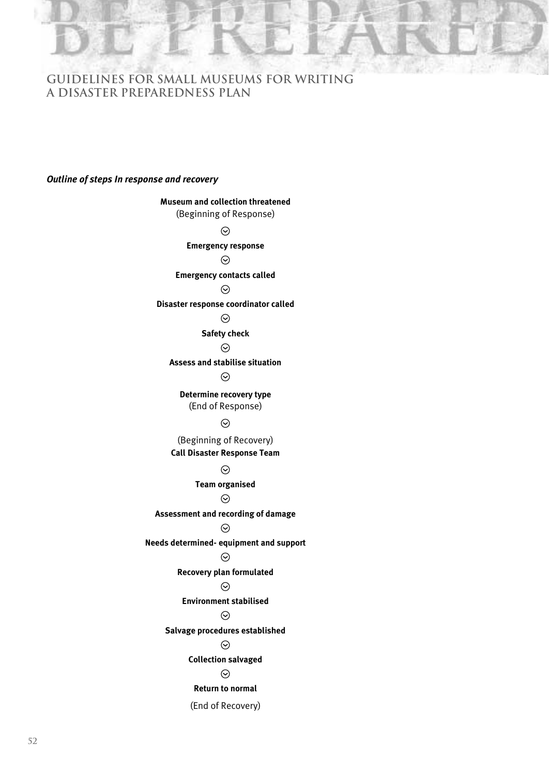#### *Outline of steps In response and recovery*

**Museum and collection threatened** (Beginning of Response)  $\odot$ **Emergency response**  $\odot$ **Emergency contacts called**  $\odot$ **Disaster response coordinator called**  $\odot$ **Safety check**  $\odot$ **Assess and stabilise situation**  $\odot$ **Determine recovery type** (End of Response)  $\odot$ (Beginning of Recovery) **Call Disaster Response Team**  $\odot$ **Team organised**  $\odot$ **Assessment and recording of damage**  $\odot$ **Needs determined- equipment and support**  $\odot$ **Recovery plan formulated**  $\odot$ **Environment stabilised**  $\odot$ **Salvage procedures established**  $\odot$ **Collection salvaged**  $\odot$ **Return to normal** (End of Recovery)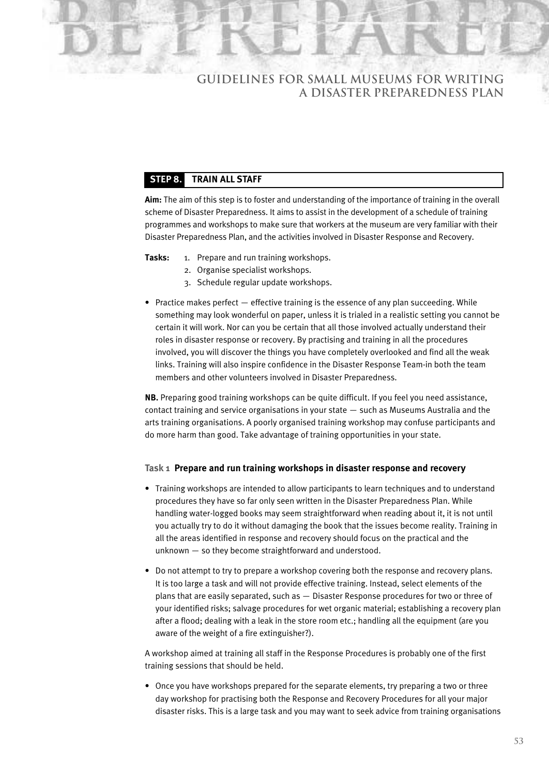#### **STEP 8. TRAIN ALL STAFF**

**Aim:** The aim of this step is to foster and understanding of the importance of training in the overall scheme of Disaster Preparedness. It aims to assist in the development of a schedule of training programmes and workshops to make sure that workers at the museum are very familiar with their Disaster Preparedness Plan, and the activities involved in Disaster Response and Recovery.

Tasks: 1. Prepare and run training workshops.

- 2. Organise specialist workshops.
- 
- 3. Schedule regular update workshops.
- Practice makes perfect effective training is the essence of any plan succeeding. While something may look wonderful on paper, unless it is trialed in a realistic setting you cannot be certain it will work. Nor can you be certain that all those involved actually understand their roles in disaster response or recovery. By practising and training in all the procedures involved, you will discover the things you have completely overlooked and find all the weak links. Training will also inspire confidence in the Disaster Response Team-in both the team members and other volunteers involved in Disaster Preparedness.

**NB.** Preparing good training workshops can be quite difficult. If you feel you need assistance, contact training and service organisations in your state — such as Museums Australia and the arts training organisations. A poorly organised training workshop may confuse participants and do more harm than good. Take advantage of training opportunities in your state.

#### **Task 1 Prepare and run training workshops in disaster response and recovery**

- Training workshops are intended to allow participants to learn techniques and to understand procedures they have so far only seen written in the Disaster Preparedness Plan. While handling water-logged books may seem straightforward when reading about it, it is not until you actually try to do it without damaging the book that the issues become reality. Training in all the areas identified in response and recovery should focus on the practical and the unknown — so they become straightforward and understood.
- Do not attempt to try to prepare a workshop covering both the response and recovery plans. It is too large a task and will not provide effective training. Instead, select elements of the plans that are easily separated, such as — Disaster Response procedures for two or three of your identified risks; salvage procedures for wet organic material; establishing a recovery plan after a flood; dealing with a leak in the store room etc.; handling all the equipment (are you aware of the weight of a fire extinguisher?).

A workshop aimed at training all staff in the Response Procedures is probably one of the first training sessions that should be held.

• Once you have workshops prepared for the separate elements, try preparing a two or three day workshop for practising both the Response and Recovery Procedures for all your major disaster risks. This is a large task and you may want to seek advice from training organisations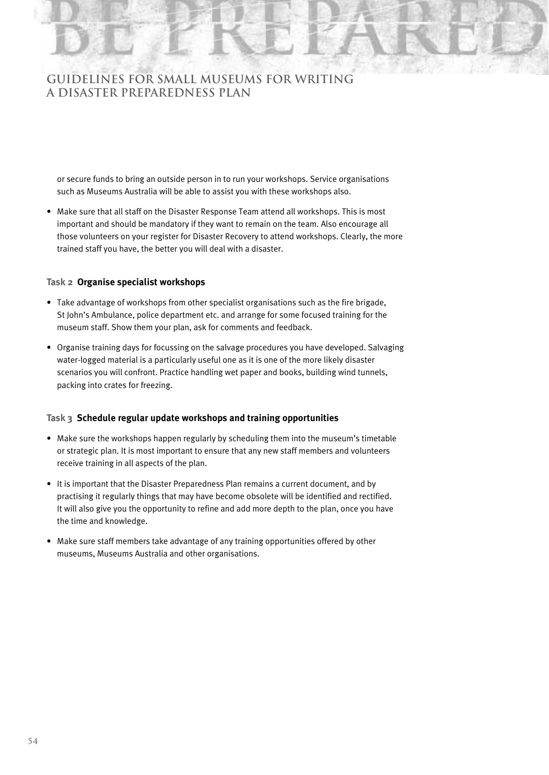or secure funds to bring an outside person in to run your workshops. Service organisations such as Museums Australia will be able to assist you with these workshops also.

• Make sure that all staff on the Disaster Response Team attend all workshops. This is most important and should be mandatory if they want to remain on the team. Also encourage all those volunteers on your register for Disaster Recovery to attend workshops. Clearly, the more trained staff you have, the better you will deal with a disaster.

#### **Task 2 Organise specialist workshops**

- Take advantage of workshops from other specialist organisations such as the fire brigade, St John's Ambulance, police department etc. and arrange for some focused training for the museum staff. Show them your plan, ask for comments and feedback.
- Organise training days for focussing on the salvage procedures you have developed. Salvaging water-logged material is a particularly useful one as it is one of the more likely disaster scenarios you will confront. Practice handling wet paper and books, building wind tunnels, packing into crates for freezing.

#### **Task 3 Schedule regular update workshops and training opportunities**

- Make sure the workshops happen regularly by scheduling them into the museum's timetable or strategic plan. It is most important to ensure that any new staff members and volunteers receive training in all aspects of the plan.
- It is important that the Disaster Preparedness Plan remains a current document, and by practising it regularly things that may have become obsolete will be identified and rectified. It will also give you the opportunity to refine and add more depth to the plan, once you have the time and knowledge.
- Make sure staff members take advantage of any training opportunities offered by other museums, Museums Australia and other organisations.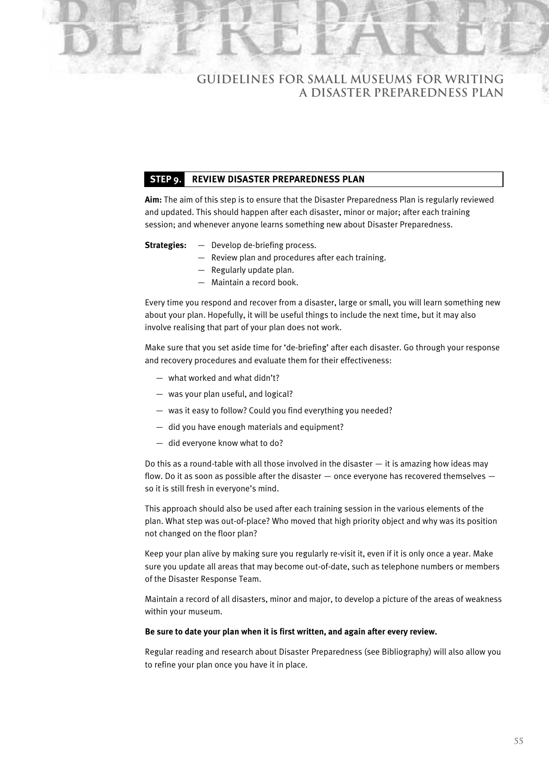#### **STEP 9. REVIEW DISASTER PREPAREDNESS PLAN**

**Aim:** The aim of this step is to ensure that the Disaster Preparedness Plan is regularly reviewed and updated. This should happen after each disaster, minor or major; after each training session; and whenever anyone learns something new about Disaster Preparedness.

#### **Strategies:**  $-$  Develop de-briefing process.

- Review plan and procedures after each training.
- Regularly update plan.
- Maintain a record book.

Every time you respond and recover from a disaster, large or small, you will learn something new about your plan. Hopefully, it will be useful things to include the next time, but it may also involve realising that part of your plan does not work.

Make sure that you set aside time for 'de-briefing' after each disaster. Go through your response and recovery procedures and evaluate them for their effectiveness:

- what worked and what didn't?
- was your plan useful, and logical?
- was it easy to follow? Could you find everything you needed?
- did you have enough materials and equipment?
- did everyone know what to do?

Do this as a round-table with all those involved in the disaster  $-$  it is amazing how ideas may flow. Do it as soon as possible after the disaster — once everyone has recovered themselves so it is still fresh in everyone's mind.

This approach should also be used after each training session in the various elements of the plan. What step was out-of-place? Who moved that high priority object and why was its position not changed on the floor plan?

Keep your plan alive by making sure you regularly re-visit it, even if it is only once a year. Make sure you update all areas that may become out-of-date, such as telephone numbers or members of the Disaster Response Team.

Maintain a record of all disasters, minor and major, to develop a picture of the areas of weakness within your museum.

#### **Be sure to date your plan when it is first written, and again after every review.**

Regular reading and research about Disaster Preparedness (see Bibliography) will also allow you to refine your plan once you have it in place.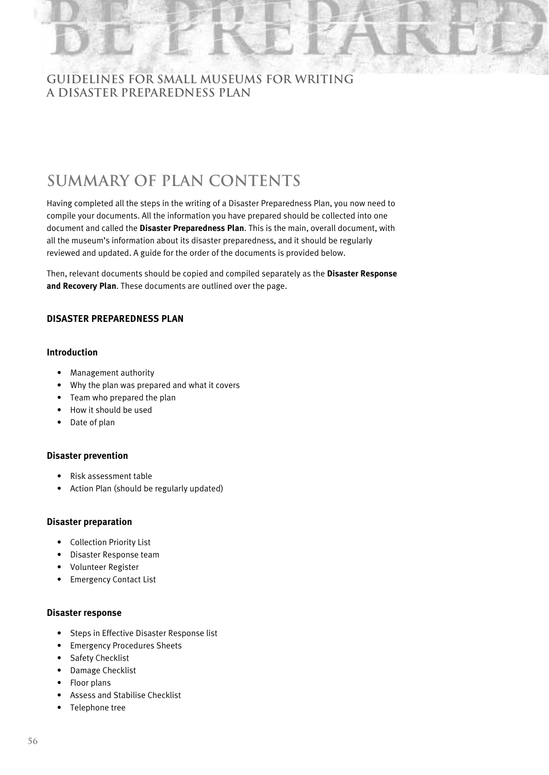#### **SUMMARY OF PLAN CONTENTS**

Having completed all the steps in the writing of a Disaster Preparedness Plan, you now need to compile your documents. All the information you have prepared should be collected into one document and called the **Disaster Preparedness Plan**. This is the main, overall document, with all the museum's information about its disaster preparedness, and it should be regularly reviewed and updated. A guide for the order of the documents is provided below.

Then, relevant documents should be copied and compiled separately as the **Disaster Response and Recovery Plan**. These documents are outlined over the page.

#### **DISASTER PREPAREDNESS PLAN**

#### **Introduction**

- Management authority
- Why the plan was prepared and what it covers
- Team who prepared the plan
- How it should be used
- Date of plan

#### **Disaster prevention**

- Risk assessment table
- Action Plan (should be regularly updated)

#### **Disaster preparation**

- Collection Priority List
- Disaster Response team
- Volunteer Register
- Emergency Contact List

#### **Disaster response**

- Steps in Effective Disaster Response list
- Emergency Procedures Sheets
- Safety Checklist
- Damage Checklist
- Floor plans
- Assess and Stabilise Checklist
- Telephone tree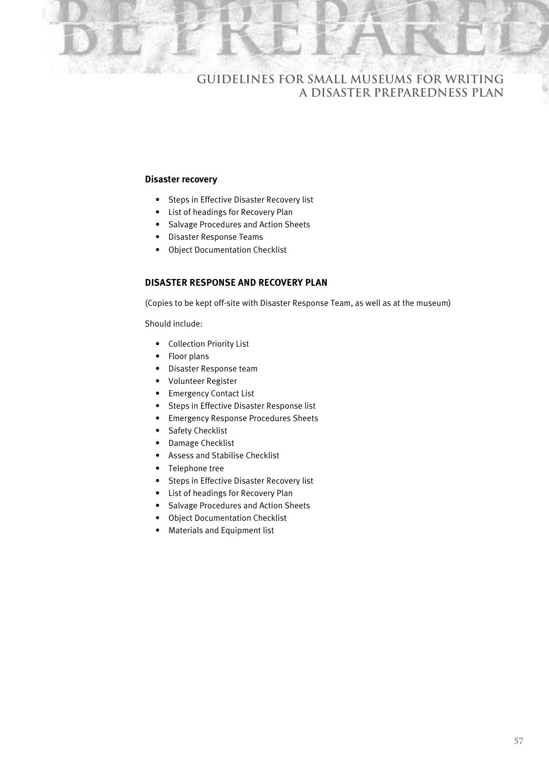#### **Disaster recovery**

- Steps in Effective Disaster Recovery list
- List of headings for Recovery Plan
- Salvage Procedures and Action Sheets
- Disaster Response Teams
- Object Documentation Checklist

#### **DISASTER RESPONSE AND RECOVERY PLAN**

(Copies to be kept off-site with Disaster Response Team, as well as at the museum)

#### Should include:

- Collection Priority List
- Floor plans
- Disaster Response team
- Volunteer Register
- Emergency Contact List
- Steps in Effective Disaster Response list
- Emergency Response Procedures Sheets
- Safety Checklist
- Damage Checklist
- Assess and Stabilise Checklist
- Telephone tree
- Steps in Effective Disaster Recovery list
- List of headings for Recovery Plan
- Salvage Procedures and Action Sheets
- Object Documentation Checklist
- Materials and Equipment list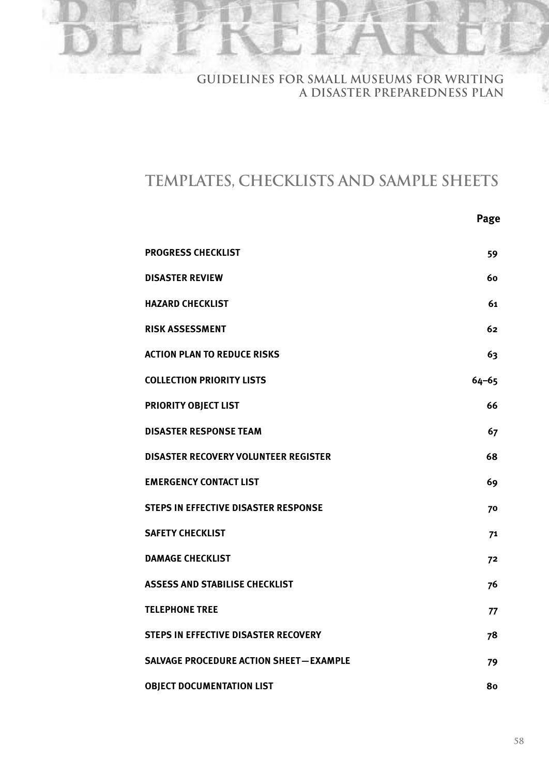#### **TEMPLATES, CHECKLISTS AND SAMPLE SHEETS**

|                                               | Page      |
|-----------------------------------------------|-----------|
| <b>PROGRESS CHECKLIST</b>                     | 59        |
| <b>DISASTER REVIEW</b>                        | 60        |
| <b>HAZARD CHECKLIST</b>                       | 61        |
| <b>RISK ASSESSMENT</b>                        | 62        |
| <b>ACTION PLAN TO REDUCE RISKS</b>            | 63        |
| <b>COLLECTION PRIORITY LISTS</b>              | $64 - 65$ |
| PRIORITY OBJECT LIST                          | 66        |
| <b>DISASTER RESPONSE TEAM</b>                 | 67        |
| DISASTER RECOVERY VOLUNTEER REGISTER          | 68        |
| <b>EMERGENCY CONTACT LIST</b>                 | 69        |
| <b>STEPS IN EFFECTIVE DISASTER RESPONSE</b>   | 70        |
| <b>SAFETY CHECKLIST</b>                       | 71        |
| <b>DAMAGE CHECKLIST</b>                       | 72        |
| <b>ASSESS AND STABILISE CHECKLIST</b>         | 76        |
| <b>TELEPHONE TREE</b>                         | 77        |
| STEPS IN EFFECTIVE DISASTER RECOVERY          | 78        |
| <b>SALVAGE PROCEDURE ACTION SHEET-EXAMPLE</b> | 79        |
| <b>OBJECT DOCUMENTATION LIST</b>              | 80        |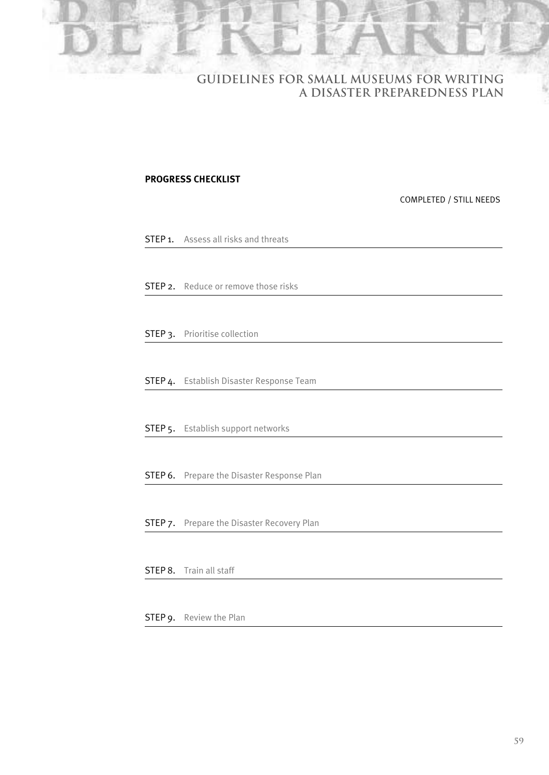#### **PROGRESS CHECKLIST**

COMPLETED / STILL NEEDS

**STEP 1.** Assess all risks and threats **STEP 2.** Reduce or remove those risks STEP 3. Prioritise collection STEP 4. Establish Disaster Response Team STEP 5. Establish support networks STEP 6. Prepare the Disaster Response Plan

**STEP 7.** Prepare the Disaster Recovery Plan

STEP 8. Train all staff

STEP 9. Review the Plan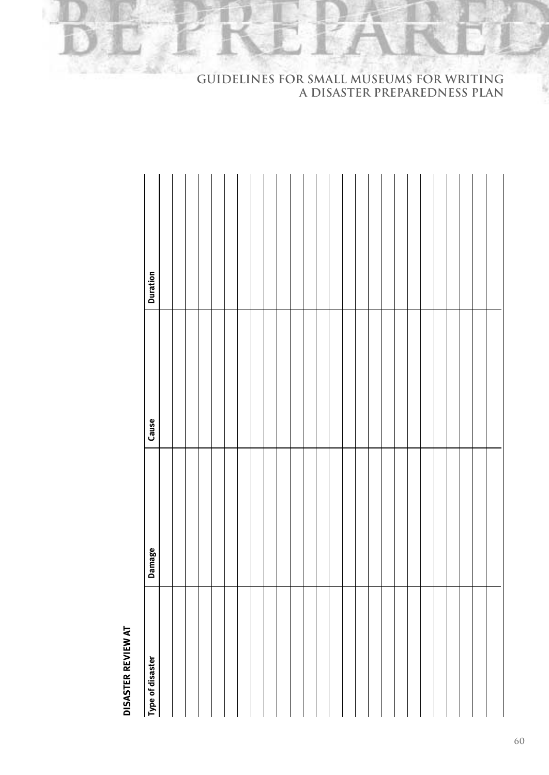# **DISASTER REVIEW AT DISASTER REVIEW AT**

| Type of disaster | Damage | Cause | $\mathbf{I}$<br>$\overline{1}$<br><b>Duration</b> |
|------------------|--------|-------|---------------------------------------------------|
|                  |        |       |                                                   |
|                  |        |       |                                                   |
|                  |        |       |                                                   |
|                  |        |       |                                                   |
|                  |        |       |                                                   |
|                  |        |       |                                                   |
|                  |        |       |                                                   |
|                  |        |       |                                                   |
|                  |        |       |                                                   |
|                  |        |       |                                                   |
|                  |        |       |                                                   |
|                  |        |       |                                                   |
|                  |        |       | I                                                 |
|                  |        |       | I                                                 |
|                  |        |       |                                                   |
|                  |        |       |                                                   |
|                  |        |       | $\overline{\phantom{a}}$                          |
|                  |        |       | I                                                 |
|                  |        |       |                                                   |
|                  |        |       |                                                   |
|                  |        |       |                                                   |
|                  |        |       |                                                   |
|                  |        |       |                                                   |
|                  |        |       |                                                   |
|                  |        |       |                                                   |
|                  |        |       |                                                   |

#### **GUIDELINES FOR SMALL MUSEUMS FOR WRITING A DISASTER PREPAREDNESS PLAN**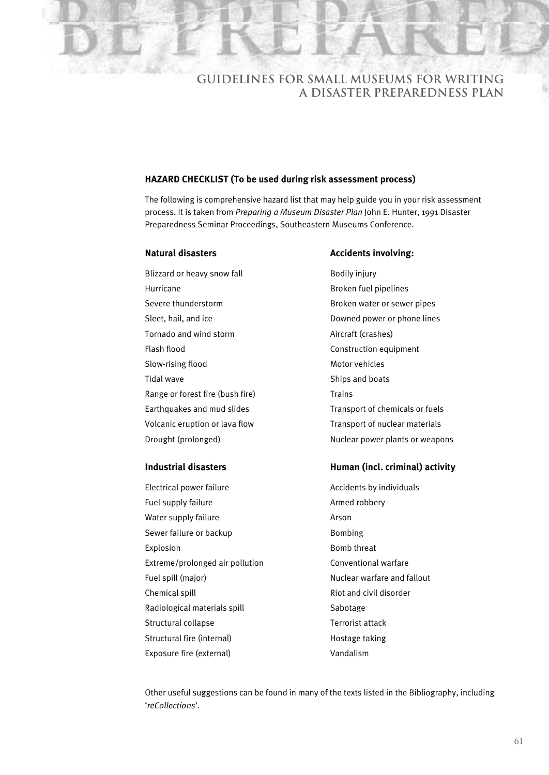#### **HAZARD CHECKLIST (To be used during risk assessment process)**

The following is comprehensive hazard list that may help guide you in your risk assessment process. It is taken from *Preparing a Museum Disaster Plan* John E. Hunter, 1991 Disaster Preparedness Seminar Proceedings, Southeastern Museums Conference.

#### **Natural disasters**

Blizzard or heavy snow fall Hurricane Severe thunderstorm Sleet, hail, and ice Tornado and wind storm Flash flood Slow-rising flood Tidal wave Range or forest fire (bush fire) Earthquakes and mud slides Volcanic eruption or lava flow Drought (prolonged)

#### **Industrial disasters**

Electrical power failure Fuel supply failure Water supply failure Sewer failure or backup Explosion Extreme/prolonged air pollution Fuel spill (major) Chemical spill Radiological materials spill Structural collapse Structural fire (internal) Exposure fire (external)

#### **Accidents involving:**

Bodily injury Broken fuel pipelines Broken water or sewer pipes Downed power or phone lines Aircraft (crashes) Construction equipment Motor vehicles Ships and boats Trains Transport of chemicals or fuels Transport of nuclear materials Nuclear power plants or weapons

#### **Human (incl. criminal) activity**

Accidents by individuals Armed robbery Arson Bombing Bomb threat Conventional warfare Nuclear warfare and fallout Riot and civil disorder Sabotage Terrorist attack Hostage taking Vandalism

Other useful suggestions can be found in many of the texts listed in the Bibliography, including '*reCollections*'.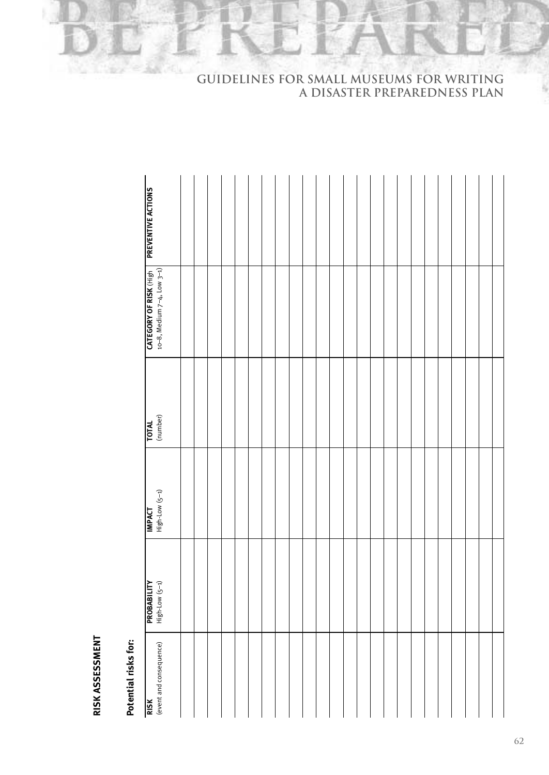### RISK ASSESSMENT **RISK ASSESSMENT**

### Potential risks for: **Potential risks for:**

| RISK<br>(event and consequence) | PROBABILITY<br>High-Low (5-1) | <b>IMPACT</b><br>High-Low (5-1) | $\overline{\text{TOTAL}}$ (number) | <b>CATEGORY OF RISK</b> (High<br>$10-8$ , Medium $7-4$ , Low $3-1$ ) | PREVENTIVE ACTIONS |
|---------------------------------|-------------------------------|---------------------------------|------------------------------------|----------------------------------------------------------------------|--------------------|
|                                 |                               |                                 |                                    |                                                                      |                    |
|                                 |                               |                                 |                                    |                                                                      |                    |
|                                 |                               |                                 |                                    |                                                                      |                    |
|                                 |                               |                                 |                                    |                                                                      |                    |
|                                 |                               |                                 |                                    |                                                                      |                    |
|                                 |                               |                                 |                                    |                                                                      |                    |
|                                 |                               |                                 |                                    |                                                                      |                    |
|                                 |                               |                                 |                                    |                                                                      |                    |
|                                 |                               |                                 |                                    |                                                                      |                    |
|                                 |                               |                                 |                                    |                                                                      |                    |
|                                 |                               |                                 |                                    |                                                                      |                    |
|                                 |                               |                                 |                                    |                                                                      |                    |
|                                 |                               |                                 |                                    |                                                                      |                    |
|                                 |                               |                                 |                                    |                                                                      |                    |
|                                 |                               |                                 |                                    |                                                                      |                    |
|                                 |                               |                                 |                                    |                                                                      |                    |
|                                 |                               |                                 |                                    |                                                                      |                    |
|                                 |                               |                                 |                                    |                                                                      |                    |
|                                 |                               |                                 |                                    |                                                                      |                    |
|                                 |                               |                                 |                                    |                                                                      |                    |
|                                 |                               |                                 |                                    |                                                                      |                    |
|                                 |                               |                                 |                                    |                                                                      |                    |
|                                 |                               |                                 |                                    |                                                                      |                    |
|                                 |                               |                                 |                                    |                                                                      |                    |

#### **GUIDELINES FOR SMALL MUSEUMS FOR WRITING A DISASTER PREPAREDNESS PLAN**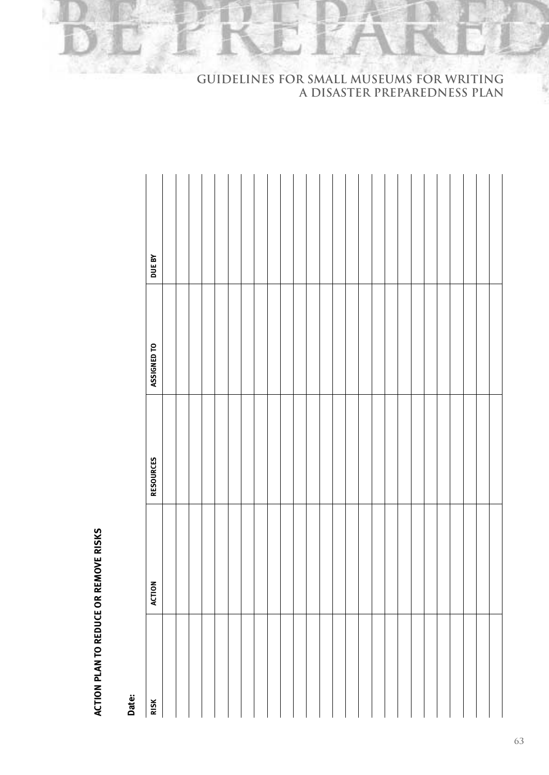# ACTION PLAN TO REDUCE OR REMOVE RISKS **ACTION PLAN TO REDUCE OR REMOVE RISKS**

**Date:**

| <b>RISK</b> | ACTION | <b>RESOURCES</b> | ASSIGNED TO | DUE BY |
|-------------|--------|------------------|-------------|--------|
|             |        |                  |             |        |
|             |        |                  |             |        |
|             |        |                  |             |        |
|             |        |                  |             |        |
|             |        |                  |             |        |
|             |        |                  |             |        |
|             |        |                  |             |        |
|             |        |                  |             |        |
|             |        |                  |             |        |
|             |        |                  |             |        |
|             |        |                  |             |        |
|             |        |                  |             |        |
|             |        |                  |             |        |
|             |        |                  |             |        |
|             |        |                  |             |        |
|             |        |                  |             |        |
|             |        |                  |             |        |
|             |        |                  |             |        |
|             |        |                  |             |        |
|             |        |                  |             |        |
|             |        |                  |             |        |
|             |        |                  |             |        |
|             |        |                  |             |        |
|             |        |                  |             |        |
|             |        |                  |             |        |
|             |        |                  |             |        |

**GUIDELINES FOR SMALL MUSEUMS FOR WRITING A DISASTER PREPAREDNESS PLAN**

W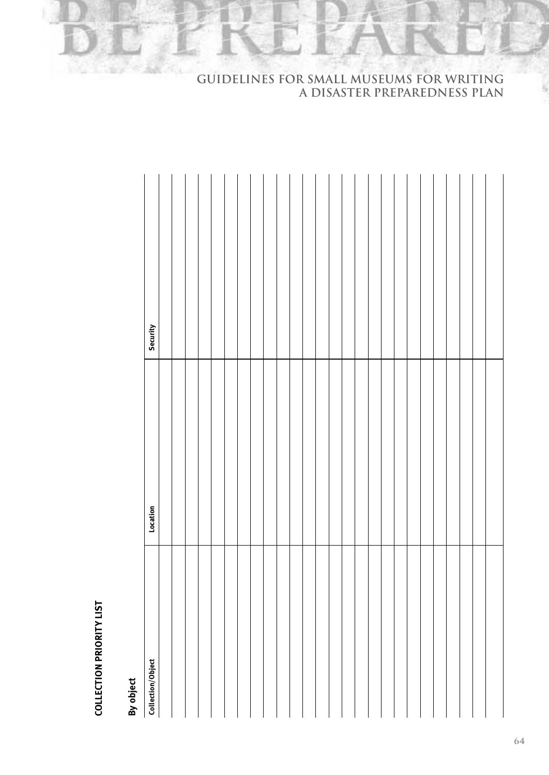# **COLLECTION PRIORITY LIST COLLECTION PRIORITY LIST**

## **By object**

| Collection/Object | Location | Security |
|-------------------|----------|----------|
|                   |          |          |
|                   |          |          |
|                   |          |          |
|                   |          |          |
|                   |          |          |
|                   |          |          |
|                   |          |          |
|                   |          |          |
|                   |          |          |
|                   |          |          |
|                   |          |          |
|                   |          |          |
|                   |          |          |
|                   |          |          |
|                   |          |          |
|                   |          |          |
|                   |          |          |
|                   |          |          |
|                   |          |          |
|                   |          |          |
|                   |          |          |
|                   |          |          |
|                   |          |          |
|                   |          |          |
|                   |          |          |
|                   |          |          |

#### **GUIDELINES FOR SMALL MUSEUMS FOR WRITING A DISASTER PREPAREDNESS PLAN**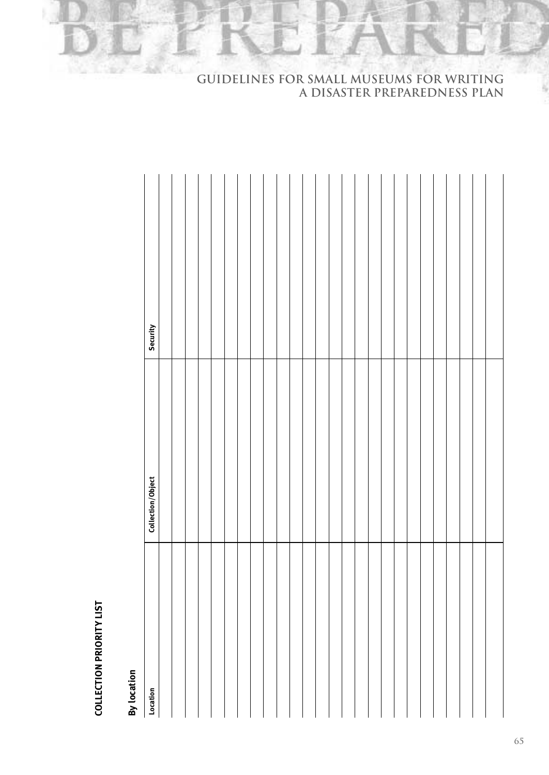# **COLLECTION PRIORITY LIST COLLECTION PRIORITY LIST**

# **By location**

| Location | Collection/Object | Security |
|----------|-------------------|----------|
|          |                   |          |
|          |                   |          |
|          |                   |          |
|          |                   |          |
|          |                   |          |
|          |                   |          |
|          |                   |          |
|          |                   |          |
|          |                   |          |
|          |                   |          |
|          |                   |          |
|          |                   |          |
|          |                   |          |
|          |                   |          |
|          |                   |          |
|          |                   |          |
|          |                   |          |
|          |                   |          |
|          |                   |          |
|          |                   |          |
|          |                   |          |
|          |                   |          |
|          |                   |          |
|          |                   |          |
|          |                   |          |
|          |                   |          |

#### **GUIDELINES FOR SMALL MUSEUMS FOR WRITING A DISASTER PREPAREDNESS PLAN**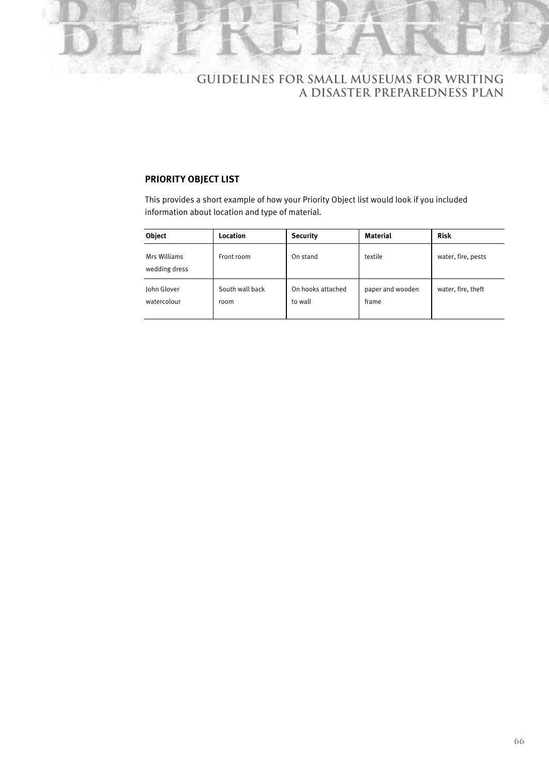#### **PRIORITY OBJECT LIST**

This provides a short example of how your Priority Object list would look if you included information about location and type of material.

| Object                        | <b>Location</b>         | <b>Security</b>              | <b>Material</b>           | <b>Risk</b>        |
|-------------------------------|-------------------------|------------------------------|---------------------------|--------------------|
| Mrs Williams<br>wedding dress | Front room              | On stand                     | textile                   | water, fire, pests |
| John Glover<br>watercolour    | South wall back<br>room | On hooks attached<br>to wall | paper and wooden<br>frame | water, fire, theft |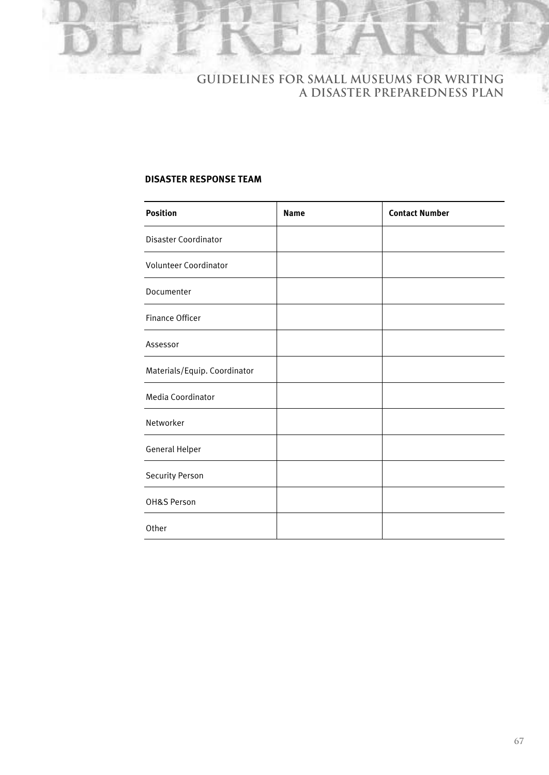#### **DISASTER RESPONSE TEAM**

| <b>Position</b>              | <b>Name</b> | <b>Contact Number</b> |
|------------------------------|-------------|-----------------------|
| <b>Disaster Coordinator</b>  |             |                       |
| Volunteer Coordinator        |             |                       |
| Documenter                   |             |                       |
| Finance Officer              |             |                       |
| Assessor                     |             |                       |
| Materials/Equip. Coordinator |             |                       |
| Media Coordinator            |             |                       |
| Networker                    |             |                       |
| General Helper               |             |                       |
| <b>Security Person</b>       |             |                       |
| <b>OH&amp;S Person</b>       |             |                       |
| Other                        |             |                       |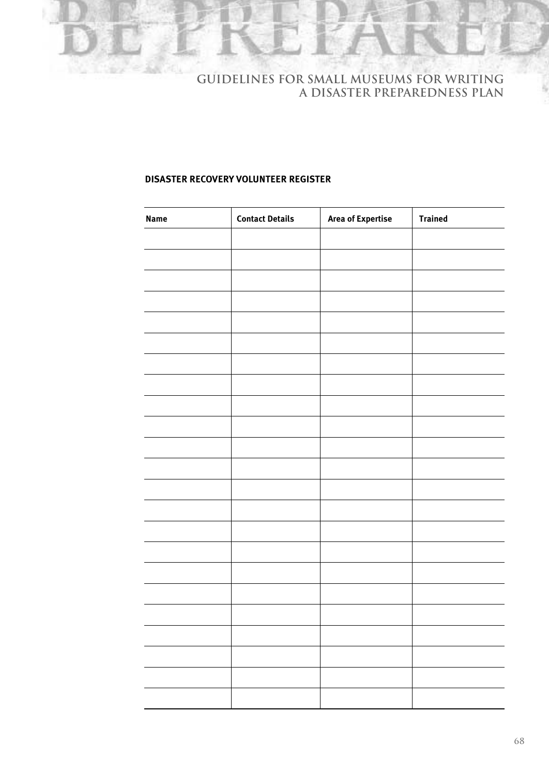#### **DISASTER RECOVERY VOLUNTEER REGISTER**

| <b>Name</b> | <b>Contact Details</b> | <b>Area of Expertise</b> | <b>Trained</b> |
|-------------|------------------------|--------------------------|----------------|
|             |                        |                          |                |
|             |                        |                          |                |
|             |                        |                          |                |
|             |                        |                          |                |
|             |                        |                          |                |
|             |                        |                          |                |
|             |                        |                          |                |
|             |                        |                          |                |
|             |                        |                          |                |
|             |                        |                          |                |
|             |                        |                          |                |
|             |                        |                          |                |
|             |                        |                          |                |
|             |                        |                          |                |
|             |                        |                          |                |
|             |                        |                          |                |
|             |                        |                          |                |
|             |                        |                          |                |
|             |                        |                          |                |
|             |                        |                          |                |
|             |                        |                          |                |
|             |                        |                          |                |
|             |                        |                          |                |
|             |                        |                          |                |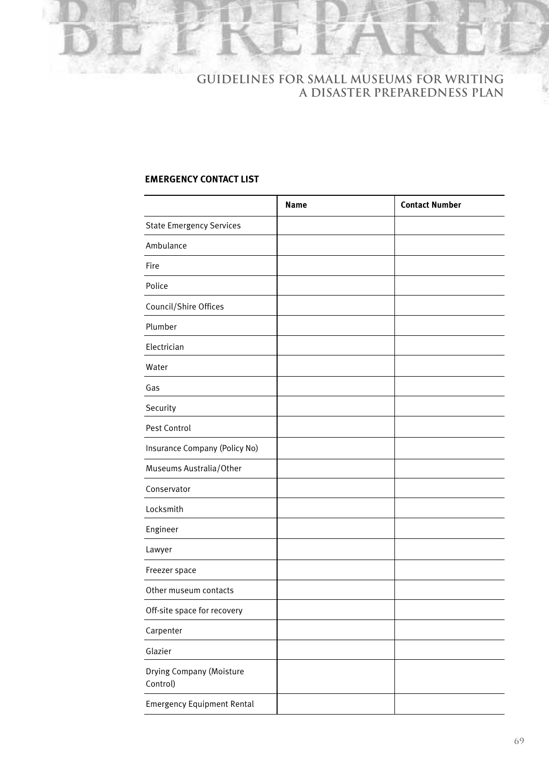#### **EMERGENCY CONTACT LIST**

|                                      | <b>Name</b> | <b>Contact Number</b> |
|--------------------------------------|-------------|-----------------------|
| <b>State Emergency Services</b>      |             |                       |
| Ambulance                            |             |                       |
| Fire                                 |             |                       |
| Police                               |             |                       |
| Council/Shire Offices                |             |                       |
| Plumber                              |             |                       |
| Electrician                          |             |                       |
| Water                                |             |                       |
| Gas                                  |             |                       |
| Security                             |             |                       |
| Pest Control                         |             |                       |
| Insurance Company (Policy No)        |             |                       |
| Museums Australia/Other              |             |                       |
| Conservator                          |             |                       |
| Locksmith                            |             |                       |
| Engineer                             |             |                       |
| Lawyer                               |             |                       |
| Freezer space                        |             |                       |
| Other museum contacts                |             |                       |
| Off-site space for recovery          |             |                       |
| Carpenter                            |             |                       |
| Glazier                              |             |                       |
| Drying Company (Moisture<br>Control) |             |                       |
| <b>Emergency Equipment Rental</b>    |             |                       |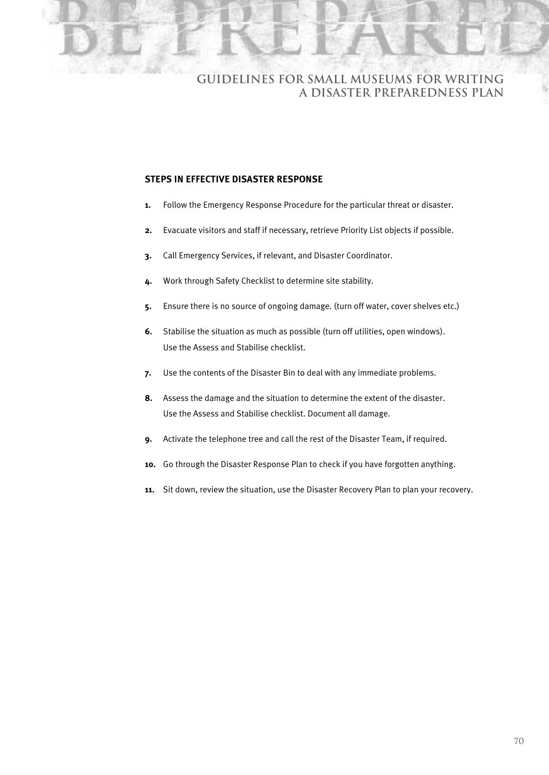#### **STEPS IN EFFECTIVE DISASTER RESPONSE**

- **1.** Follow the Emergency Response Procedure for the particular threat or disaster.
- **2.** Evacuate visitors and staff if necessary, retrieve Priority List objects if possible.
- **3.** Call Emergency Services, if relevant, and Disaster Coordinator.
- **4.** Work through Safety Checklist to determine site stability.
- **5.** Ensure there is no source of ongoing damage. (turn off water, cover shelves etc.)
- **6.** Stabilise the situation as much as possible (turn off utilities, open windows). Use the Assess and Stabilise checklist.
- **7.** Use the contents of the Disaster Bin to deal with any immediate problems.
- **8.** Assess the damage and the situation to determine the extent of the disaster. Use the Assess and Stabilise checklist. Document all damage.
- **9.** Activate the telephone tree and call the rest of the Disaster Team, if required.
- **10.** Go through the Disaster Response Plan to check if you have forgotten anything.
- **11.** Sit down, review the situation, use the Disaster Recovery Plan to plan your recovery.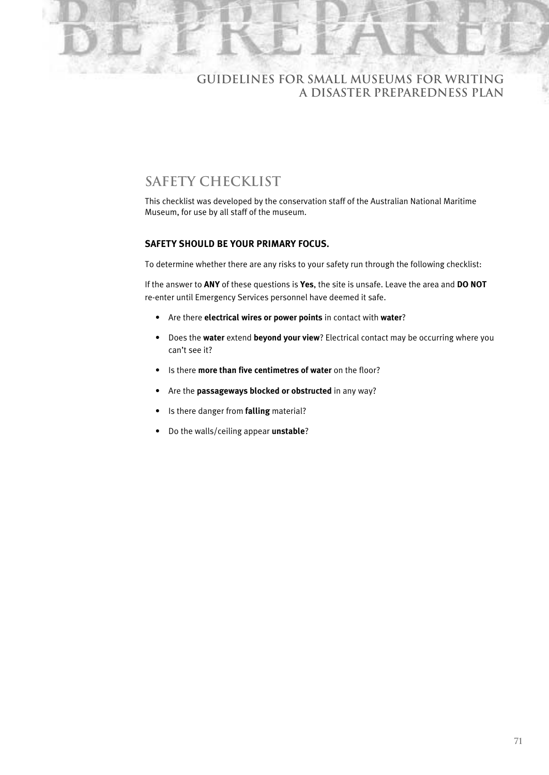## **SAFETY CHECKLIST**

This checklist was developed by the conservation staff of the Australian National Maritime Museum, for use by all staff of the museum.

#### **SAFETY SHOULD BE YOUR PRIMARY FOCUS.**

To determine whether there are any risks to your safety run through the following checklist:

If the answer to **ANY** of these questions is **Yes**, the site is unsafe. Leave the area and **DO NOT** re-enter until Emergency Services personnel have deemed it safe.

- Are there **electrical wires or power points** in contact with **water**?
- Does the **water** extend **beyond your view**? Electrical contact may be occurring where you can't see it?
- Is there **more than five centimetres of water** on the floor?
- Are the **passageways blocked or obstructed** in any way?
- Is there danger from **falling** material?
- Do the walls/ceiling appear **unstable**?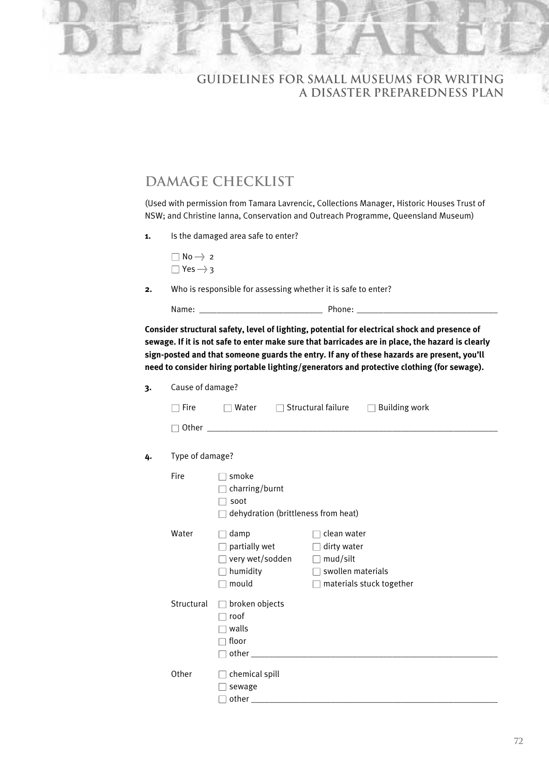## **DAMAGE CHECKLIST**

(Used with permission from Tamara Lavrencic, Collections Manager, Historic Houses Trust of NSW; and Christine Ianna, Conservation and Outreach Programme, Queensland Museum)

- **1.** Is the damaged area safe to enter?
	- $\Box$  No  $\rightarrow$  2  $\Box$  Yes  $\rightarrow$  3
- **2.** Who is responsible for assessing whether it is safe to enter?

| Nam |  | -<br>_____ |  |
|-----|--|------------|--|
|-----|--|------------|--|

**Consider structural safety, level of lighting, potential for electrical shock and presence of sewage. If it is not safe to enter make sure that barricades are in place, the hazard is clearly sign-posted and that someone guards the entry. If any of these hazards are present, you'll need to consider hiring portable lighting/generators and protective clothing (for sewage).**

**3.** Cause of damage?

|    | Fire            |                                                                                                                  |                                                               | $\Box$ Water $\Box$ Structural failure $\Box$ Building work |  |
|----|-----------------|------------------------------------------------------------------------------------------------------------------|---------------------------------------------------------------|-------------------------------------------------------------|--|
|    | $\Box$ Other    |                                                                                                                  |                                                               |                                                             |  |
| 4. | Type of damage? |                                                                                                                  |                                                               |                                                             |  |
|    | Fire            | $\Box$ smoke<br>$\Box$ charring/burnt<br>$\Box$ soot<br>$\Box$ dehydration (brittleness from heat)               |                                                               |                                                             |  |
|    | Water           | $\Box$ damp<br>$\Box$ partially wet<br>$\Box$ very wet/sodden $\Box$ mud/silt<br>$\Box$ humidity<br>$\Box$ mould | clean water<br>$\Box$ dirty water<br>$\Box$ swollen materials | $\Box$ materials stuck together                             |  |
|    | Structural      | $\Box$ broken objects<br>$\Box$ roof<br>$\Box$ walls<br>$\Box$ floor                                             |                                                               |                                                             |  |
|    | Other           | $\Box$ chemical spill<br>sewage                                                                                  |                                                               |                                                             |  |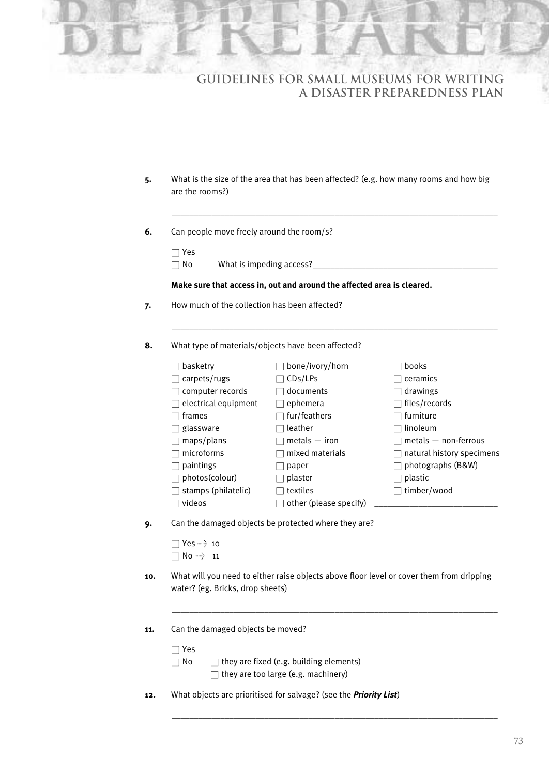| Can people move freely around the room/s?     |                                                                        |                                  |
|-----------------------------------------------|------------------------------------------------------------------------|----------------------------------|
| $\Box$ Yes                                    |                                                                        |                                  |
| $\Box$ No                                     | What is impeding access?_________                                      |                                  |
|                                               | Make sure that access in, out and around the affected area is cleared. |                                  |
| How much of the collection has been affected? |                                                                        |                                  |
|                                               |                                                                        |                                  |
|                                               | What type of materials/objects have been affected?                     |                                  |
| $\Box$ basketry                               | $\Box$ bone/ivory/horn                                                 | $\Box$ books                     |
| $\Box$ carpets/rugs                           | $\Box$ CDs/LPs                                                         | $\Box$ ceramics                  |
| $\Box$ computer records                       | $\Box$ documents                                                       | $\Box$ drawings                  |
| $\Box$ electrical equipment                   | $\Box$ ephemera                                                        | $\Box$ files/records             |
| $\Box$ frames                                 | $\Box$ fur/feathers                                                    | $\Box$ furniture                 |
| $\Box$ glassware                              | $\Box$ leather                                                         | $\Box$ linoleum                  |
| $\Box$ maps/plans                             | $\Box$ metals - iron                                                   | $\Box$ metals - non-ferrous      |
| $\Box$ microforms                             | $\Box$ mixed materials                                                 | $\Box$ natural history specimens |
| $\Box$ paintings                              | $\Box$ paper                                                           | $\Box$ photographs (B&W)         |
| $\Box$ photos(colour)                         | $\Box$ plaster                                                         | $\Box$ plastic                   |
| $\Box$ stamps (philatelic)                    | $\Box$ textiles                                                        | $\Box$ timber/wood               |
| $\Box$ videos                                 | $\Box$ other (please specify)                                          |                                  |
|                                               | Can the damaged objects be protected where they are?                   |                                  |
| $\Box$ Yes $\rightarrow$ 10                   |                                                                        |                                  |
|                                               |                                                                        |                                  |

water? (eg. Bricks, drop sheets)

\_\_\_\_\_\_\_\_\_\_\_\_\_\_\_\_\_\_\_\_\_\_\_\_\_\_\_\_\_\_\_\_\_\_\_\_\_\_\_\_\_\_\_\_\_\_\_\_\_\_\_\_\_\_\_\_\_\_\_\_\_\_\_\_\_\_\_\_\_\_\_\_\_\_

\_\_\_\_\_\_\_\_\_\_\_\_\_\_\_\_\_\_\_\_\_\_\_\_\_\_\_\_\_\_\_\_\_\_\_\_\_\_\_\_\_\_\_\_\_\_\_\_\_\_\_\_\_\_\_\_\_\_\_\_\_\_\_\_\_\_\_\_\_\_\_\_\_\_

**11.** Can the damaged objects be moved?

■ Yes

 $\Box$  No  $\Box$  they are fixed (e.g. building elements)  $\Box$  they are too large (e.g. machinery)

**12.** What objects are prioritised for salvage? (see the *Priority List*)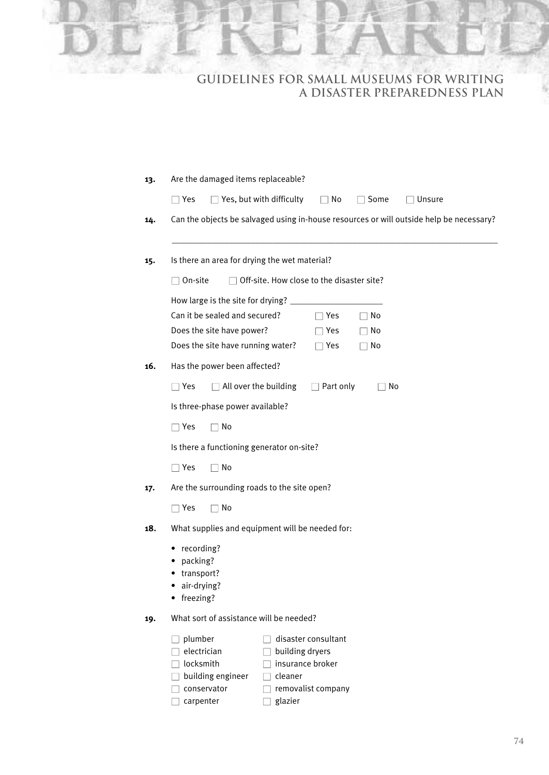| 13. | Are the damaged items replaceable?                                                                                                                                                                                                                                                                         |  |  |  |  |
|-----|------------------------------------------------------------------------------------------------------------------------------------------------------------------------------------------------------------------------------------------------------------------------------------------------------------|--|--|--|--|
|     | $\Box$ Yes<br>$\Box$ Yes, but with difficulty<br>$\Box$ No<br>$\Box$ Some<br>$\Box$ Unsure                                                                                                                                                                                                                 |  |  |  |  |
| 14. | Can the objects be salvaged using in-house resources or will outside help be necessary?                                                                                                                                                                                                                    |  |  |  |  |
| 15. | Is there an area for drying the wet material?                                                                                                                                                                                                                                                              |  |  |  |  |
|     | $\Box$ On-site<br>Off-site. How close to the disaster site?                                                                                                                                                                                                                                                |  |  |  |  |
|     | How large is the site for drying?                                                                                                                                                                                                                                                                          |  |  |  |  |
|     | Can it be sealed and secured?<br>$\Box$ Yes<br>$\Box$ No                                                                                                                                                                                                                                                   |  |  |  |  |
|     | Does the site have power?<br>$\Box$ Yes<br>$\Box$ No                                                                                                                                                                                                                                                       |  |  |  |  |
|     | Does the site have running water?<br>$\Box$ No<br>$\Box$ Yes                                                                                                                                                                                                                                               |  |  |  |  |
| 16. | Has the power been affected?                                                                                                                                                                                                                                                                               |  |  |  |  |
|     | $\Box$ All over the building<br>$\Box$ Part only<br>$\Box$ Yes<br>$\Box$ No                                                                                                                                                                                                                                |  |  |  |  |
|     | Is three-phase power available?                                                                                                                                                                                                                                                                            |  |  |  |  |
|     | $\Box$ Yes<br>$\Box$ No                                                                                                                                                                                                                                                                                    |  |  |  |  |
|     | Is there a functioning generator on-site?                                                                                                                                                                                                                                                                  |  |  |  |  |
|     | $\Box$ No<br>$\Box$ Yes                                                                                                                                                                                                                                                                                    |  |  |  |  |
| 17. | Are the surrounding roads to the site open?                                                                                                                                                                                                                                                                |  |  |  |  |
|     | $\Box$ Yes<br>$\Box$ No                                                                                                                                                                                                                                                                                    |  |  |  |  |
| 18. | What supplies and equipment will be needed for:                                                                                                                                                                                                                                                            |  |  |  |  |
|     | recording?<br>packing?<br>transport?<br>air-drying?<br>freezing?                                                                                                                                                                                                                                           |  |  |  |  |
| 19. | What sort of assistance will be needed?                                                                                                                                                                                                                                                                    |  |  |  |  |
|     | plumber<br>disaster consultant<br>$\Box$<br>$\Box$<br>electrician<br>building dryers<br>$\Box$<br>locksmith<br>insurance broker<br>$\mathsf{L}$<br>building engineer<br>cleaner<br>$\perp$<br>conservator<br>removalist company<br>$\mathbf{L}$<br>carpenter<br>$\Box$ glazier<br>$\overline{\phantom{a}}$ |  |  |  |  |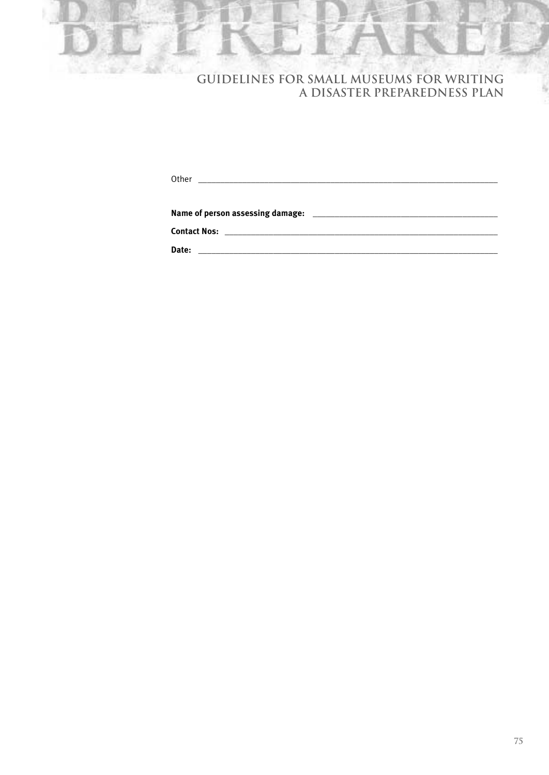Other \_\_\_\_\_\_\_\_\_\_\_\_\_\_\_\_\_\_\_\_\_\_\_\_\_\_\_\_\_\_\_\_\_\_\_\_\_\_\_\_\_\_\_\_\_\_\_\_\_\_\_\_\_\_\_\_\_\_\_\_\_\_\_\_\_\_\_\_

| Name of person assessing damage: |  |
|----------------------------------|--|
| <b>Contact Nos:</b>              |  |

**Date:** \_\_\_\_\_\_\_\_\_\_\_\_\_\_\_\_\_\_\_\_\_\_\_\_\_\_\_\_\_\_\_\_\_\_\_\_\_\_\_\_\_\_\_\_\_\_\_\_\_\_\_\_\_\_\_\_\_\_\_\_\_\_\_\_\_\_\_\_

MEN.

**75**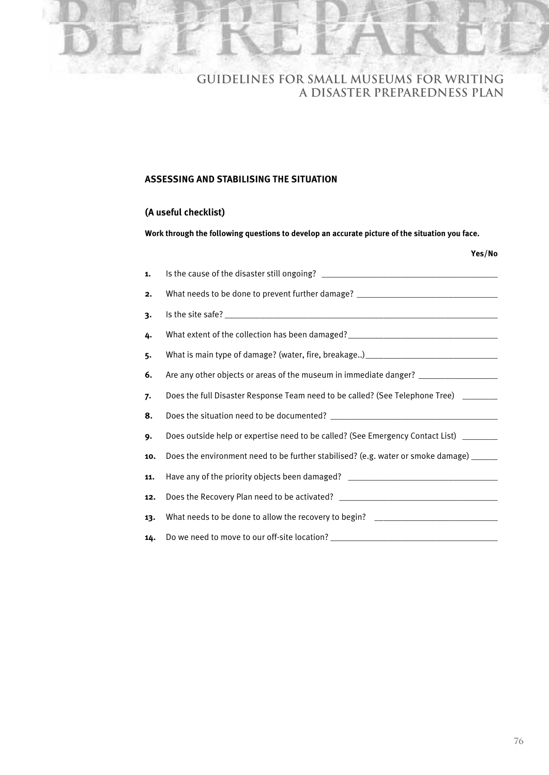#### **ASSESSING AND STABILISING THE SITUATION**

### **(A useful checklist)**

**Work through the following questions to develop an accurate picture of the situation you face.**

|     | Yes/No                                                                                  |
|-----|-----------------------------------------------------------------------------------------|
| 1.  |                                                                                         |
| 2.  | What needs to be done to prevent further damage? _______________________________        |
| 3.  |                                                                                         |
| 4.  | What extent of the collection has been damaged?_________________________________        |
| 5.  | What is main type of damage? (water, fire, breakage) ________________________________   |
| 6.  | Are any other objects or areas of the museum in immediate danger? _______________       |
| 7.  | Does the full Disaster Response Team need to be called? (See Telephone Tree) _______    |
| 8.  |                                                                                         |
| 9.  | Does outside help or expertise need to be called? (See Emergency Contact List) _______  |
| 10. | Does the environment need to be further stabilised? (e.g. water or smoke damage) ______ |
| 11. | Have any of the priority objects been damaged? _________________________________        |
| 12. | Does the Recovery Plan need to be activated? ___________________________________        |
| 13. | What needs to be done to allow the recovery to begin? __________________________        |
| 14. | Do we need to move to our off-site location?                                            |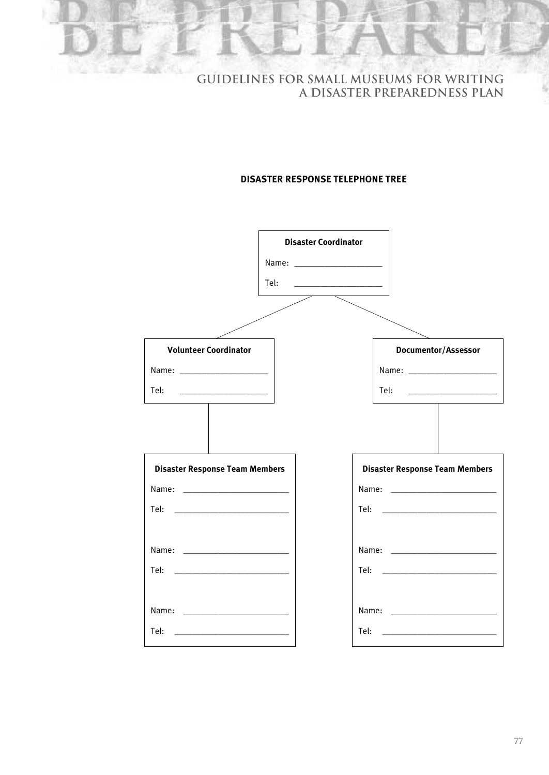#### **DISASTER RESPONSE TELEPHONE TREE**

AL MEN

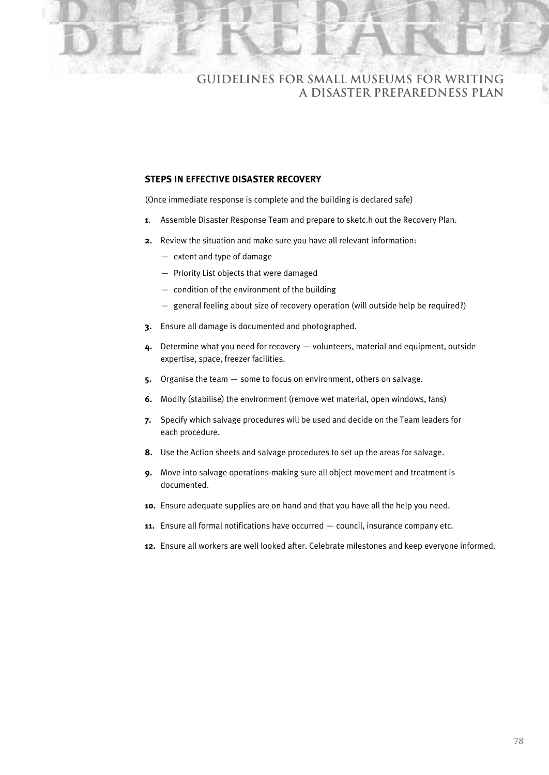#### **STEPS IN EFFECTIVE DISASTER RECOVERY**

(Once immediate response is complete and the building is declared safe)

- **1**. Assemble Disaster Response Team and prepare to sketc.h out the Recovery Plan.
- **2.** Review the situation and make sure you have all relevant information:
	- extent and type of damage
	- Priority List objects that were damaged
	- condition of the environment of the building
	- general feeling about size of recovery operation (will outside help be required?)
- **3.** Ensure all damage is documented and photographed.
- **4.** Determine what you need for recovery volunteers, material and equipment, outside expertise, space, freezer facilities.
- **5.** Organise the team some to focus on environment, others on salvage.
- **6.** Modify (stabilise) the environment (remove wet material, open windows, fans)
- **7.** Specify which salvage procedures will be used and decide on the Team leaders for each procedure.
- **8.** Use the Action sheets and salvage procedures to set up the areas for salvage.
- **9.** Move into salvage operations-making sure all object movement and treatment is documented.
- **10.** Ensure adequate supplies are on hand and that you have all the help you need.
- **11.** Ensure all formal notifications have occurred council, insurance company etc.
- **12.** Ensure all workers are well looked after. Celebrate milestones and keep everyone informed.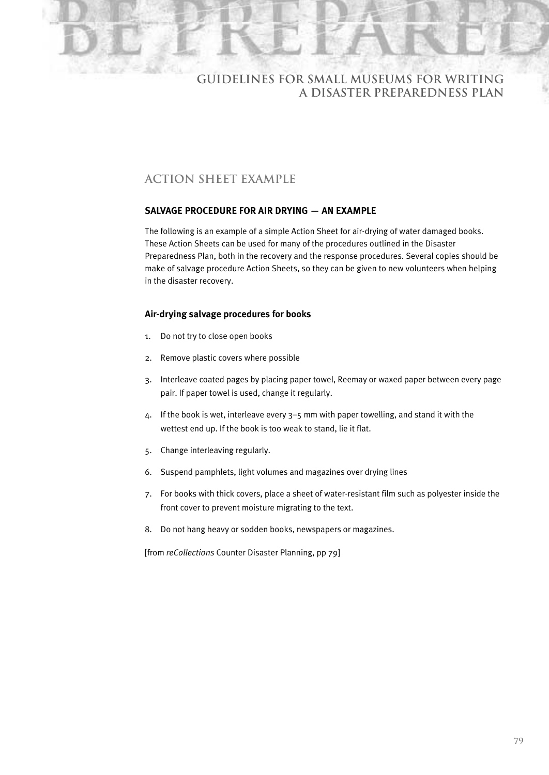## **ACTION SHEET EXAMPLE**

#### **SALVAGE PROCEDURE FOR AIR DRYING — AN EXAMPLE**

The following is an example of a simple Action Sheet for air-drying of water damaged books. These Action Sheets can be used for many of the procedures outlined in the Disaster Preparedness Plan, both in the recovery and the response procedures. Several copies should be make of salvage procedure Action Sheets, so they can be given to new volunteers when helping in the disaster recovery.

#### **Air-drying salvage procedures for books**

- 1. Do not try to close open books
- 2. Remove plastic covers where possible
- 3. Interleave coated pages by placing paper towel, Reemay or waxed paper between every page pair. If paper towel is used, change it regularly.
- 4. If the book is wet, interleave every 3–5 mm with paper towelling, and stand it with the wettest end up. If the book is too weak to stand, lie it flat.
- 5. Change interleaving regularly.
- 6. Suspend pamphlets, light volumes and magazines over drying lines
- 7. For books with thick covers, place a sheet of water-resistant film such as polyester inside the front cover to prevent moisture migrating to the text.
- 8. Do not hang heavy or sodden books, newspapers or magazines.

[from *reCollections* Counter Disaster Planning, pp 79]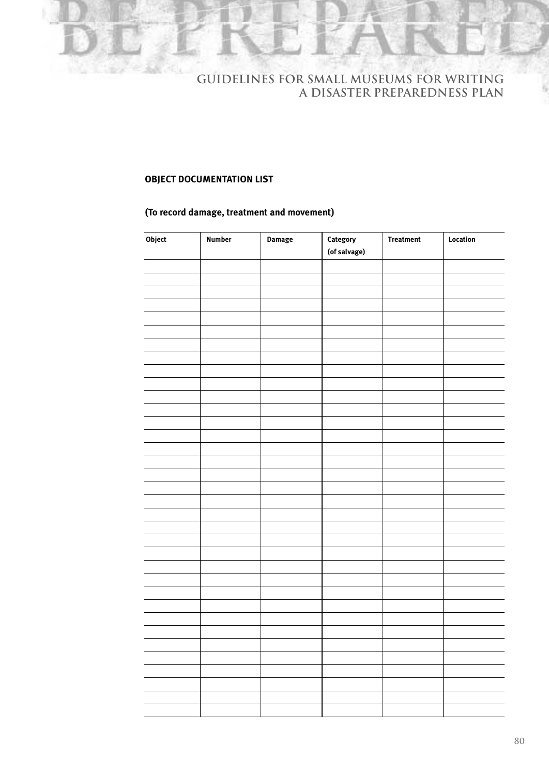### **OBJECT DOCUMENTATION LIST**

### **(To record damage, treatment and movement)**

| Object | <b>Number</b> | <b>Damage</b> | Category<br>(of salvage) | <b>Treatment</b> | Location |
|--------|---------------|---------------|--------------------------|------------------|----------|
|        |               |               |                          |                  |          |
|        |               |               |                          |                  |          |
|        |               |               |                          |                  |          |
|        |               |               |                          |                  |          |
|        |               |               |                          |                  |          |
|        |               |               |                          |                  |          |
|        |               |               |                          |                  |          |
|        |               |               |                          |                  |          |
|        |               |               |                          |                  |          |
|        |               |               |                          |                  |          |
|        |               |               |                          |                  |          |
|        |               |               |                          |                  |          |
|        |               |               |                          |                  |          |
|        |               |               |                          |                  |          |
|        |               |               |                          |                  |          |
|        |               |               |                          |                  |          |
|        |               |               |                          |                  |          |
|        |               |               |                          |                  |          |
|        |               |               |                          |                  |          |
|        |               |               |                          |                  |          |
|        |               |               |                          |                  |          |
|        |               |               |                          |                  |          |
|        |               |               |                          |                  |          |
|        |               |               |                          |                  |          |
|        |               |               |                          |                  |          |
|        |               |               |                          |                  |          |
|        |               |               |                          |                  |          |
|        |               |               |                          |                  |          |
|        |               |               |                          |                  |          |
|        |               |               |                          |                  |          |
|        |               |               |                          |                  |          |
|        |               |               |                          |                  |          |
|        |               |               |                          |                  |          |
|        |               |               |                          |                  |          |
|        |               |               |                          |                  |          |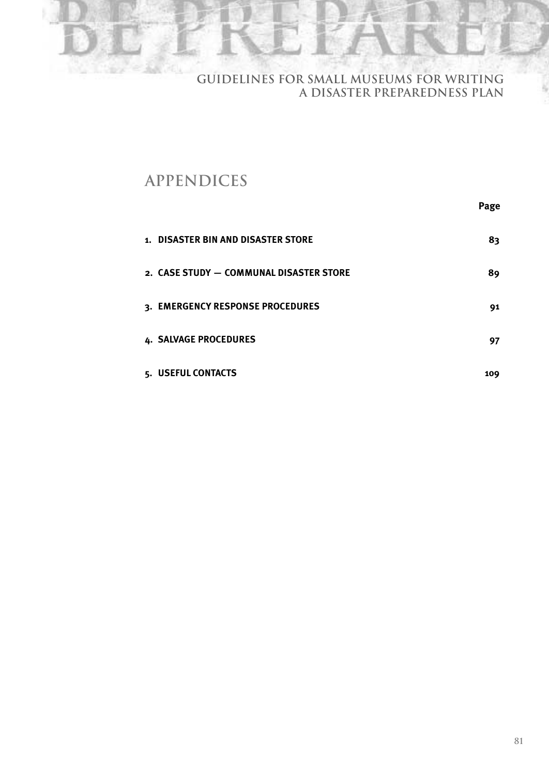# **APPENDICES**

| 1. DISASTER BIN AND DISASTER STORE      | 83  |
|-----------------------------------------|-----|
| 2. CASE STUDY - COMMUNAL DISASTER STORE | 89  |
| 3. EMERGENCY RESPONSE PROCEDURES        | 91  |
| 4. SALVAGE PROCEDURES                   | 97  |
| 5. USEFUL CONTACTS                      | 109 |

**Page**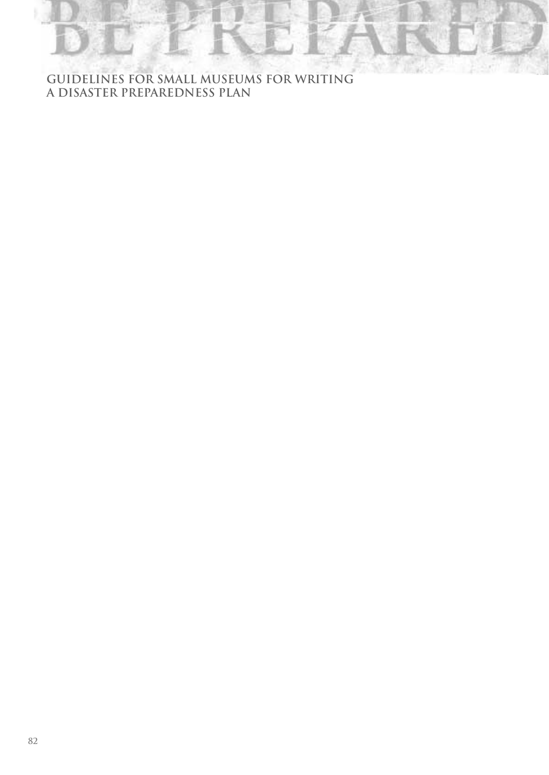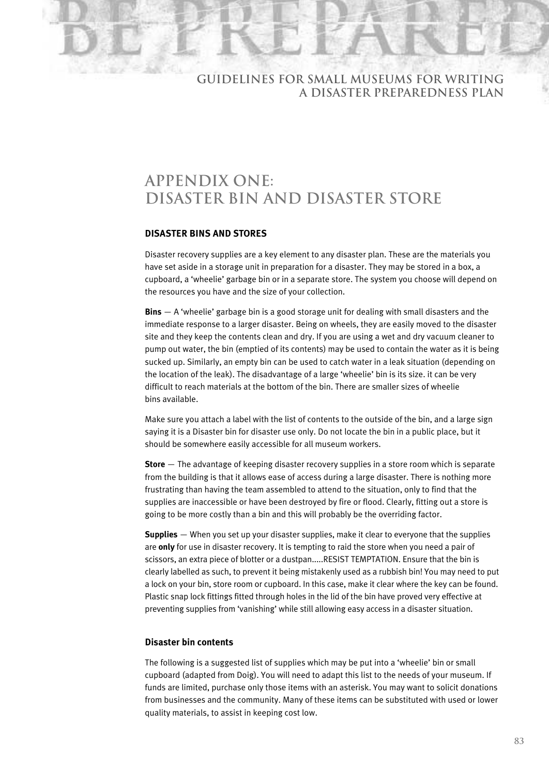## **APPENDIX ONE: DISASTER BIN AND DISASTER STORE**

#### **DISASTER BINS AND STORES**

Disaster recovery supplies are a key element to any disaster plan. These are the materials you have set aside in a storage unit in preparation for a disaster. They may be stored in a box, a cupboard, a 'wheelie' garbage bin or in a separate store. The system you choose will depend on the resources you have and the size of your collection.

**Bins** — A 'wheelie' garbage bin is a good storage unit for dealing with small disasters and the immediate response to a larger disaster. Being on wheels, they are easily moved to the disaster site and they keep the contents clean and dry. If you are using a wet and dry vacuum cleaner to pump out water, the bin (emptied of its contents) may be used to contain the water as it is being sucked up. Similarly, an empty bin can be used to catch water in a leak situation (depending on the location of the leak). The disadvantage of a large 'wheelie' bin is its size. it can be very difficult to reach materials at the bottom of the bin. There are smaller sizes of wheelie bins available.

Make sure you attach a label with the list of contents to the outside of the bin, and a large sign saying it is a Disaster bin for disaster use only. Do not locate the bin in a public place, but it should be somewhere easily accessible for all museum workers.

**Store** — The advantage of keeping disaster recovery supplies in a store room which is separate from the building is that it allows ease of access during a large disaster. There is nothing more frustrating than having the team assembled to attend to the situation, only to find that the supplies are inaccessible or have been destroyed by fire or flood. Clearly, fitting out a store is going to be more costly than a bin and this will probably be the overriding factor.

**Supplies** — When you set up your disaster supplies, make it clear to everyone that the supplies are **only** for use in disaster recovery. It is tempting to raid the store when you need a pair of scissors, an extra piece of blotter or a dustpan.....RESIST TEMPTATION. Ensure that the bin is clearly labelled as such, to prevent it being mistakenly used as a rubbish bin! You may need to put a lock on your bin, store room or cupboard. In this case, make it clear where the key can be found. Plastic snap lock fittings fitted through holes in the lid of the bin have proved very effective at preventing supplies from 'vanishing' while still allowing easy access in a disaster situation.

#### **Disaster bin contents**

The following is a suggested list of supplies which may be put into a 'wheelie' bin or small cupboard (adapted from Doig). You will need to adapt this list to the needs of your museum. If funds are limited, purchase only those items with an asterisk. You may want to solicit donations from businesses and the community. Many of these items can be substituted with used or lower quality materials, to assist in keeping cost low.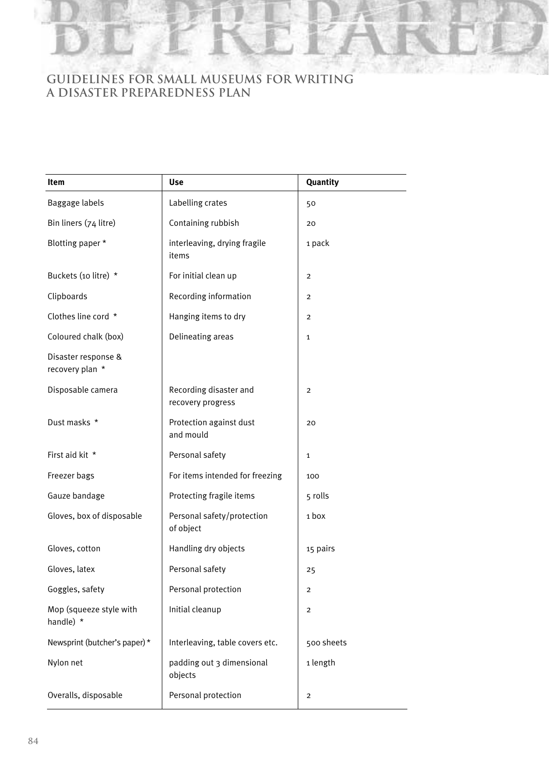| Item                                   | <b>Use</b>                                  | Quantity       |
|----------------------------------------|---------------------------------------------|----------------|
| Baggage labels                         | Labelling crates                            | 50             |
| Bin liners (74 litre)                  | Containing rubbish                          | 20             |
| Blotting paper *                       | interleaving, drying fragile<br>items       | 1 pack         |
| Buckets (10 litre) *                   | For initial clean up                        | $\overline{2}$ |
| Clipboards                             | Recording information                       | 2              |
| Clothes line cord *                    | Hanging items to dry                        | 2              |
| Coloured chalk (box)                   | Delineating areas                           | $\mathbf{1}$   |
| Disaster response &<br>recovery plan * |                                             |                |
| Disposable camera                      | Recording disaster and<br>recovery progress | $\overline{2}$ |
| Dust masks *                           | Protection against dust<br>and mould        | 20             |
| First aid kit *                        | Personal safety                             | 1              |
| Freezer bags                           | For items intended for freezing             | 100            |
| Gauze bandage                          | Protecting fragile items                    | 5 rolls        |
| Gloves, box of disposable              | Personal safety/protection<br>of object     | 1 box          |
| Gloves, cotton                         | Handling dry objects                        | 15 pairs       |
| Gloves, latex                          | Personal safety                             | 25             |
| Goggles, safety                        | Personal protection                         | $\overline{2}$ |
| Mop (squeeze style with<br>handle) *   | Initial cleanup                             | $\overline{2}$ |
| Newsprint (butcher's paper) *          | Interleaving, table covers etc.             | 500 sheets     |
| Nylon net                              | padding out 3 dimensional<br>objects        | 1 length       |
| Overalls, disposable                   | Personal protection                         | $\overline{2}$ |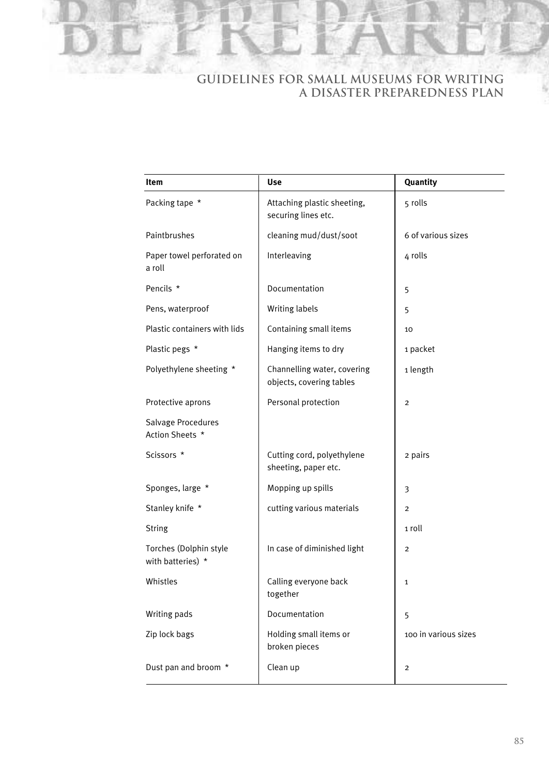| Item                                        | <b>Use</b>                                              | Quantity             |
|---------------------------------------------|---------------------------------------------------------|----------------------|
| Packing tape *                              | Attaching plastic sheeting,<br>securing lines etc.      | 5 rolls              |
| Paintbrushes                                | cleaning mud/dust/soot                                  | 6 of various sizes   |
| Paper towel perforated on<br>a roll         | Interleaving                                            | 4 rolls              |
| Pencils *                                   | Documentation                                           | 5                    |
| Pens, waterproof                            | Writing labels                                          | 5                    |
| Plastic containers with lids                | Containing small items                                  | 10                   |
| Plastic pegs *                              | Hanging items to dry                                    | 1 packet             |
| Polyethylene sheeting *                     | Channelling water, covering<br>objects, covering tables | 1 length             |
| Protective aprons                           | Personal protection                                     | $\overline{c}$       |
| Salvage Procedures<br>Action Sheets *       |                                                         |                      |
| Scissors *                                  | Cutting cord, polyethylene<br>sheeting, paper etc.      | 2 pairs              |
| Sponges, large *                            | Mopping up spills                                       | 3                    |
| Stanley knife *                             | cutting various materials                               | $\overline{2}$       |
| <b>String</b>                               |                                                         | 1 roll               |
| Torches (Dolphin style<br>with batteries) * | In case of diminished light                             | $\overline{c}$       |
| Whistles                                    | Calling everyone back<br>together                       | 1                    |
| Writing pads                                | Documentation                                           | 5                    |
| Zip lock bags                               | Holding small items or<br>broken pieces                 | 100 in various sizes |
| Dust pan and broom *                        | Clean up                                                | 2                    |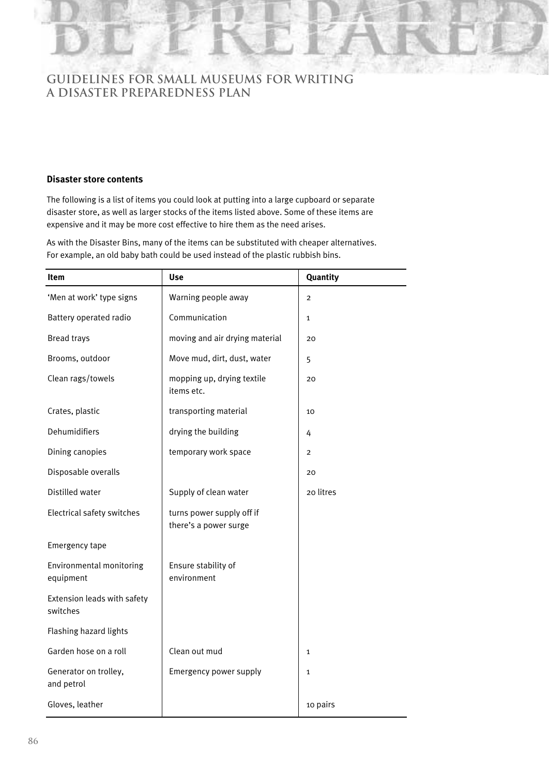#### **Disaster store contents**

The following is a list of items you could look at putting into a large cupboard or separate disaster store, as well as larger stocks of the items listed above. Some of these items are expensive and it may be more cost effective to hire them as the need arises.

As with the Disaster Bins, many of the items can be substituted with cheaper alternatives. For example, an old baby bath could be used instead of the plastic rubbish bins.

| Item                                    | <b>Use</b>                                         | Quantity       |
|-----------------------------------------|----------------------------------------------------|----------------|
| 'Men at work' type signs                | Warning people away                                | $\overline{c}$ |
| Battery operated radio                  | Communication                                      | $\mathbf{1}$   |
| <b>Bread trays</b>                      | moving and air drying material                     | 20             |
| Brooms, outdoor                         | Move mud, dirt, dust, water                        | 5              |
| Clean rags/towels                       | mopping up, drying textile<br>items etc.           | 20             |
| Crates, plastic                         | transporting material                              | 10             |
| Dehumidifiers                           | drying the building                                | 4              |
| Dining canopies                         | temporary work space                               | $\overline{c}$ |
| Disposable overalls                     |                                                    | 20             |
| Distilled water                         | Supply of clean water                              | 20 litres      |
| Electrical safety switches              | turns power supply off if<br>there's a power surge |                |
| Emergency tape                          |                                                    |                |
| Environmental monitoring<br>equipment   | Ensure stability of<br>environment                 |                |
| Extension leads with safety<br>switches |                                                    |                |
| Flashing hazard lights                  |                                                    |                |
| Garden hose on a roll                   | Clean out mud                                      | $\mathbf{1}$   |
| Generator on trolley,<br>and petrol     | Emergency power supply                             | $\mathbf{1}$   |
| Gloves, leather                         |                                                    | 10 pairs       |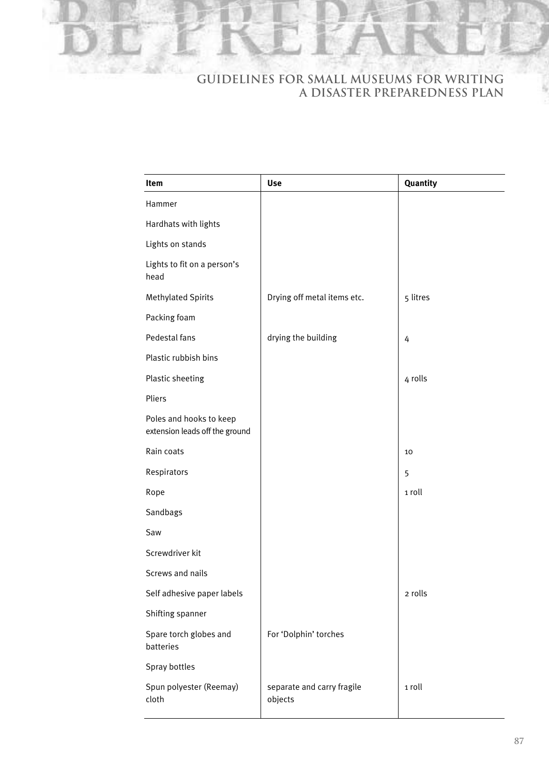| Item                                                      | <b>Use</b>                            | Quantity |
|-----------------------------------------------------------|---------------------------------------|----------|
| Hammer                                                    |                                       |          |
| Hardhats with lights                                      |                                       |          |
| Lights on stands                                          |                                       |          |
| Lights to fit on a person's<br>head                       |                                       |          |
| <b>Methylated Spirits</b>                                 | Drying off metal items etc.           | 5 litres |
| Packing foam                                              |                                       |          |
| Pedestal fans                                             | drying the building                   | 4        |
| Plastic rubbish bins                                      |                                       |          |
| Plastic sheeting                                          |                                       | 4 rolls  |
| Pliers                                                    |                                       |          |
| Poles and hooks to keep<br>extension leads off the ground |                                       |          |
| Rain coats                                                |                                       | 10       |
| Respirators                                               |                                       | 5        |
| Rope                                                      |                                       | 1 roll   |
| Sandbags                                                  |                                       |          |
| Saw                                                       |                                       |          |
| Screwdriver kit                                           |                                       |          |
| Screws and nails                                          |                                       |          |
| Self adhesive paper labels                                |                                       | 2 rolls  |
| Shifting spanner                                          |                                       |          |
| Spare torch globes and<br>batteries                       | For 'Dolphin' torches                 |          |
| Spray bottles                                             |                                       |          |
| Spun polyester (Reemay)<br>cloth                          | separate and carry fragile<br>objects | 1 roll   |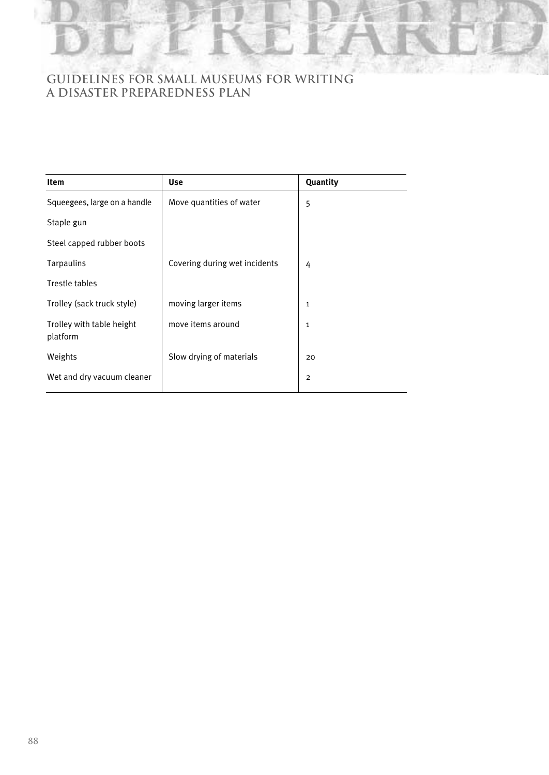| Item                                  | <b>Use</b>                    | Quantity       |
|---------------------------------------|-------------------------------|----------------|
| Squeegees, large on a handle          | Move quantities of water      | 5              |
| Staple gun                            |                               |                |
| Steel capped rubber boots             |                               |                |
| Tarpaulins                            | Covering during wet incidents | 4              |
| Trestle tables                        |                               |                |
| Trolley (sack truck style)            | moving larger items           | 1              |
| Trolley with table height<br>platform | move items around             | $\mathbf{1}$   |
| Weights                               | Slow drying of materials      | 20             |
| Wet and dry vacuum cleaner            |                               | $\overline{2}$ |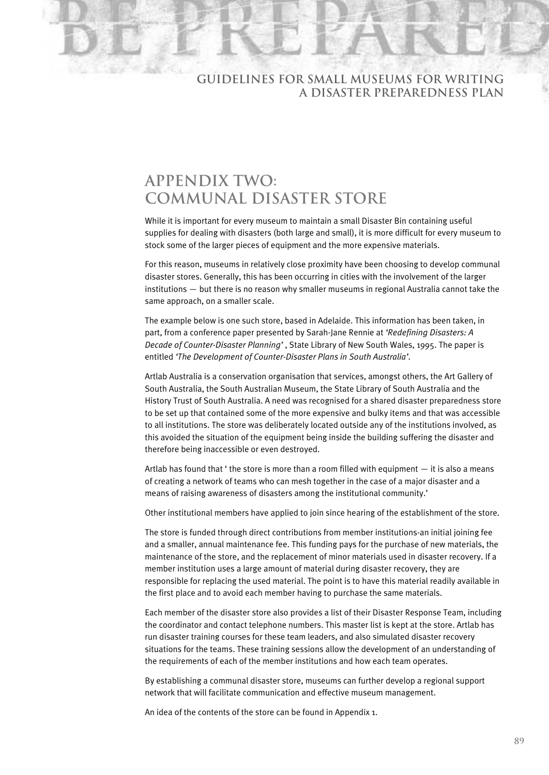## **APPENDIX TWO: COMMUNAL DISASTER STORE**

While it is important for every museum to maintain a small Disaster Bin containing useful supplies for dealing with disasters (both large and small), it is more difficult for every museum to stock some of the larger pieces of equipment and the more expensive materials.

For this reason, museums in relatively close proximity have been choosing to develop communal disaster stores. Generally, this has been occurring in cities with the involvement of the larger institutions — but there is no reason why smaller museums in regional Australia cannot take the same approach, on a smaller scale.

The example below is one such store, based in Adelaide. This information has been taken, in part, from a conference paper presented by Sarah-Jane Rennie at *'Redefining Disasters: A Decade of Counter-Disaster Planning'* , State Library of New South Wales, 1995. The paper is entitled *'The Development of Counter-Disaster Plans in South Australia'*.

Artlab Australia is a conservation organisation that services, amongst others, the Art Gallery of South Australia, the South Australian Museum, the State Library of South Australia and the History Trust of South Australia. A need was recognised for a shared disaster preparedness store to be set up that contained some of the more expensive and bulky items and that was accessible to all institutions. The store was deliberately located outside any of the institutions involved, as this avoided the situation of the equipment being inside the building suffering the disaster and therefore being inaccessible or even destroyed.

Artlab has found that ' the store is more than a room filled with equipment — it is also a means of creating a network of teams who can mesh together in the case of a major disaster and a means of raising awareness of disasters among the institutional community.'

Other institutional members have applied to join since hearing of the establishment of the store.

The store is funded through direct contributions from member institutions-an initial joining fee and a smaller, annual maintenance fee. This funding pays for the purchase of new materials, the maintenance of the store, and the replacement of minor materials used in disaster recovery. If a member institution uses a large amount of material during disaster recovery, they are responsible for replacing the used material. The point is to have this material readily available in the first place and to avoid each member having to purchase the same materials.

Each member of the disaster store also provides a list of their Disaster Response Team, including the coordinator and contact telephone numbers. This master list is kept at the store. Artlab has run disaster training courses for these team leaders, and also simulated disaster recovery situations for the teams. These training sessions allow the development of an understanding of the requirements of each of the member institutions and how each team operates.

By establishing a communal disaster store, museums can further develop a regional support network that will facilitate communication and effective museum management.

An idea of the contents of the store can be found in Appendix 1.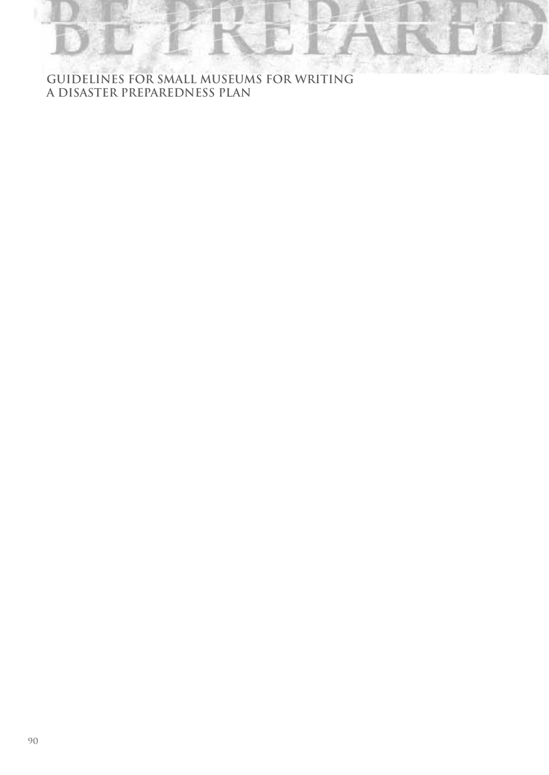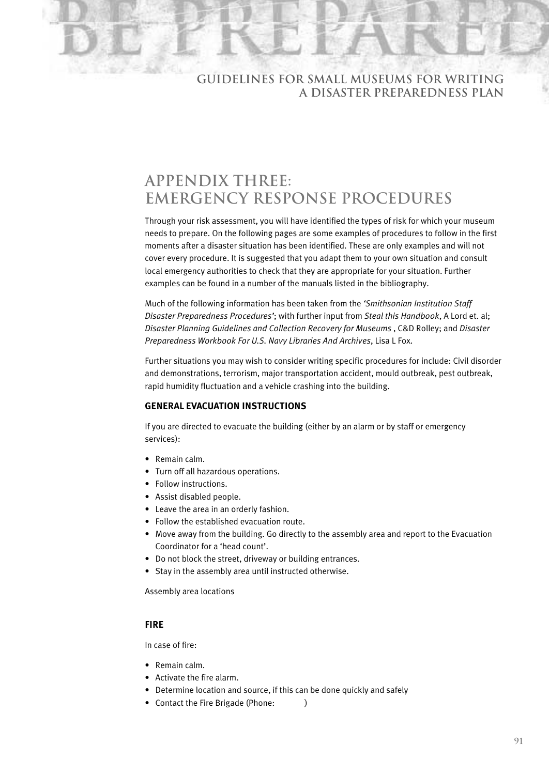## **APPENDIX THREE: EMERGENCY RESPONSE PROCEDURES**

Through your risk assessment, you will have identified the types of risk for which your museum needs to prepare. On the following pages are some examples of procedures to follow in the first moments after a disaster situation has been identified. These are only examples and will not cover every procedure. It is suggested that you adapt them to your own situation and consult local emergency authorities to check that they are appropriate for your situation. Further examples can be found in a number of the manuals listed in the bibliography.

Much of the following information has been taken from the *'Smithsonian Institution Staff Disaster Preparedness Procedures'*; with further input from *Steal this Handbook*, A Lord et. al; *Disaster Planning Guidelines and Collection Recovery for Museums* , C&D Rolley; and *Disaster Preparedness Workbook For U.S. Navy Libraries And Archives*, Lisa L Fox.

Further situations you may wish to consider writing specific procedures for include: Civil disorder and demonstrations, terrorism, major transportation accident, mould outbreak, pest outbreak, rapid humidity fluctuation and a vehicle crashing into the building.

#### **GENERAL EVACUATION INSTRUCTIONS**

If you are directed to evacuate the building (either by an alarm or by staff or emergency services):

- Remain calm.
- Turn off all hazardous operations.
- Follow instructions.
- Assist disabled people.
- Leave the area in an orderly fashion.
- Follow the established evacuation route.
- Move away from the building. Go directly to the assembly area and report to the Evacuation Coordinator for a 'head count'.
- Do not block the street, driveway or building entrances.
- Stay in the assembly area until instructed otherwise.

Assembly area locations

#### **FIRE**

In case of fire:

- Remain calm.
- Activate the fire alarm.
- Determine location and source, if this can be done quickly and safely
- Contact the Fire Brigade (Phone: )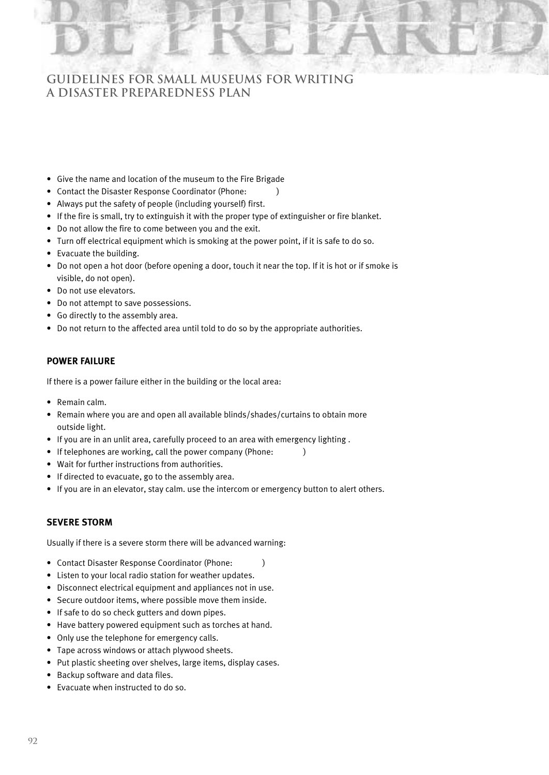- Give the name and location of the museum to the Fire Brigade
- Contact the Disaster Response Coordinator (Phone:
- Always put the safety of people (including yourself) first.
- If the fire is small, try to extinguish it with the proper type of extinguisher or fire blanket.
- Do not allow the fire to come between you and the exit.
- Turn off electrical equipment which is smoking at the power point, if it is safe to do so.
- Evacuate the building.
- Do not open a hot door (before opening a door, touch it near the top. If it is hot or if smoke is visible, do not open).
- Do not use elevators.
- Do not attempt to save possessions.
- Go directly to the assembly area.
- Do not return to the affected area until told to do so by the appropriate authorities.

#### **POWER FAILURE**

If there is a power failure either in the building or the local area:

- Remain calm.
- Remain where you are and open all available blinds/shades/curtains to obtain more outside light.
- If you are in an unlit area, carefully proceed to an area with emergency lighting .
- If telephones are working, call the power company (Phone: )
- Wait for further instructions from authorities.
- If directed to evacuate, go to the assembly area.
- If you are in an elevator, stay calm. use the intercom or emergency button to alert others.

#### **SEVERE STORM**

Usually if there is a severe storm there will be advanced warning:

- Contact Disaster Response Coordinator (Phone:
- Listen to your local radio station for weather updates.
- Disconnect electrical equipment and appliances not in use.
- Secure outdoor items, where possible move them inside.
- If safe to do so check gutters and down pipes.
- Have battery powered equipment such as torches at hand.
- Only use the telephone for emergency calls.
- Tape across windows or attach plywood sheets.
- Put plastic sheeting over shelves, large items, display cases.
- Backup software and data files.
- Evacuate when instructed to do so.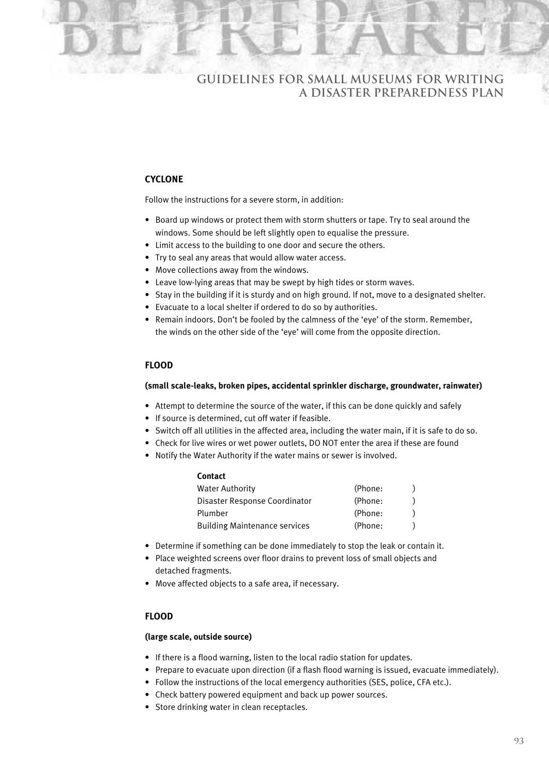#### **CYCLONE**

Follow the instructions for a severe storm, in addition:

- Board up windows or protect them with storm shutters or tape. Try to seal around the windows. Some should be left slightly open to equalise the pressure.
- Limit access to the building to one door and secure the others.
- Try to seal any areas that would allow water access.
- Move collections away from the windows.
- Leave low-lying areas that may be swept by high tides or storm waves.
- Stay in the building if it is sturdy and on high ground. If not, move to a designated shelter.
- Evacuate to a local shelter if ordered to do so by authorities.
- Remain indoors. Don't be fooled by the calmness of the 'eye' of the storm. Remember, the winds on the other side of the 'eye' will come from the opposite direction.

#### **FLOOD**

#### **(small scale-leaks, broken pipes, accidental sprinkler discharge, groundwater, rainwater)**

- Attempt to determine the source of the water, if this can be done quickly and safely
- If source is determined, cut off water if feasible.
- Switch off all utilities in the affected area, including the water main, if it is safe to do so.
- Check for live wires or wet power outlets, DO NOT enter the area if these are found
- Notify the Water Authority if the water mains or sewer is involved.

#### **Contact**

| <b>Water Authority</b>               | (Phone: |  |
|--------------------------------------|---------|--|
| Disaster Response Coordinator        | (Phone: |  |
| Plumber                              | (Phone: |  |
| <b>Building Maintenance services</b> | (Phone: |  |

- Determine if something can be done immediately to stop the leak or contain it.
- Place weighted screens over floor drains to prevent loss of small objects and detached fragments.
- Move affected objects to a safe area, if necessary.

#### **FLOOD**

#### **(large scale, outside source)**

- If there is a flood warning, listen to the local radio station for updates.
- Prepare to evacuate upon direction (if a flash flood warning is issued, evacuate immediately).
- Follow the instructions of the local emergency authorities (SES, police, CFA etc.).
- Check battery powered equipment and back up power sources.
- Store drinking water in clean receptacles.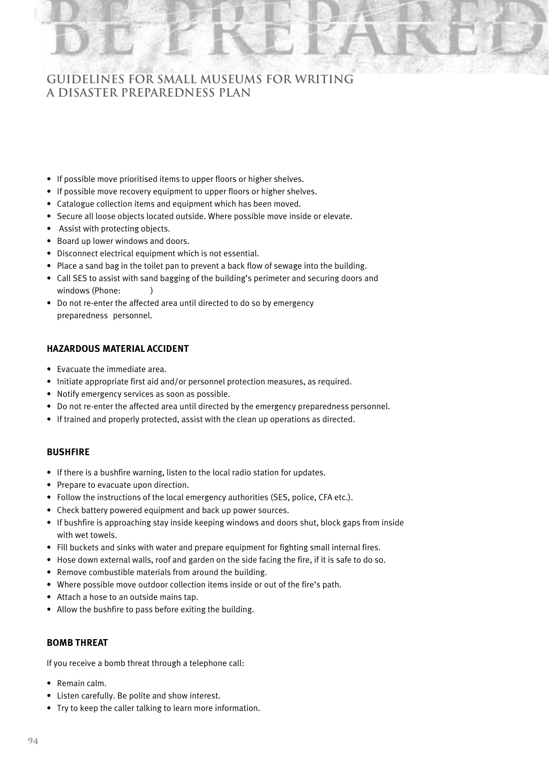- If possible move prioritised items to upper floors or higher shelves.
- If possible move recovery equipment to upper floors or higher shelves.
- Catalogue collection items and equipment which has been moved.
- Secure all loose objects located outside. Where possible move inside or elevate.
- Assist with protecting objects.
- Board up lower windows and doors.
- Disconnect electrical equipment which is not essential.
- Place a sand bag in the toilet pan to prevent a back flow of sewage into the building.
- Call SES to assist with sand bagging of the building's perimeter and securing doors and windows (Phone: )
- Do not re-enter the affected area until directed to do so by emergency preparedness personnel.

#### **HAZARDOUS MATERIAL ACCIDENT**

- Evacuate the immediate area.
- Initiate appropriate first aid and/or personnel protection measures, as required.
- Notify emergency services as soon as possible.
- Do not re-enter the affected area until directed by the emergency preparedness personnel.
- If trained and properly protected, assist with the clean up operations as directed.

#### **BUSHFIRE**

- If there is a bushfire warning, listen to the local radio station for updates.
- Prepare to evacuate upon direction.
- Follow the instructions of the local emergency authorities (SES, police, CFA etc.).
- Check battery powered equipment and back up power sources.
- If bushfire is approaching stay inside keeping windows and doors shut, block gaps from inside with wet towels.
- Fill buckets and sinks with water and prepare equipment for fighting small internal fires.
- Hose down external walls, roof and garden on the side facing the fire, if it is safe to do so.
- Remove combustible materials from around the building.
- Where possible move outdoor collection items inside or out of the fire's path.
- Attach a hose to an outside mains tap.
- Allow the bushfire to pass before exiting the building.

#### **BOMB THREAT**

If you receive a bomb threat through a telephone call:

- Remain calm.
- Listen carefully. Be polite and show interest.
- Try to keep the caller talking to learn more information.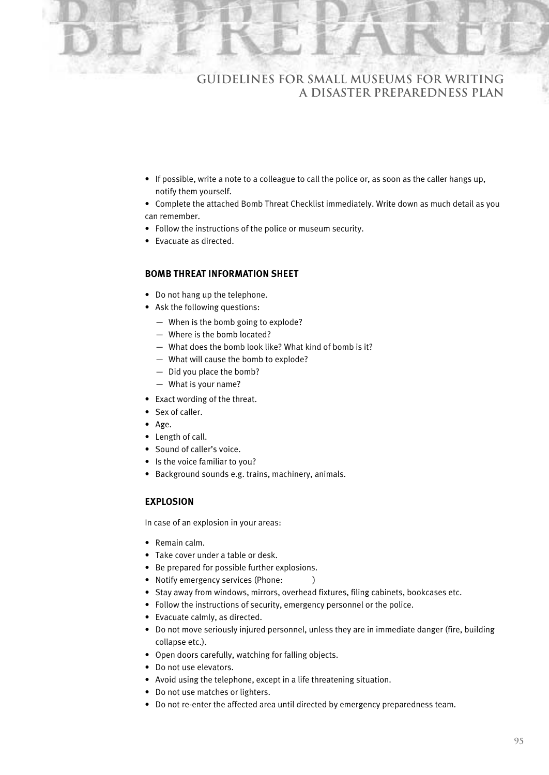- If possible, write a note to a colleague to call the police or, as soon as the caller hangs up, notify them yourself.
- Complete the attached Bomb Threat Checklist immediately. Write down as much detail as you can remember.
- Follow the instructions of the police or museum security.
- Evacuate as directed.

#### **BOMB THREAT INFORMATION SHEET**

- Do not hang up the telephone.
- Ask the following questions:
	- When is the bomb going to explode?
	- Where is the bomb located?
	- What does the bomb look like? What kind of bomb is it?
	- What will cause the bomb to explode?
	- Did you place the bomb?
	- What is your name?
- Exact wording of the threat.
- Sex of caller.
- Age.
- Length of call.
- Sound of caller's voice.
- Is the voice familiar to you?
- Background sounds e.g. trains, machinery, animals.

#### **EXPLOSION**

In case of an explosion in your areas:

- Remain calm.
- Take cover under a table or desk.
- Be prepared for possible further explosions.
- Notify emergency services (Phone: )
- Stay away from windows, mirrors, overhead fixtures, filing cabinets, bookcases etc.
- Follow the instructions of security, emergency personnel or the police.
- Evacuate calmly, as directed.
- Do not move seriously injured personnel, unless they are in immediate danger (fire, building collapse etc.).
- Open doors carefully, watching for falling objects.
- Do not use elevators.
- Avoid using the telephone, except in a life threatening situation.
- Do not use matches or lighters.
- Do not re-enter the affected area until directed by emergency preparedness team.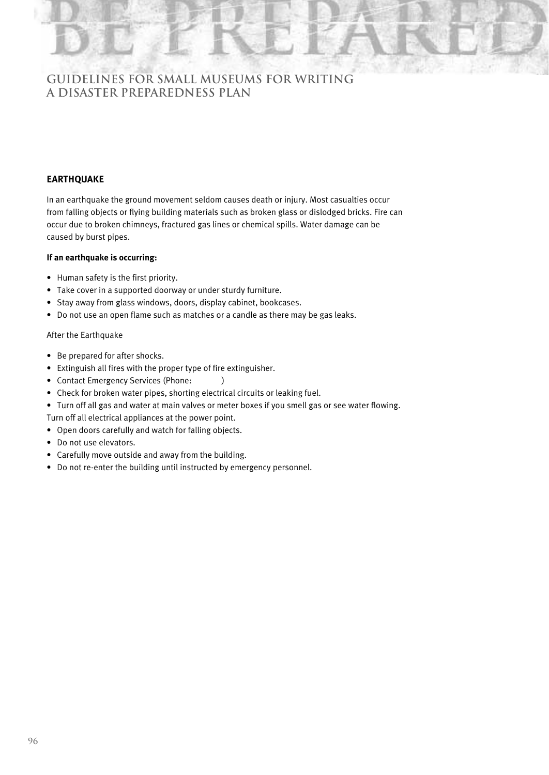#### **EARTHQUAKE**

In an earthquake the ground movement seldom causes death or injury. Most casualties occur from falling objects or flying building materials such as broken glass or dislodged bricks. Fire can occur due to broken chimneys, fractured gas lines or chemical spills. Water damage can be caused by burst pipes.

#### **If an earthquake is occurring:**

- Human safety is the first priority.
- Take cover in a supported doorway or under sturdy furniture.
- Stay away from glass windows, doors, display cabinet, bookcases.
- Do not use an open flame such as matches or a candle as there may be gas leaks.

#### After the Earthquake

- Be prepared for after shocks.
- Extinguish all fires with the proper type of fire extinguisher.
- Contact Emergency Services (Phone: )
- Check for broken water pipes, shorting electrical circuits or leaking fuel.
- Turn off all gas and water at main valves or meter boxes if you smell gas or see water flowing.
- Turn off all electrical appliances at the power point.
- Open doors carefully and watch for falling objects.
- Do not use elevators.
- Carefully move outside and away from the building.
- Do not re-enter the building until instructed by emergency personnel.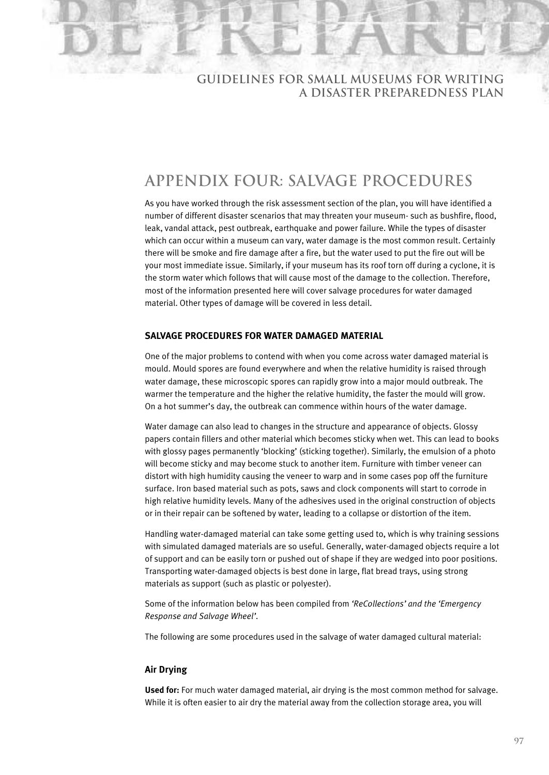## **APPENDIX FOUR: SALVAGE PROCEDURES**

As you have worked through the risk assessment section of the plan, you will have identified a number of different disaster scenarios that may threaten your museum- such as bushfire, flood, leak, vandal attack, pest outbreak, earthquake and power failure. While the types of disaster which can occur within a museum can vary, water damage is the most common result. Certainly there will be smoke and fire damage after a fire, but the water used to put the fire out will be your most immediate issue. Similarly, if your museum has its roof torn off during a cyclone, it is the storm water which follows that will cause most of the damage to the collection. Therefore, most of the information presented here will cover salvage procedures for water damaged material. Other types of damage will be covered in less detail.

#### **SALVAGE PROCEDURES FOR WATER DAMAGED MATERIAL**

One of the major problems to contend with when you come across water damaged material is mould. Mould spores are found everywhere and when the relative humidity is raised through water damage, these microscopic spores can rapidly grow into a major mould outbreak. The warmer the temperature and the higher the relative humidity, the faster the mould will grow. On a hot summer's day, the outbreak can commence within hours of the water damage.

Water damage can also lead to changes in the structure and appearance of objects. Glossy papers contain fillers and other material which becomes sticky when wet. This can lead to books with glossy pages permanently 'blocking' (sticking together). Similarly, the emulsion of a photo will become sticky and may become stuck to another item. Furniture with timber veneer can distort with high humidity causing the veneer to warp and in some cases pop off the furniture surface. Iron based material such as pots, saws and clock components will start to corrode in high relative humidity levels. Many of the adhesives used in the original construction of objects or in their repair can be softened by water, leading to a collapse or distortion of the item.

Handling water-damaged material can take some getting used to, which is why training sessions with simulated damaged materials are so useful. Generally, water-damaged objects require a lot of support and can be easily torn or pushed out of shape if they are wedged into poor positions. Transporting water-damaged objects is best done in large, flat bread trays, using strong materials as support (such as plastic or polyester).

Some of the information below has been compiled from *'ReCollections' and the 'Emergency Response and Salvage Wheel'*.

The following are some procedures used in the salvage of water damaged cultural material:

#### **Air Drying**

**Used for:** For much water damaged material, air drying is the most common method for salvage. While it is often easier to air dry the material away from the collection storage area, you will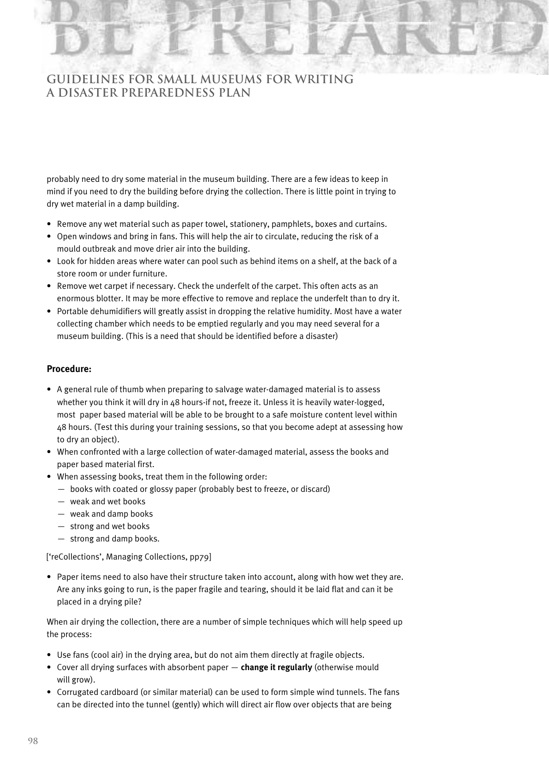probably need to dry some material in the museum building. There are a few ideas to keep in mind if you need to dry the building before drying the collection. There is little point in trying to dry wet material in a damp building.

- Remove any wet material such as paper towel, stationery, pamphlets, boxes and curtains.
- Open windows and bring in fans. This will help the air to circulate, reducing the risk of a mould outbreak and move drier air into the building.
- Look for hidden areas where water can pool such as behind items on a shelf, at the back of a store room or under furniture.
- Remove wet carpet if necessary. Check the underfelt of the carpet. This often acts as an enormous blotter. It may be more effective to remove and replace the underfelt than to dry it.
- Portable dehumidifiers will greatly assist in dropping the relative humidity. Most have a water collecting chamber which needs to be emptied regularly and you may need several for a museum building. (This is a need that should be identified before a disaster)

#### **Procedure:**

- A general rule of thumb when preparing to salvage water-damaged material is to assess whether you think it will dry in 48 hours-if not, freeze it. Unless it is heavily water-logged, most paper based material will be able to be brought to a safe moisture content level within 48 hours. (Test this during your training sessions, so that you become adept at assessing how to dry an object).
- When confronted with a large collection of water-damaged material, assess the books and paper based material first.
- When assessing books, treat them in the following order:
	- books with coated or glossy paper (probably best to freeze, or discard)
	- weak and wet books
	- weak and damp books
	- strong and wet books
	- strong and damp books.

['reCollections', Managing Collections, pp79]

• Paper items need to also have their structure taken into account, along with how wet they are. Are any inks going to run, is the paper fragile and tearing, should it be laid flat and can it be placed in a drying pile?

When air drying the collection, there are a number of simple techniques which will help speed up the process:

- Use fans (cool air) in the drying area, but do not aim them directly at fragile objects.
- Cover all drying surfaces with absorbent paper **change it regularly** (otherwise mould will grow).
- Corrugated cardboard (or similar material) can be used to form simple wind tunnels. The fans can be directed into the tunnel (gently) which will direct air flow over objects that are being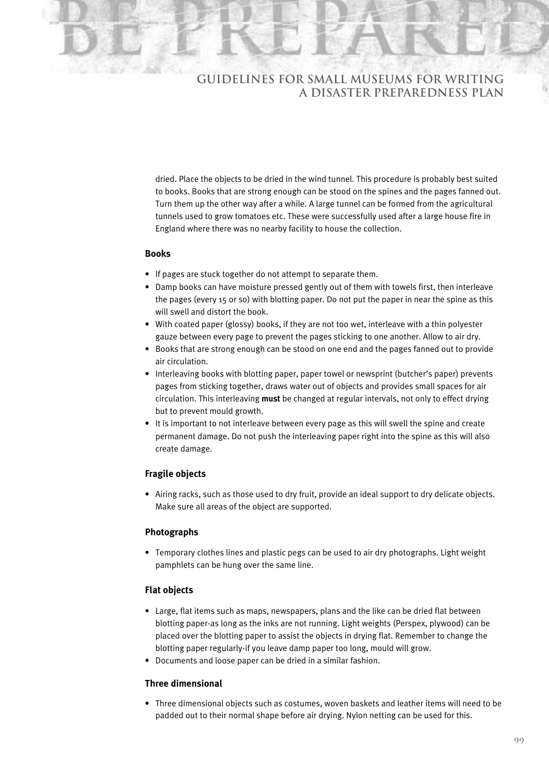dried. Place the objects to be dried in the wind tunnel. This procedure is probably best suited to books. Books that are strong enough can be stood on the spines and the pages fanned out. Turn them up the other way after a while. A large tunnel can be formed from the agricultural tunnels used to grow tomatoes etc. These were successfully used after a large house fire in England where there was no nearby facility to house the collection.

#### **Books**

- If pages are stuck together do not attempt to separate them.
- Damp books can have moisture pressed gently out of them with towels first, then interleave the pages (every 15 or so) with blotting paper. Do not put the paper in near the spine as this will swell and distort the book.
- With coated paper (glossy) books, if they are not too wet, interleave with a thin polyester gauze between every page to prevent the pages sticking to one another. Allow to air dry.
- Books that are strong enough can be stood on one end and the pages fanned out to provide air circulation.
- Interleaving books with blotting paper, paper towel or newsprint (butcher's paper) prevents pages from sticking together, draws water out of objects and provides small spaces for air circulation. This interleaving **must** be changed at regular intervals, not only to effect drying but to prevent mould growth.
- It is important to not interleave between every page as this will swell the spine and create permanent damage. Do not push the interleaving paper right into the spine as this will also create damage.

#### **Fragile objects**

• Airing racks, such as those used to dry fruit, provide an ideal support to dry delicate objects. Make sure all areas of the object are supported.

#### **Photographs**

• Temporary clothes lines and plastic pegs can be used to air dry photographs. Light weight pamphlets can be hung over the same line.

#### **Flat objects**

- Large, flat items such as maps, newspapers, plans and the like can be dried flat between blotting paper-as long as the inks are not running. Light weights (Perspex, plywood) can be placed over the blotting paper to assist the objects in drying flat. Remember to change the blotting paper regularly-if you leave damp paper too long, mould will grow.
- Documents and loose paper can be dried in a similar fashion.

#### **Three dimensional**

• Three dimensional objects such as costumes, woven baskets and leather items will need to be padded out to their normal shape before air drying. Nylon netting can be used for this.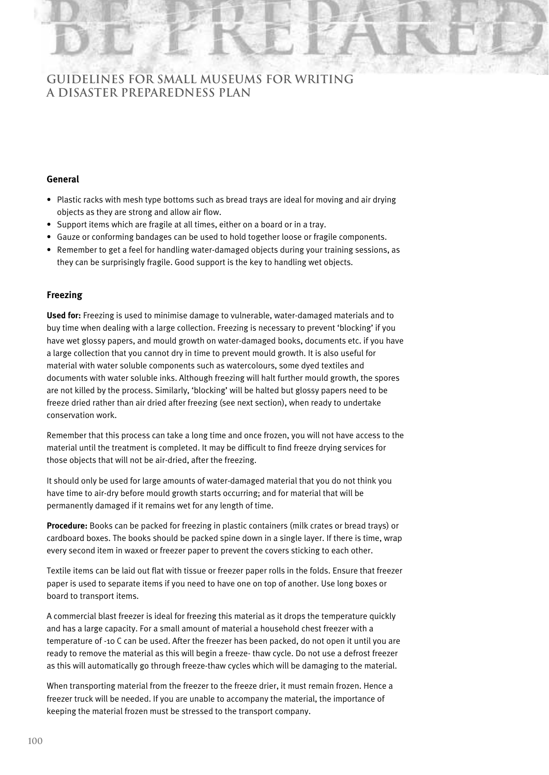#### **General**

- Plastic racks with mesh type bottoms such as bread trays are ideal for moving and air drying objects as they are strong and allow air flow.
- Support items which are fragile at all times, either on a board or in a tray.
- Gauze or conforming bandages can be used to hold together loose or fragile components.
- Remember to get a feel for handling water-damaged objects during your training sessions, as they can be surprisingly fragile. Good support is the key to handling wet objects.

#### **Freezing**

**Used for:** Freezing is used to minimise damage to vulnerable, water-damaged materials and to buy time when dealing with a large collection. Freezing is necessary to prevent 'blocking' if you have wet glossy papers, and mould growth on water-damaged books, documents etc. if you have a large collection that you cannot dry in time to prevent mould growth. It is also useful for material with water soluble components such as watercolours, some dyed textiles and documents with water soluble inks. Although freezing will halt further mould growth, the spores are not killed by the process. Similarly, 'blocking' will be halted but glossy papers need to be freeze dried rather than air dried after freezing (see next section), when ready to undertake conservation work.

Remember that this process can take a long time and once frozen, you will not have access to the material until the treatment is completed. It may be difficult to find freeze drying services for those objects that will not be air-dried, after the freezing.

It should only be used for large amounts of water-damaged material that you do not think you have time to air-dry before mould growth starts occurring; and for material that will be permanently damaged if it remains wet for any length of time.

**Procedure:** Books can be packed for freezing in plastic containers (milk crates or bread trays) or cardboard boxes. The books should be packed spine down in a single layer. If there is time, wrap every second item in waxed or freezer paper to prevent the covers sticking to each other.

Textile items can be laid out flat with tissue or freezer paper rolls in the folds. Ensure that freezer paper is used to separate items if you need to have one on top of another. Use long boxes or board to transport items.

A commercial blast freezer is ideal for freezing this material as it drops the temperature quickly and has a large capacity. For a small amount of material a household chest freezer with a temperature of -10 C can be used. After the freezer has been packed, do not open it until you are ready to remove the material as this will begin a freeze- thaw cycle. Do not use a defrost freezer as this will automatically go through freeze-thaw cycles which will be damaging to the material.

When transporting material from the freezer to the freeze drier, it must remain frozen. Hence a freezer truck will be needed. If you are unable to accompany the material, the importance of keeping the material frozen must be stressed to the transport company.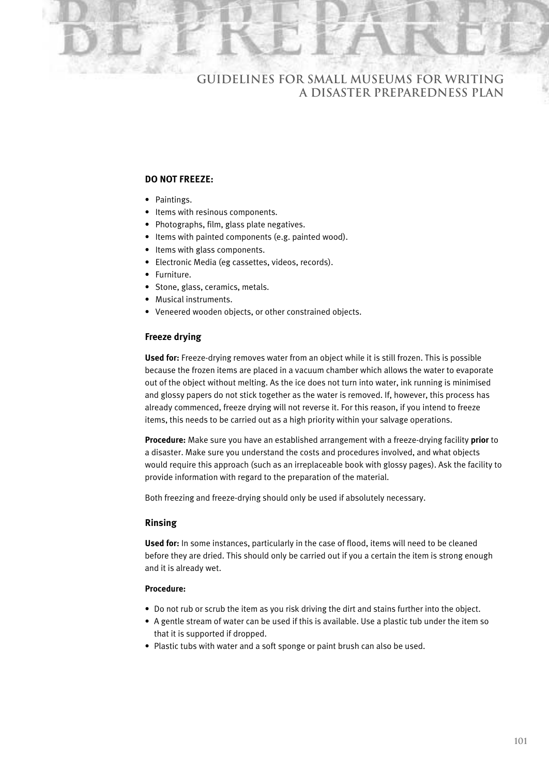#### **DO NOT FREEZE:**

- Paintings.
- Items with resinous components.
- Photographs, film, glass plate negatives.
- Items with painted components (e.g. painted wood).
- Items with glass components.
- Electronic Media (eg cassettes, videos, records).
- Furniture.
- Stone, glass, ceramics, metals.
- Musical instruments.
- Veneered wooden objects, or other constrained objects.

#### **Freeze drying**

**Used for:** Freeze-drying removes water from an object while it is still frozen. This is possible because the frozen items are placed in a vacuum chamber which allows the water to evaporate out of the object without melting. As the ice does not turn into water, ink running is minimised and glossy papers do not stick together as the water is removed. If, however, this process has already commenced, freeze drying will not reverse it. For this reason, if you intend to freeze items, this needs to be carried out as a high priority within your salvage operations.

**Procedure:** Make sure you have an established arrangement with a freeze-drying facility **prior** to a disaster. Make sure you understand the costs and procedures involved, and what objects would require this approach (such as an irreplaceable book with glossy pages). Ask the facility to provide information with regard to the preparation of the material.

Both freezing and freeze-drying should only be used if absolutely necessary.

#### **Rinsing**

**Used for:** In some instances, particularly in the case of flood, items will need to be cleaned before they are dried. This should only be carried out if you a certain the item is strong enough and it is already wet.

#### **Procedure:**

- Do not rub or scrub the item as you risk driving the dirt and stains further into the object.
- A gentle stream of water can be used if this is available. Use a plastic tub under the item so that it is supported if dropped.
- Plastic tubs with water and a soft sponge or paint brush can also be used.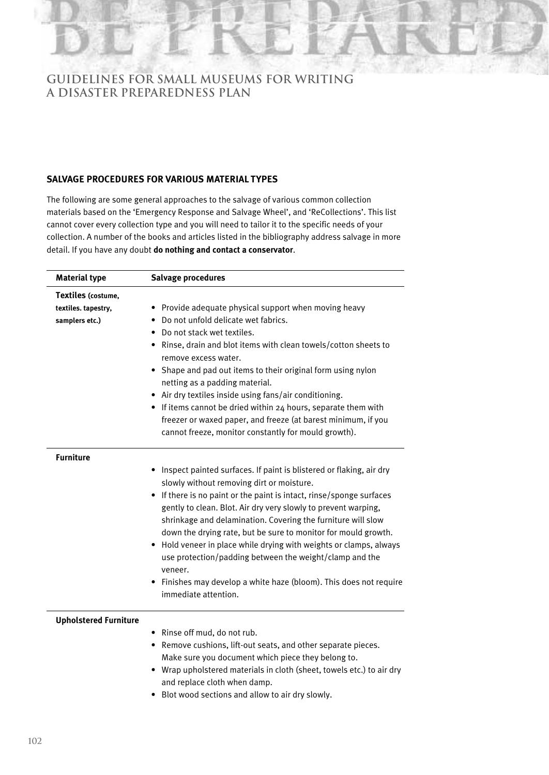#### **SALVAGE PROCEDURES FOR VARIOUS MATERIAL TYPES**

The following are some general approaches to the salvage of various common collection materials based on the 'Emergency Response and Salvage Wheel', and 'ReCollections'. This list cannot cover every collection type and you will need to tailor it to the specific needs of your collection. A number of the books and articles listed in the bibliography address salvage in more detail. If you have any doubt **do nothing and contact a conservator**.

| <b>Material type</b>                  | <b>Salvage procedures</b>                                                                                                                                                                                                                                                                                                                                                                                                                                                                                                                                                                                                        |
|---------------------------------------|----------------------------------------------------------------------------------------------------------------------------------------------------------------------------------------------------------------------------------------------------------------------------------------------------------------------------------------------------------------------------------------------------------------------------------------------------------------------------------------------------------------------------------------------------------------------------------------------------------------------------------|
| Textiles (costume,                    |                                                                                                                                                                                                                                                                                                                                                                                                                                                                                                                                                                                                                                  |
| textiles. tapestry,<br>samplers etc.) | Provide adequate physical support when moving heavy<br>Do not unfold delicate wet fabrics.<br>Do not stack wet textiles.<br>٠<br>Rinse, drain and blot items with clean towels/cotton sheets to<br>remove excess water.<br>Shape and pad out items to their original form using nylon<br>netting as a padding material.<br>• Air dry textiles inside using fans/air conditioning.<br>• If items cannot be dried within 24 hours, separate them with<br>freezer or waxed paper, and freeze (at barest minimum, if you<br>cannot freeze, monitor constantly for mould growth).                                                     |
| <b>Furniture</b>                      | Inspect painted surfaces. If paint is blistered or flaking, air dry<br>slowly without removing dirt or moisture.<br>If there is no paint or the paint is intact, rinse/sponge surfaces<br>gently to clean. Blot. Air dry very slowly to prevent warping,<br>shrinkage and delamination. Covering the furniture will slow<br>down the drying rate, but be sure to monitor for mould growth.<br>Hold veneer in place while drying with weights or clamps, always<br>use protection/padding between the weight/clamp and the<br>veneer.<br>Finishes may develop a white haze (bloom). This does not require<br>immediate attention. |
| <b>Upholstered Furniture</b>          | Rinse off mud, do not rub.<br>Remove cushions, lift-out seats, and other separate pieces.<br>Make sure you document which piece they belong to.<br>Wrap upholstered materials in cloth (sheet, towels etc.) to air dry<br>$\bullet$<br>and replace cloth when damp.<br>Blot wood sections and allow to air dry slowly.                                                                                                                                                                                                                                                                                                           |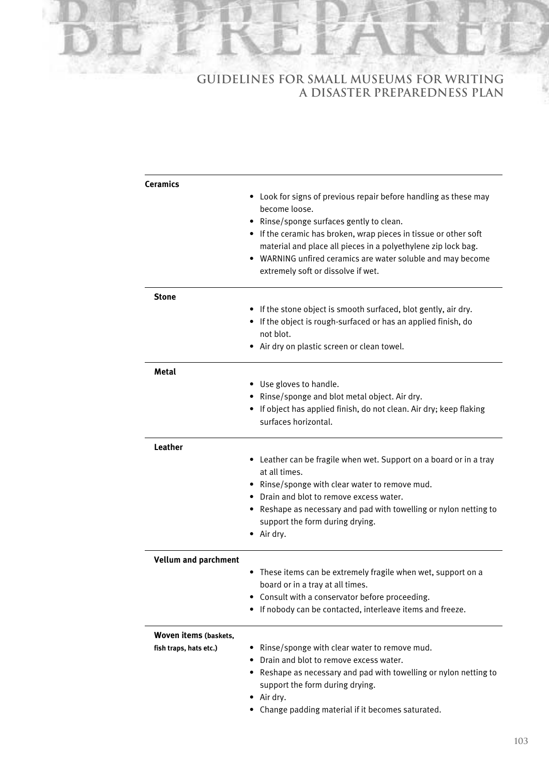| <b>Ceramics</b>                                 |                                                                                                                                                                                                                                                                                                                                                                       |
|-------------------------------------------------|-----------------------------------------------------------------------------------------------------------------------------------------------------------------------------------------------------------------------------------------------------------------------------------------------------------------------------------------------------------------------|
|                                                 | • Look for signs of previous repair before handling as these may<br>become loose.<br>• Rinse/sponge surfaces gently to clean.<br>• If the ceramic has broken, wrap pieces in tissue or other soft<br>material and place all pieces in a polyethylene zip lock bag.<br>WARNING unfired ceramics are water soluble and may become<br>extremely soft or dissolve if wet. |
| <b>Stone</b>                                    | • If the stone object is smooth surfaced, blot gently, air dry.<br>• If the object is rough-surfaced or has an applied finish, do<br>not blot.<br>• Air dry on plastic screen or clean towel.                                                                                                                                                                         |
| Metal                                           | • Use gloves to handle.<br>• Rinse/sponge and blot metal object. Air dry.<br>• If object has applied finish, do not clean. Air dry; keep flaking<br>surfaces horizontal.                                                                                                                                                                                              |
| Leather                                         | • Leather can be fragile when wet. Support on a board or in a tray<br>at all times.<br>• Rinse/sponge with clear water to remove mud.<br>• Drain and blot to remove excess water.<br>• Reshape as necessary and pad with towelling or nylon netting to<br>support the form during drying.<br>• Air dry.                                                               |
| <b>Vellum and parchment</b>                     | These items can be extremely fragile when wet, support on a<br>board or in a tray at all times.<br>Consult with a conservator before proceeding.<br>If nobody can be contacted, interleave items and freeze.                                                                                                                                                          |
| Woven items (baskets,<br>fish traps, hats etc.) | Rinse/sponge with clear water to remove mud.<br>Drain and blot to remove excess water.<br>• Reshape as necessary and pad with towelling or nylon netting to<br>support the form during drying.<br>Air dry.<br>Change padding material if it becomes saturated.                                                                                                        |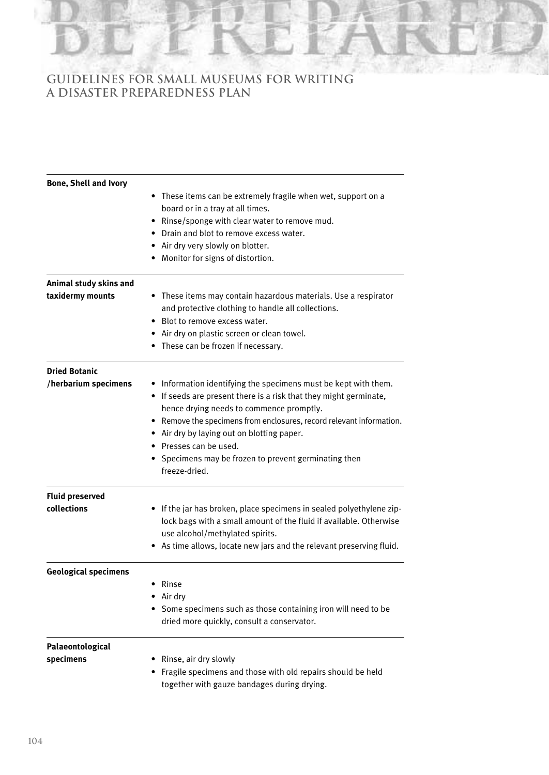| <b>Bone, Shell and Ivory</b> |                                                                      |
|------------------------------|----------------------------------------------------------------------|
|                              | These items can be extremely fragile when wet, support on a<br>٠     |
|                              | board or in a tray at all times.                                     |
|                              | • Rinse/sponge with clear water to remove mud.                       |
|                              | • Drain and blot to remove excess water.                             |
|                              | Air dry very slowly on blotter.                                      |
|                              | Monitor for signs of distortion.                                     |
| Animal study skins and       |                                                                      |
| taxidermy mounts             | • These items may contain hazardous materials. Use a respirator      |
|                              | and protective clothing to handle all collections.                   |
|                              | • Blot to remove excess water.                                       |
|                              | Air dry on plastic screen or clean towel.                            |
|                              | • These can be frozen if necessary.                                  |
| <b>Dried Botanic</b>         |                                                                      |
| /herbarium specimens         | Information identifying the specimens must be kept with them.<br>٠   |
|                              | • If seeds are present there is a risk that they might germinate,    |
|                              | hence drying needs to commence promptly.                             |
|                              | • Remove the specimens from enclosures, record relevant information. |
|                              | • Air dry by laying out on blotting paper.                           |
|                              | • Presses can be used.                                               |
|                              | • Specimens may be frozen to prevent germinating then                |
|                              | freeze-dried.                                                        |
| <b>Fluid preserved</b>       |                                                                      |
| collections                  | • If the jar has broken, place specimens in sealed polyethylene zip- |
|                              | lock bags with a small amount of the fluid if available. Otherwise   |
|                              | use alcohol/methylated spirits.                                      |
|                              | • As time allows, locate new jars and the relevant preserving fluid. |
| <b>Geological specimens</b>  |                                                                      |
|                              | $\bullet$ Rinse                                                      |
|                              | Air dry<br>$\bullet$                                                 |
|                              | • Some specimens such as those containing iron will need to be       |
|                              | dried more quickly, consult a conservator.                           |
| Palaeontological             |                                                                      |
| specimens                    | Rinse, air dry slowly                                                |
|                              | Fragile specimens and those with old repairs should be held          |
|                              | together with gauze bandages during drying.                          |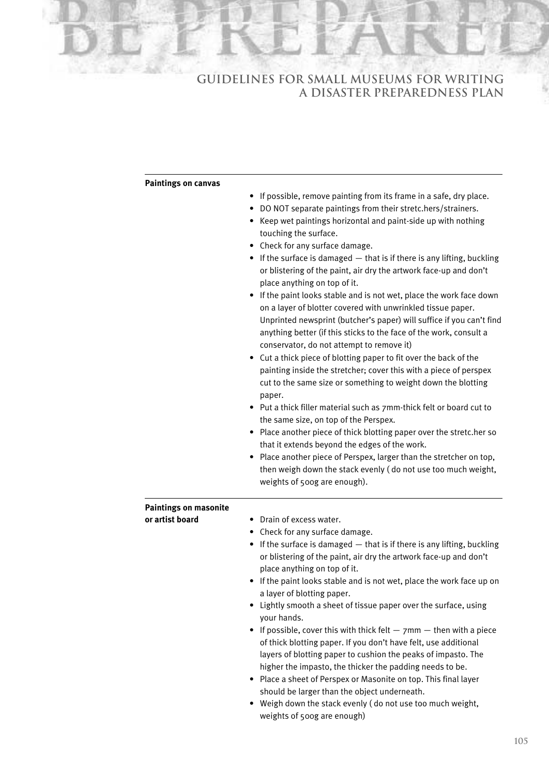| <b>Paintings on canvas</b>   |                                                                                                                                                                                                                                                                                                                                            |
|------------------------------|--------------------------------------------------------------------------------------------------------------------------------------------------------------------------------------------------------------------------------------------------------------------------------------------------------------------------------------------|
|                              | • If possible, remove painting from its frame in a safe, dry place.<br>• DO NOT separate paintings from their stretc.hers/strainers.                                                                                                                                                                                                       |
|                              | • Keep wet paintings horizontal and paint-side up with nothing                                                                                                                                                                                                                                                                             |
|                              | touching the surface.                                                                                                                                                                                                                                                                                                                      |
|                              | • Check for any surface damage.                                                                                                                                                                                                                                                                                                            |
|                              | • If the surface is damaged - that is if there is any lifting, buckling<br>or blistering of the paint, air dry the artwork face-up and don't<br>place anything on top of it.                                                                                                                                                               |
|                              | • If the paint looks stable and is not wet, place the work face down<br>on a layer of blotter covered with unwrinkled tissue paper.<br>Unprinted newsprint (butcher's paper) will suffice if you can't find<br>anything better (if this sticks to the face of the work, consult a<br>conservator, do not attempt to remove it)             |
|                              | • Cut a thick piece of blotting paper to fit over the back of the<br>painting inside the stretcher; cover this with a piece of perspex<br>cut to the same size or something to weight down the blotting<br>paper.                                                                                                                          |
|                              | • Put a thick filler material such as 7mm-thick felt or board cut to<br>the same size, on top of the Perspex.                                                                                                                                                                                                                              |
|                              | • Place another piece of thick blotting paper over the stretc.her so<br>that it extends beyond the edges of the work.                                                                                                                                                                                                                      |
|                              | Place another piece of Perspex, larger than the stretcher on top,<br>then weigh down the stack evenly (do not use too much weight,<br>weights of 500g are enough).                                                                                                                                                                         |
| <b>Paintings on masonite</b> |                                                                                                                                                                                                                                                                                                                                            |
| or artist board              | • Drain of excess water.                                                                                                                                                                                                                                                                                                                   |
|                              | • Check for any surface damage.                                                                                                                                                                                                                                                                                                            |
|                              | • If the surface is damaged - that is if there is any lifting, buckling<br>or blistering of the paint, air dry the artwork face-up and don't<br>place anything on top of it.                                                                                                                                                               |
|                              | • If the paint looks stable and is not wet, place the work face up on<br>a layer of blotting paper.                                                                                                                                                                                                                                        |
|                              | Lightly smooth a sheet of tissue paper over the surface, using<br>your hands.                                                                                                                                                                                                                                                              |
|                              | • If possible, cover this with thick felt $-7$ mm $-$ then with a piece<br>of thick blotting paper. If you don't have felt, use additional<br>layers of blotting paper to cushion the peaks of impasto. The<br>higher the impasto, the thicker the padding needs to be.<br>• Place a sheet of Perspex or Masonite on top. This final layer |
|                              | should be larger than the object underneath.<br>• Weigh down the stack evenly (do not use too much weight,<br>weights of 500g are enough)                                                                                                                                                                                                  |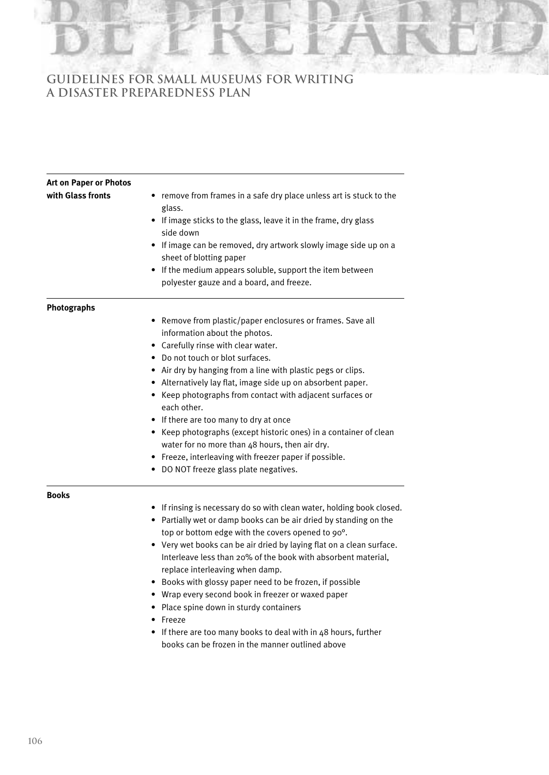| <b>Art on Paper or Photos</b><br>with Glass fronts | • remove from frames in a safe dry place unless art is stuck to the<br>glass.<br>• If image sticks to the glass, leave it in the frame, dry glass<br>side down<br>• If image can be removed, dry artwork slowly image side up on a<br>sheet of blotting paper<br>If the medium appears soluble, support the item between<br>polyester gauze and a board, and freeze.                                                                                                                                                                                                                                                                                                   |
|----------------------------------------------------|------------------------------------------------------------------------------------------------------------------------------------------------------------------------------------------------------------------------------------------------------------------------------------------------------------------------------------------------------------------------------------------------------------------------------------------------------------------------------------------------------------------------------------------------------------------------------------------------------------------------------------------------------------------------|
| Photographs                                        | Remove from plastic/paper enclosures or frames. Save all<br>information about the photos.<br>• Carefully rinse with clear water.<br>• Do not touch or blot surfaces.<br>• Air dry by hanging from a line with plastic pegs or clips.<br>• Alternatively lay flat, image side up on absorbent paper.<br>• Keep photographs from contact with adjacent surfaces or<br>each other.<br>• If there are too many to dry at once<br>• Keep photographs (except historic ones) in a container of clean<br>water for no more than 48 hours, then air dry.<br>• Freeze, interleaving with freezer paper if possible.<br>• DO NOT freeze glass plate negatives.                   |
| <b>Books</b>                                       | If rinsing is necessary do so with clean water, holding book closed.<br>• Partially wet or damp books can be air dried by standing on the<br>top or bottom edge with the covers opened to 90°.<br>• Very wet books can be air dried by laying flat on a clean surface.<br>Interleave less than 20% of the book with absorbent material.<br>replace interleaving when damp.<br>• Books with glossy paper need to be frozen, if possible<br>• Wrap every second book in freezer or waxed paper<br>Place spine down in sturdy containers<br>Freeze<br>• If there are too many books to deal with in 48 hours, further<br>books can be frozen in the manner outlined above |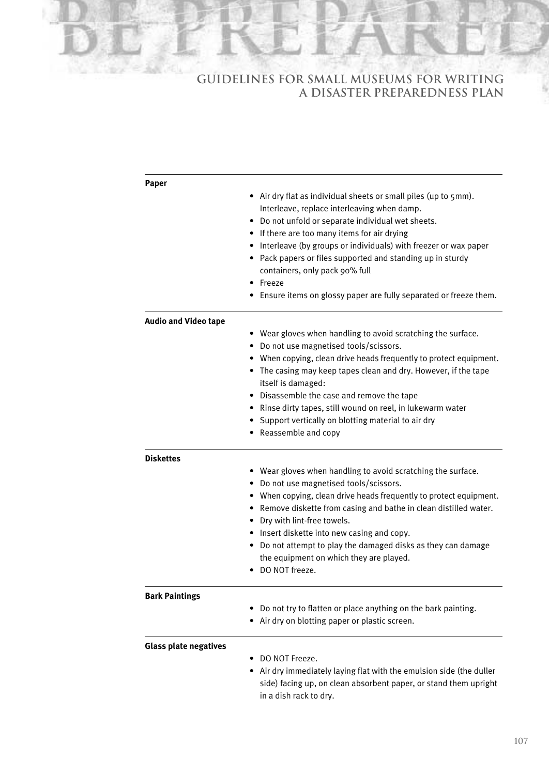| <b>Paper</b>                 |                                                                                                                                                                                                                   |  |                                                                  |
|------------------------------|-------------------------------------------------------------------------------------------------------------------------------------------------------------------------------------------------------------------|--|------------------------------------------------------------------|
|                              | • Air dry flat as individual sheets or small piles (up to 5mm).                                                                                                                                                   |  |                                                                  |
|                              | Interleave, replace interleaving when damp.                                                                                                                                                                       |  |                                                                  |
|                              | • Do not unfold or separate individual wet sheets.                                                                                                                                                                |  |                                                                  |
|                              | • If there are too many items for air drying<br>• Interleave (by groups or individuals) with freezer or wax paper<br>• Pack papers or files supported and standing up in sturdy<br>containers, only pack 90% full |  |                                                                  |
|                              |                                                                                                                                                                                                                   |  |                                                                  |
|                              |                                                                                                                                                                                                                   |  | $•$ Freeze                                                       |
|                              |                                                                                                                                                                                                                   |  | Ensure items on glossy paper are fully separated or freeze them. |
| <b>Audio and Video tape</b>  |                                                                                                                                                                                                                   |  |                                                                  |
|                              | • Wear gloves when handling to avoid scratching the surface.                                                                                                                                                      |  |                                                                  |
|                              | • Do not use magnetised tools/scissors.                                                                                                                                                                           |  |                                                                  |
|                              | • When copying, clean drive heads frequently to protect equipment.                                                                                                                                                |  |                                                                  |
|                              | • The casing may keep tapes clean and dry. However, if the tape                                                                                                                                                   |  |                                                                  |
|                              | itself is damaged:                                                                                                                                                                                                |  |                                                                  |
|                              | • Disassemble the case and remove the tape                                                                                                                                                                        |  |                                                                  |
|                              | • Rinse dirty tapes, still wound on reel, in lukewarm water                                                                                                                                                       |  |                                                                  |
|                              | • Support vertically on blotting material to air dry                                                                                                                                                              |  |                                                                  |
|                              | • Reassemble and copy                                                                                                                                                                                             |  |                                                                  |
| <b>Diskettes</b>             |                                                                                                                                                                                                                   |  |                                                                  |
|                              | • Wear gloves when handling to avoid scratching the surface.                                                                                                                                                      |  |                                                                  |
|                              | • Do not use magnetised tools/scissors.                                                                                                                                                                           |  |                                                                  |
|                              | • When copying, clean drive heads frequently to protect equipment.                                                                                                                                                |  |                                                                  |
|                              | • Remove diskette from casing and bathe in clean distilled water.                                                                                                                                                 |  |                                                                  |
|                              | • Dry with lint-free towels.                                                                                                                                                                                      |  |                                                                  |
|                              | • Insert diskette into new casing and copy.                                                                                                                                                                       |  |                                                                  |
|                              | • Do not attempt to play the damaged disks as they can damage                                                                                                                                                     |  |                                                                  |
|                              | the equipment on which they are played.                                                                                                                                                                           |  |                                                                  |
|                              | • DO NOT freeze.                                                                                                                                                                                                  |  |                                                                  |
|                              |                                                                                                                                                                                                                   |  |                                                                  |
| <b>Bark Paintings</b>        |                                                                                                                                                                                                                   |  |                                                                  |
|                              | Do not try to flatten or place anything on the bark painting.                                                                                                                                                     |  |                                                                  |
|                              | Air dry on blotting paper or plastic screen.                                                                                                                                                                      |  |                                                                  |
| <b>Glass plate negatives</b> |                                                                                                                                                                                                                   |  |                                                                  |
|                              | DO NOT Freeze.                                                                                                                                                                                                    |  |                                                                  |
|                              | Air dry immediately laying flat with the emulsion side (the duller                                                                                                                                                |  |                                                                  |
|                              | side) facing up, on clean absorbent paper, or stand them upright                                                                                                                                                  |  |                                                                  |

in a dish rack to dry.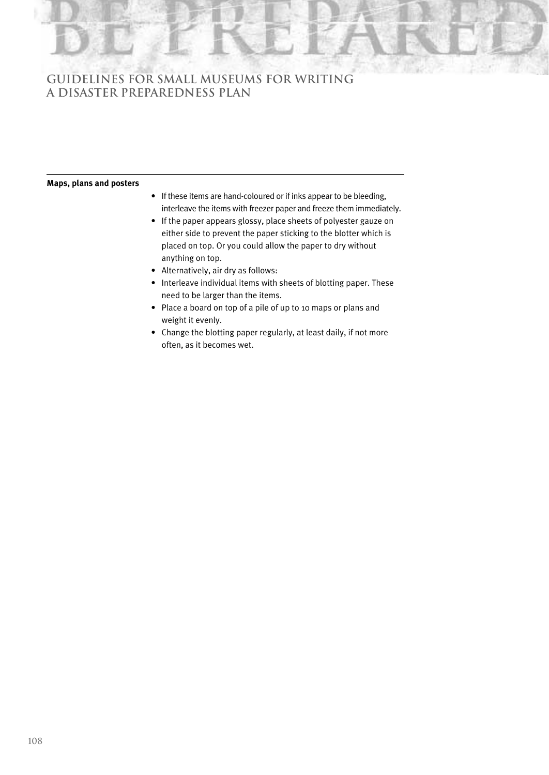#### **Maps, plans and posters**

- If these items are hand-coloured or if inks appear to be bleeding, interleave the items with freezer paper and freeze them immediately.
- If the paper appears glossy, place sheets of polyester gauze on either side to prevent the paper sticking to the blotter which is placed on top. Or you could allow the paper to dry without anything on top.
- Alternatively, air dry as follows:
- Interleave individual items with sheets of blotting paper. These need to be larger than the items.
- Place a board on top of a pile of up to 10 maps or plans and weight it evenly.
- Change the blotting paper regularly, at least daily, if not more often, as it becomes wet.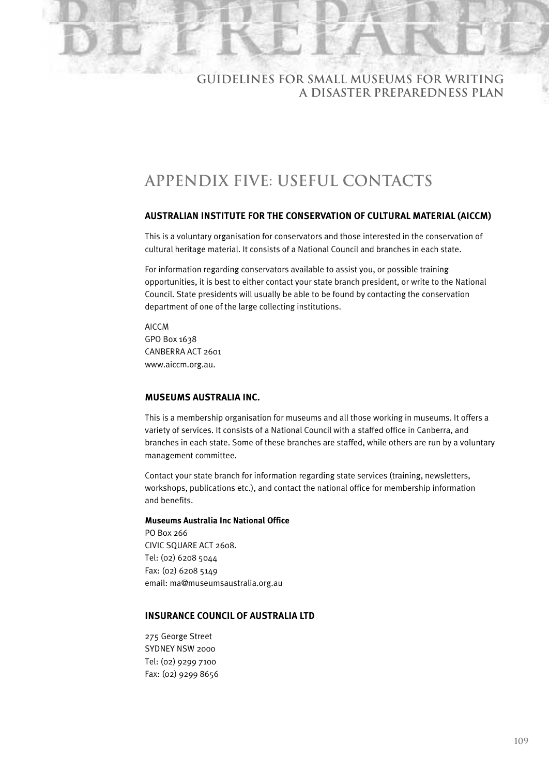# **APPENDIX FIVE: Useful Contacts**

#### **AUSTRALIAN INSTITUTE FOR THE CONSERVATION OF CULTURAL MATERIAL (AICCM)**

This is a voluntary organisation for conservators and those interested in the conservation of cultural heritage material. It consists of a National Council and branches in each state.

For information regarding conservators available to assist you, or possible training opportunities, it is best to either contact your state branch president, or write to the National Council. State presidents will usually be able to be found by contacting the conservation department of one of the large collecting institutions.

AICCM GPO Box 1638 CANBERRA ACT 2601 www.aiccm.org.au.

#### **MUSEUMS AUSTRALIA INC.**

This is a membership organisation for museums and all those working in museums. It offers a variety of services. It consists of a National Council with a staffed office in Canberra, and branches in each state. Some of these branches are staffed, while others are run by a voluntary management committee.

Contact your state branch for information regarding state services (training, newsletters, workshops, publications etc.), and contact the national office for membership information and benefits.

#### **Museums Australia Inc National Office**

PO Box 266 CIVIC SQUARE ACT 2608. Tel: (02) 6208 5044 Fax: (02) 6208 5149 email: ma@museumsaustralia.org.au

#### **INSURANCE COUNCIL OF AUSTRALIA LTD**

275 George Street SYDNEY NSW 2000 Tel: (02) 9299 7100 Fax: (02) 9299 8656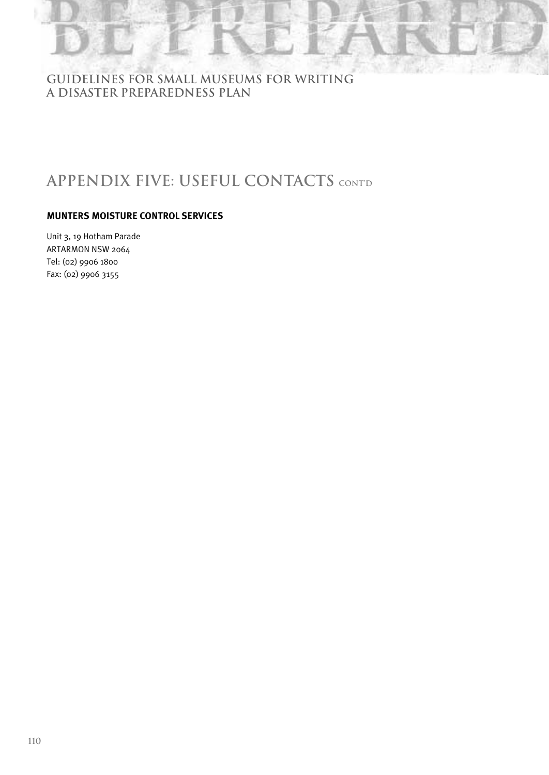

# **APPENDIX FIVE: Useful Contacts cont'd**

### **MUNTERS MOISTURE CONTROL SERVICES**

Unit 3, 19 Hotham Parade ARTARMON NSW 2064 Tel: (02) 9906 1800 Fax: (02) 9906 3155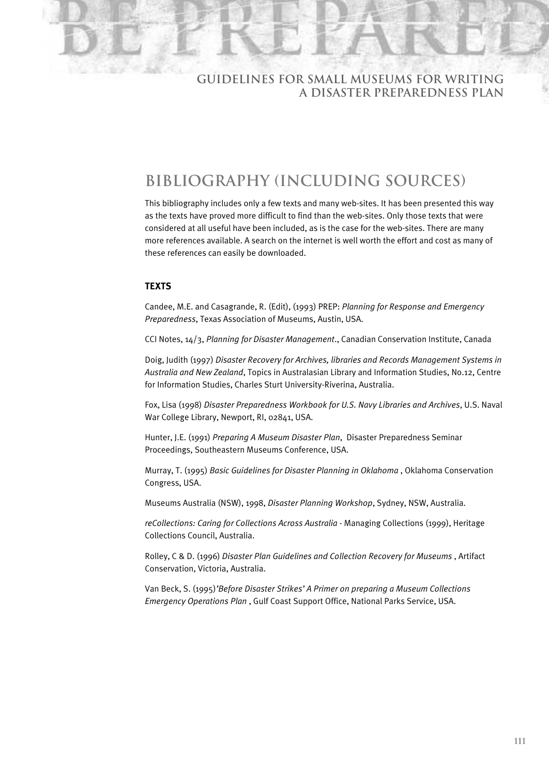# **BIBLIOGRAPHY (INCLUDING SOURCES)**

This bibliography includes only a few texts and many web-sites. It has been presented this way as the texts have proved more difficult to find than the web-sites. Only those texts that were considered at all useful have been included, as is the case for the web-sites. There are many more references available. A search on the internet is well worth the effort and cost as many of these references can easily be downloaded.

#### **TEXTS**

Candee, M.E. and Casagrande, R. (Edit), (1993) PREP: *Planning for Response and Emergency Preparedness*, Texas Association of Museums, Austin, USA.

CCI Notes, 14/3, *Planning for Disaster Management*., Canadian Conservation Institute, Canada

Doig, Judith (1997) *Disaster Recovery for Archives, libraries and Records Management Systems in Australia and New Zealand*, Topics in Australasian Library and Information Studies, No.12, Centre for Information Studies, Charles Sturt University-Riverina, Australia.

Fox, Lisa (1998) *Disaster Preparedness Workbook for U.S. Navy Libraries and Archives*, U.S. Naval War College Library, Newport, RI, 02841, USA.

Hunter, J.E. (1991) *Preparing A Museum Disaster Plan*, Disaster Preparedness Seminar Proceedings, Southeastern Museums Conference, USA.

Murray, T. (1995) *Basic Guidelines for Disaster Planning in Oklahoma* , Oklahoma Conservation Congress, USA.

Museums Australia (NSW), 1998, *Disaster Planning Workshop*, Sydney, NSW, Australia.

*reCollections: Caring for Collections Across Australia* - Managing Collections (1999), Heritage Collections Council, Australia.

Rolley, C & D. (1996) *Disaster Plan Guidelines and Collection Recovery for Museums* , Artifact Conservation, Victoria, Australia.

Van Beck, S. (1995)*'Before Disaster Strikes' A Primer on preparing a Museum Collections Emergency Operations Plan* , Gulf Coast Support Office, National Parks Service, USA.